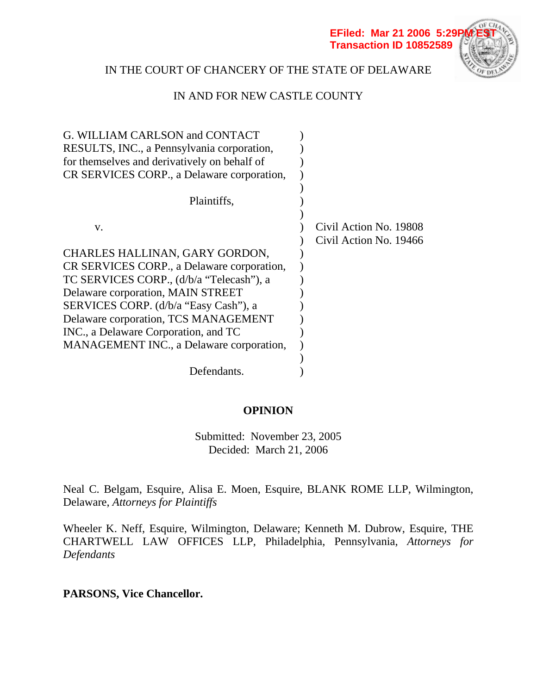

# IN THE COURT OF CHANCERY OF THE STATE OF DELAWARE

## IN AND FOR NEW CASTLE COUNTY

| G. WILLIAM CARLSON and CONTACT               |                        |
|----------------------------------------------|------------------------|
| RESULTS, INC., a Pennsylvania corporation,   |                        |
| for themselves and derivatively on behalf of |                        |
| CR SERVICES CORP., a Delaware corporation,   |                        |
|                                              |                        |
| Plaintiffs,                                  |                        |
|                                              |                        |
| V.                                           | Civil Action No. 19808 |
|                                              | Civil Action No. 19466 |
| CHARLES HALLINAN, GARY GORDON,               |                        |
| CR SERVICES CORP., a Delaware corporation,   |                        |
| TC SERVICES CORP., (d/b/a "Telecash"), a     |                        |
| Delaware corporation, MAIN STREET            |                        |
| SERVICES CORP. (d/b/a "Easy Cash"), a        |                        |
| Delaware corporation, TCS MANAGEMENT         |                        |
| INC., a Delaware Corporation, and TC         |                        |
| MANAGEMENT INC., a Delaware corporation,     |                        |
|                                              |                        |
| Defendants.                                  |                        |

## **OPINION**

Submitted: November 23, 2005 Decided: March 21, 2006

Neal C. Belgam, Esquire, Alisa E. Moen, Esquire, BLANK ROME LLP, Wilmington, Delaware, *Attorneys for Plaintiffs* 

Wheeler K. Neff, Esquire, Wilmington, Delaware; Kenneth M. Dubrow, Esquire, THE CHARTWELL LAW OFFICES LLP, Philadelphia, Pennsylvania, *Attorneys for Defendants* 

**PARSONS, Vice Chancellor.**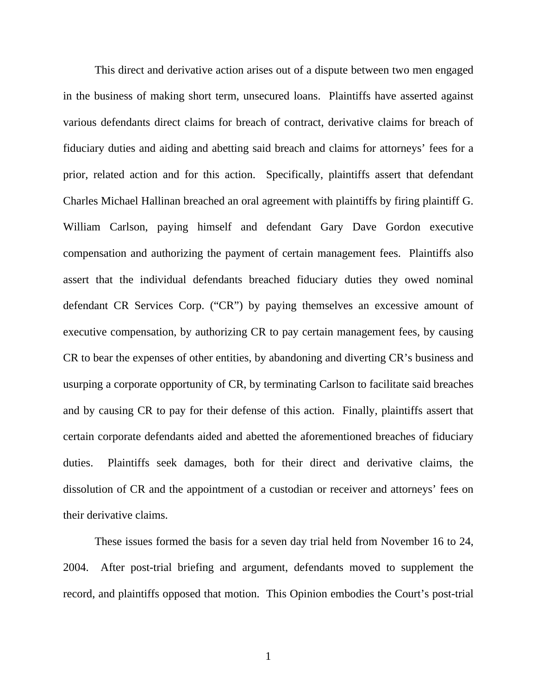This direct and derivative action arises out of a dispute between two men engaged in the business of making short term, unsecured loans. Plaintiffs have asserted against various defendants direct claims for breach of contract, derivative claims for breach of fiduciary duties and aiding and abetting said breach and claims for attorneys' fees for a prior, related action and for this action. Specifically, plaintiffs assert that defendant Charles Michael Hallinan breached an oral agreement with plaintiffs by firing plaintiff G. William Carlson, paying himself and defendant Gary Dave Gordon executive compensation and authorizing the payment of certain management fees. Plaintiffs also assert that the individual defendants breached fiduciary duties they owed nominal defendant CR Services Corp. ("CR") by paying themselves an excessive amount of executive compensation, by authorizing CR to pay certain management fees, by causing CR to bear the expenses of other entities, by abandoning and diverting CR's business and usurping a corporate opportunity of CR, by terminating Carlson to facilitate said breaches and by causing CR to pay for their defense of this action. Finally, plaintiffs assert that certain corporate defendants aided and abetted the aforementioned breaches of fiduciary duties. Plaintiffs seek damages, both for their direct and derivative claims, the dissolution of CR and the appointment of a custodian or receiver and attorneys' fees on their derivative claims.

These issues formed the basis for a seven day trial held from November 16 to 24, 2004. After post-trial briefing and argument, defendants moved to supplement the record, and plaintiffs opposed that motion. This Opinion embodies the Court's post-trial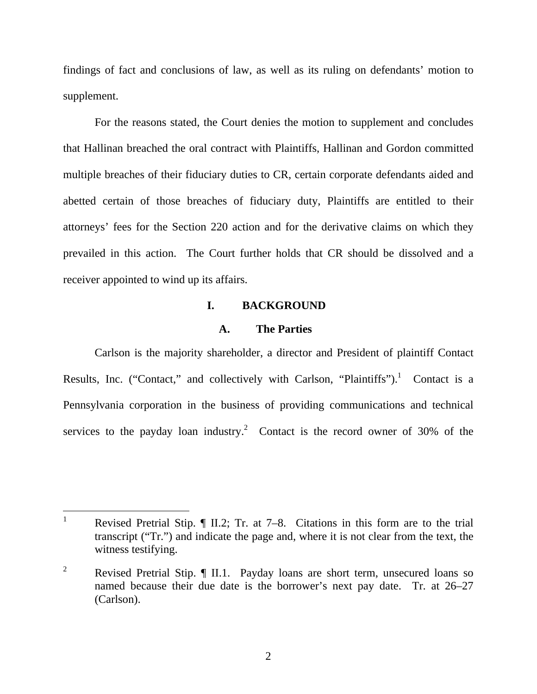findings of fact and conclusions of law, as well as its ruling on defendants' motion to supplement.

For the reasons stated, the Court denies the motion to supplement and concludes that Hallinan breached the oral contract with Plaintiffs, Hallinan and Gordon committed multiple breaches of their fiduciary duties to CR, certain corporate defendants aided and abetted certain of those breaches of fiduciary duty, Plaintiffs are entitled to their attorneys' fees for the Section 220 action and for the derivative claims on which they prevailed in this action. The Court further holds that CR should be dissolved and a receiver appointed to wind up its affairs.

### **I. BACKGROUND**

#### **A. The Parties**

Carlson is the majority shareholder, a director and President of plaintiff Contact Results, Inc. ("Contact," and collectively with Carlson, "Plaintiffs").<sup>1</sup> Contact is a Pennsylvania corporation in the business of providing communications and technical services to the payday loan industry.<sup>2</sup> Contact is the record owner of 30% of the

 $\overline{a}$ 

<sup>1</sup> Revised Pretrial Stip. ¶ II.2; Tr. at 7–8. Citations in this form are to the trial transcript ("Tr.") and indicate the page and, where it is not clear from the text, the witness testifying.

<sup>2</sup> Revised Pretrial Stip. ¶ II.1. Payday loans are short term, unsecured loans so named because their due date is the borrower's next pay date. Tr. at 26–27 (Carlson).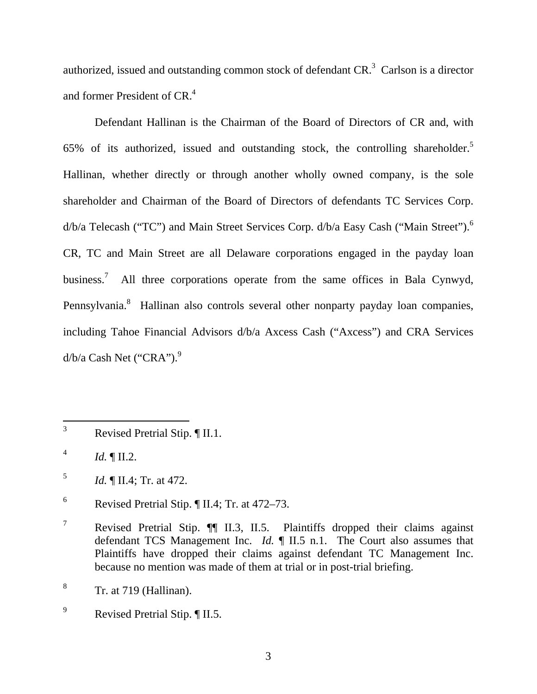authorized, issued and outstanding common stock of defendant  $CR<sup>3</sup>$  Carlson is a director and former President of CR.<sup>4</sup>

Defendant Hallinan is the Chairman of the Board of Directors of CR and, with 65% of its authorized, issued and outstanding stock, the controlling shareholder.<sup>5</sup> Hallinan, whether directly or through another wholly owned company, is the sole shareholder and Chairman of the Board of Directors of defendants TC Services Corp.  $d/b/a$  Telecash ("TC") and Main Street Services Corp.  $d/b/a$  Easy Cash ("Main Street").<sup>6</sup> CR, TC and Main Street are all Delaware corporations engaged in the payday loan business.<sup>7</sup> All three corporations operate from the same offices in Bala Cynwyd, Pennsylvania.<sup>8</sup> Hallinan also controls several other nonparty payday loan companies, including Tahoe Financial Advisors d/b/a Axcess Cash ("Axcess") and CRA Services  $d/b/a$  Cash Net ("CRA").<sup>9</sup>

 $\overline{a}$ 

<sup>3</sup> Revised Pretrial Stip. ¶ II.1.

<sup>4</sup> *Id.* ¶ II.2.

<sup>5</sup> *Id.* ¶ II.4; Tr. at 472.

<sup>6</sup> Revised Pretrial Stip. ¶ II.4; Tr. at 472–73.

<sup>7</sup> Revised Pretrial Stip. ¶¶ II.3, II.5. Plaintiffs dropped their claims against defendant TCS Management Inc. *Id.* ¶ II.5 n.1. The Court also assumes that Plaintiffs have dropped their claims against defendant TC Management Inc. because no mention was made of them at trial or in post-trial briefing.

<sup>8</sup> Tr. at 719 (Hallinan).

<sup>9</sup> Revised Pretrial Stip. ¶ II.5.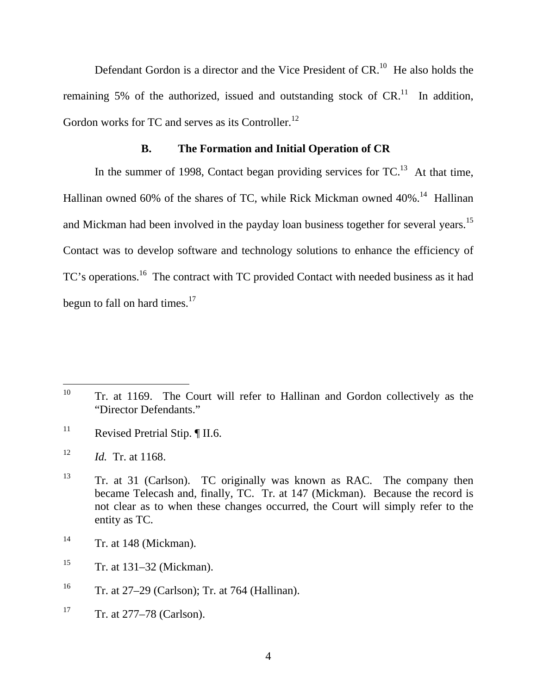Defendant Gordon is a director and the Vice President of CR.<sup>10</sup> He also holds the remaining 5% of the authorized, issued and outstanding stock of  $CR<sup>11</sup>$ . In addition, Gordon works for TC and serves as its Controller.<sup>12</sup>

#### **B. The Formation and Initial Operation of CR**

In the summer of 1998, Contact began providing services for  $TC<sup>13</sup>$ . At that time, Hallinan owned 60% of the shares of TC, while Rick Mickman owned 40%.<sup>14</sup> Hallinan and Mickman had been involved in the payday loan business together for several years.<sup>15</sup> Contact was to develop software and technology solutions to enhance the efficiency of TC's operations.<sup>16</sup> The contract with TC provided Contact with needed business as it had begun to fall on hard times. $17$ 

<sup>11</sup> Revised Pretrial Stip.  $\P$  II.6.

- $14$  Tr. at 148 (Mickman).
- $15$  Tr. at 131–32 (Mickman).
- <sup>16</sup> Tr. at 27–29 (Carlson); Tr. at 764 (Hallinan).
- <sup>17</sup> Tr. at  $277-78$  (Carlson).

<sup>10</sup> Tr. at 1169. The Court will refer to Hallinan and Gordon collectively as the "Director Defendants."

<sup>12</sup> *Id.* Tr. at 1168.

<sup>&</sup>lt;sup>13</sup> Tr. at 31 (Carlson). TC originally was known as RAC. The company then became Telecash and, finally, TC. Tr. at 147 (Mickman). Because the record is not clear as to when these changes occurred, the Court will simply refer to the entity as TC.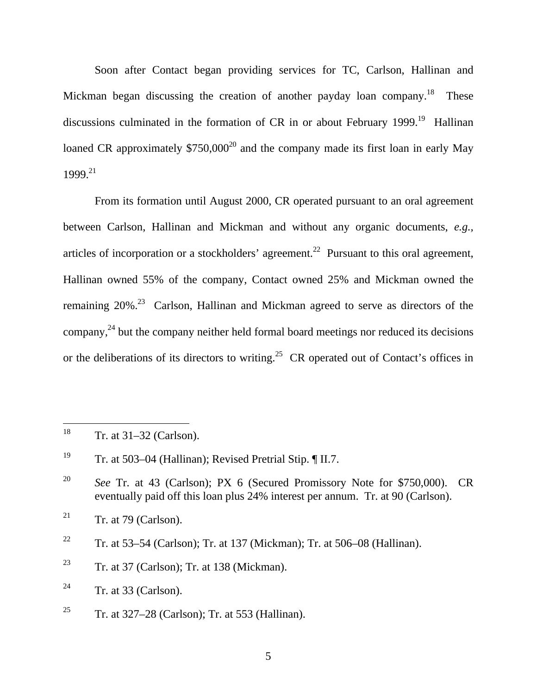Soon after Contact began providing services for TC, Carlson, Hallinan and Mickman began discussing the creation of another payday loan company.<sup>18</sup> These discussions culminated in the formation of CR in or about February  $1999$ <sup>19</sup> Hallinan loaned CR approximately  $$750,000^{20}$  and the company made its first loan in early May 1999.21

From its formation until August 2000, CR operated pursuant to an oral agreement between Carlson, Hallinan and Mickman and without any organic documents, *e.g.,* articles of incorporation or a stockholders' agreement.<sup>22</sup> Pursuant to this oral agreement, Hallinan owned 55% of the company, Contact owned 25% and Mickman owned the remaining  $20\%$ <sup>23</sup> Carlson, Hallinan and Mickman agreed to serve as directors of the company, $^{24}$  but the company neither held formal board meetings nor reduced its decisions or the deliberations of its directors to writing.<sup>25</sup> CR operated out of Contact's offices in

<sup>&</sup>lt;sup>18</sup> Tr. at  $31-32$  (Carlson).

<sup>&</sup>lt;sup>19</sup> Tr. at 503–04 (Hallinan); Revised Pretrial Stip.  $\P$  II.7.

<sup>20</sup> *See* Tr. at 43 (Carlson); PX 6 (Secured Promissory Note for \$750,000). CR eventually paid off this loan plus 24% interest per annum. Tr. at 90 (Carlson).

<sup>&</sup>lt;sup>21</sup> Tr. at 79 (Carlson).

<sup>&</sup>lt;sup>22</sup> Tr. at 53–54 (Carlson); Tr. at 137 (Mickman); Tr. at 506–08 (Hallinan).

<sup>&</sup>lt;sup>23</sup> Tr. at 37 (Carlson); Tr. at 138 (Mickman).

 $24$  Tr. at 33 (Carlson).

<sup>&</sup>lt;sup>25</sup> Tr. at 327–28 (Carlson); Tr. at 553 (Hallinan).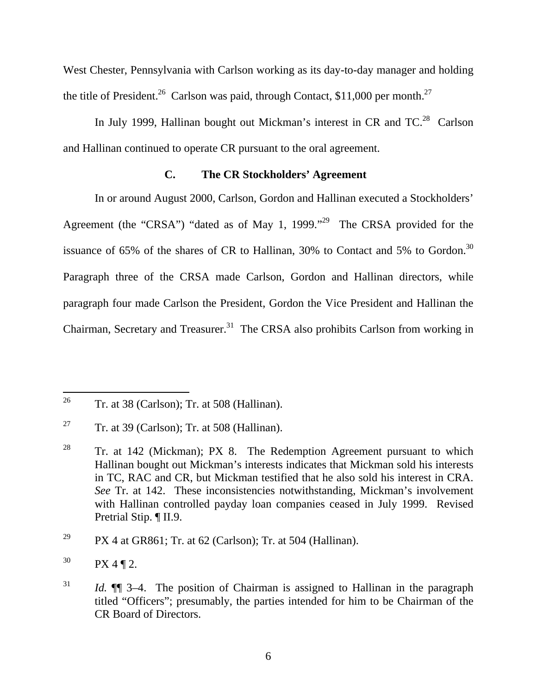West Chester, Pennsylvania with Carlson working as its day-to-day manager and holding the title of President.<sup>26</sup> Carlson was paid, through Contact, \$11,000 per month.<sup>27</sup>

In July 1999, Hallinan bought out Mickman's interest in CR and  $TC^{28}$  Carlson and Hallinan continued to operate CR pursuant to the oral agreement.

### **C. The CR Stockholders' Agreement**

In or around August 2000, Carlson, Gordon and Hallinan executed a Stockholders' Agreement (the "CRSA") "dated as of May 1, 1999."<sup>29</sup> The CRSA provided for the issuance of 65% of the shares of CR to Hallinan, 30% to Contact and 5% to Gordon.<sup>30</sup> Paragraph three of the CRSA made Carlson, Gordon and Hallinan directors, while paragraph four made Carlson the President, Gordon the Vice President and Hallinan the Chairman, Secretary and Treasurer.<sup>31</sup> The CRSA also prohibits Carlson from working in

 $26\,$ 26 Tr. at 38 (Carlson); Tr. at 508 (Hallinan).

<sup>&</sup>lt;sup>27</sup> Tr. at 39 (Carlson); Tr. at 508 (Hallinan).

<sup>&</sup>lt;sup>28</sup> Tr. at 142 (Mickman); PX 8. The Redemption Agreement pursuant to which Hallinan bought out Mickman's interests indicates that Mickman sold his interests in TC, RAC and CR, but Mickman testified that he also sold his interest in CRA. *See* Tr. at 142. These inconsistencies notwithstanding, Mickman's involvement with Hallinan controlled payday loan companies ceased in July 1999. Revised Pretrial Stip. ¶ II.9.

<sup>&</sup>lt;sup>29</sup> PX 4 at GR861; Tr. at 62 (Carlson); Tr. at 504 (Hallinan).

 $30$  PX 4 ¶ 2.

<sup>&</sup>lt;sup>31</sup> *Id.*  $\mathbb{I}$  3–4. The position of Chairman is assigned to Hallinan in the paragraph titled "Officers"; presumably, the parties intended for him to be Chairman of the CR Board of Directors.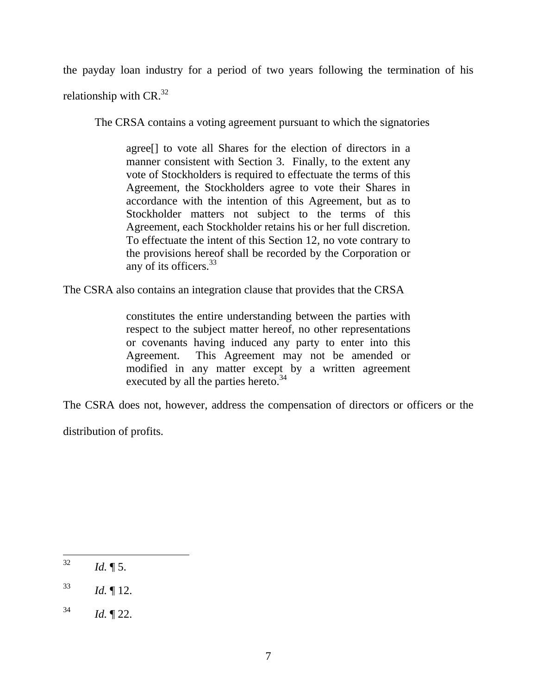the payday loan industry for a period of two years following the termination of his relationship with  $CR.^{32}$ 

The CRSA contains a voting agreement pursuant to which the signatories

agree[] to vote all Shares for the election of directors in a manner consistent with Section 3. Finally, to the extent any vote of Stockholders is required to effectuate the terms of this Agreement, the Stockholders agree to vote their Shares in accordance with the intention of this Agreement, but as to Stockholder matters not subject to the terms of this Agreement, each Stockholder retains his or her full discretion. To effectuate the intent of this Section 12, no vote contrary to the provisions hereof shall be recorded by the Corporation or any of its officers.<sup>33</sup>

The CSRA also contains an integration clause that provides that the CRSA

constitutes the entire understanding between the parties with respect to the subject matter hereof, no other representations or covenants having induced any party to enter into this Agreement. This Agreement may not be amended or modified in any matter except by a written agreement executed by all the parties hereto.<sup>34</sup>

The CSRA does not, however, address the compensation of directors or officers or the

distribution of profits.

 $32$ *Id.*  $\llbracket 5$ .

 $^{33}$  *Id.*  $\llbracket 12.$ 

 $34$  *Id.*  $\sqrt{22}$ .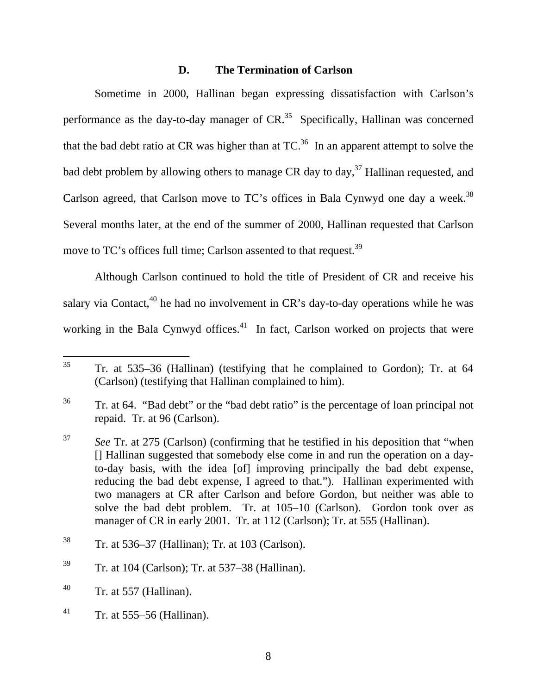### **D. The Termination of Carlson**

Sometime in 2000, Hallinan began expressing dissatisfaction with Carlson's performance as the day-to-day manager of CR.<sup>35</sup> Specifically, Hallinan was concerned that the bad debt ratio at CR was higher than at  $TC<sup>36</sup>$ . In an apparent attempt to solve the bad debt problem by allowing others to manage CR day to day,  $37$  Hallinan requested, and Carlson agreed, that Carlson move to TC's offices in Bala Cynwyd one day a week.<sup>38</sup> Several months later, at the end of the summer of 2000, Hallinan requested that Carlson move to TC's offices full time; Carlson assented to that request.<sup>39</sup>

Although Carlson continued to hold the title of President of CR and receive his salary via Contact,  $40$  he had no involvement in CR's day-to-day operations while he was working in the Bala Cynwyd offices.<sup>41</sup> In fact, Carlson worked on projects that were

 $35$ 35 Tr. at 535–36 (Hallinan) (testifying that he complained to Gordon); Tr. at 64 (Carlson) (testifying that Hallinan complained to him).

<sup>&</sup>lt;sup>36</sup> Tr. at 64. "Bad debt" or the "bad debt ratio" is the percentage of loan principal not repaid. Tr. at 96 (Carlson).

<sup>37</sup> *See* Tr. at 275 (Carlson) (confirming that he testified in his deposition that "when [] Hallinan suggested that somebody else come in and run the operation on a dayto-day basis, with the idea [of] improving principally the bad debt expense, reducing the bad debt expense, I agreed to that."). Hallinan experimented with two managers at CR after Carlson and before Gordon, but neither was able to solve the bad debt problem. Tr. at 105–10 (Carlson). Gordon took over as manager of CR in early 2001. Tr. at 112 (Carlson); Tr. at 555 (Hallinan).

<sup>38</sup> Tr. at 536–37 (Hallinan); Tr. at 103 (Carlson).

 $39$  Tr. at 104 (Carlson); Tr. at 537–38 (Hallinan).

 $^{40}$  Tr. at 557 (Hallinan).

<sup>&</sup>lt;sup>41</sup> Tr. at 555–56 (Hallinan).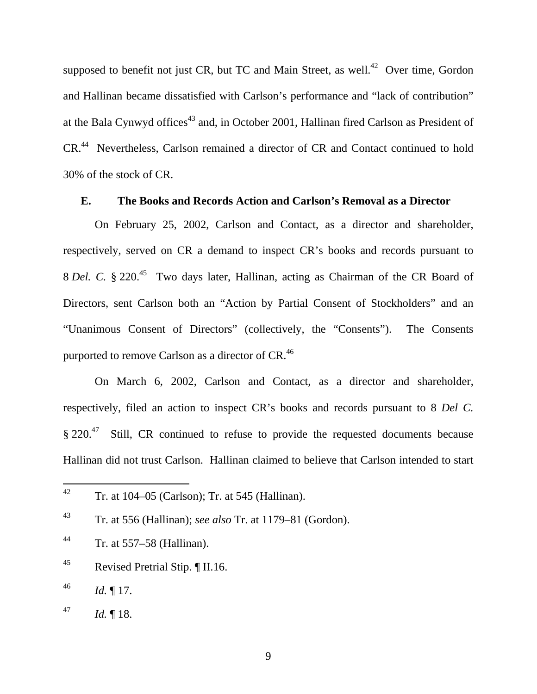supposed to benefit not just CR, but TC and Main Street, as well.<sup>42</sup> Over time, Gordon and Hallinan became dissatisfied with Carlson's performance and "lack of contribution" at the Bala Cynwyd offices<sup>43</sup> and, in October 2001, Hallinan fired Carlson as President of CR.44 Nevertheless, Carlson remained a director of CR and Contact continued to hold 30% of the stock of CR.

#### **E. The Books and Records Action and Carlson's Removal as a Director**

On February 25, 2002, Carlson and Contact, as a director and shareholder, respectively, served on CR a demand to inspect CR's books and records pursuant to 8 *Del. C.* § 220.<sup>45</sup> Two days later, Hallinan, acting as Chairman of the CR Board of Directors, sent Carlson both an "Action by Partial Consent of Stockholders" and an "Unanimous Consent of Directors" (collectively, the "Consents"). The Consents purported to remove Carlson as a director of CR.<sup>46</sup>

On March 6, 2002, Carlson and Contact, as a director and shareholder, respectively, filed an action to inspect CR's books and records pursuant to 8 *Del C.*  $\S 220<sup>47</sup>$  Still, CR continued to refuse to provide the requested documents because Hallinan did not trust Carlson. Hallinan claimed to believe that Carlson intended to start

- 44 Tr. at 557–58 (Hallinan).
- 45 Revised Pretrial Stip. ¶ II.16.
- $^{46}$  *Id.* 17.

 $42$ 42 Tr. at 104–05 (Carlson); Tr. at 545 (Hallinan).

<sup>43</sup> Tr. at 556 (Hallinan); *see also* Tr. at 1179–81 (Gordon).

 $^{47}$  *Id.* 18.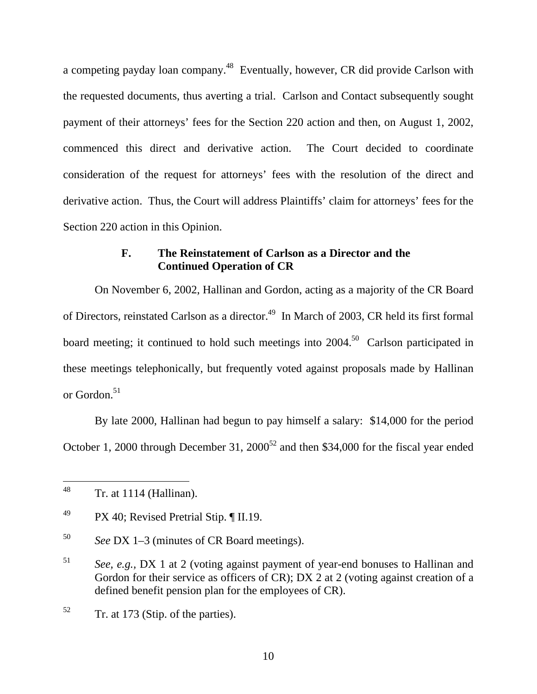a competing payday loan company.48 Eventually, however, CR did provide Carlson with the requested documents, thus averting a trial. Carlson and Contact subsequently sought payment of their attorneys' fees for the Section 220 action and then, on August 1, 2002, commenced this direct and derivative action. The Court decided to coordinate consideration of the request for attorneys' fees with the resolution of the direct and derivative action. Thus, the Court will address Plaintiffs' claim for attorneys' fees for the Section 220 action in this Opinion.

### **F. The Reinstatement of Carlson as a Director and the Continued Operation of CR**

On November 6, 2002, Hallinan and Gordon, acting as a majority of the CR Board of Directors, reinstated Carlson as a director.<sup>49</sup> In March of 2003, CR held its first formal board meeting; it continued to hold such meetings into  $2004$ <sup>50</sup> Carlson participated in these meetings telephonically, but frequently voted against proposals made by Hallinan or Gordon.<sup>51</sup>

By late 2000, Hallinan had begun to pay himself a salary: \$14,000 for the period October 1, 2000 through December 31,  $2000^{52}$  and then \$34,000 for the fiscal year ended

<sup>48</sup> 48 Tr. at 1114 (Hallinan).

<sup>&</sup>lt;sup>49</sup> PX 40; Revised Pretrial Stip.  $\P$  II.19.

<sup>50</sup> *See* DX 1–3 (minutes of CR Board meetings).

<sup>51</sup> *See, e.g.,* DX 1 at 2 (voting against payment of year-end bonuses to Hallinan and Gordon for their service as officers of CR); DX 2 at 2 (voting against creation of a defined benefit pension plan for the employees of CR).

 $52$  Tr. at 173 (Stip. of the parties).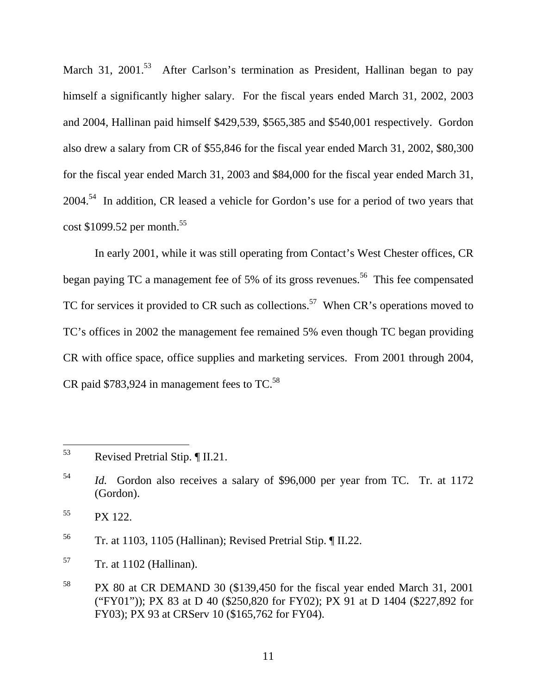March 31, 2001.<sup>53</sup> After Carlson's termination as President, Hallinan began to pay himself a significantly higher salary. For the fiscal years ended March 31, 2002, 2003 and 2004, Hallinan paid himself \$429,539, \$565,385 and \$540,001 respectively. Gordon also drew a salary from CR of \$55,846 for the fiscal year ended March 31, 2002, \$80,300 for the fiscal year ended March 31, 2003 and \$84,000 for the fiscal year ended March 31, 2004.<sup>54</sup> In addition, CR leased a vehicle for Gordon's use for a period of two years that cost \$1099.52 per month.<sup>55</sup>

In early 2001, while it was still operating from Contact's West Chester offices, CR began paying TC a management fee of 5% of its gross revenues.<sup>56</sup> This fee compensated TC for services it provided to CR such as collections.<sup>57</sup> When CR's operations moved to TC's offices in 2002 the management fee remained 5% even though TC began providing CR with office space, office supplies and marketing services. From 2001 through 2004, CR paid  $$783,924$  in management fees to TC.<sup>58</sup>

 $55$  PX 122.

56 Tr. at 1103, 1105 (Hallinan); Revised Pretrial Stip. ¶ II.22.

 $57$  Tr. at 1102 (Hallinan).

<sup>53</sup> 53 Revised Pretrial Stip. ¶ II.21.

<sup>54</sup> *Id.* Gordon also receives a salary of \$96,000 per year from TC. Tr. at 1172 (Gordon).

<sup>58</sup> PX 80 at CR DEMAND 30 (\$139,450 for the fiscal year ended March 31, 2001 ("FY01")); PX 83 at D 40 (\$250,820 for FY02); PX 91 at D 1404 (\$227,892 for FY03); PX 93 at CRServ 10 (\$165,762 for FY04).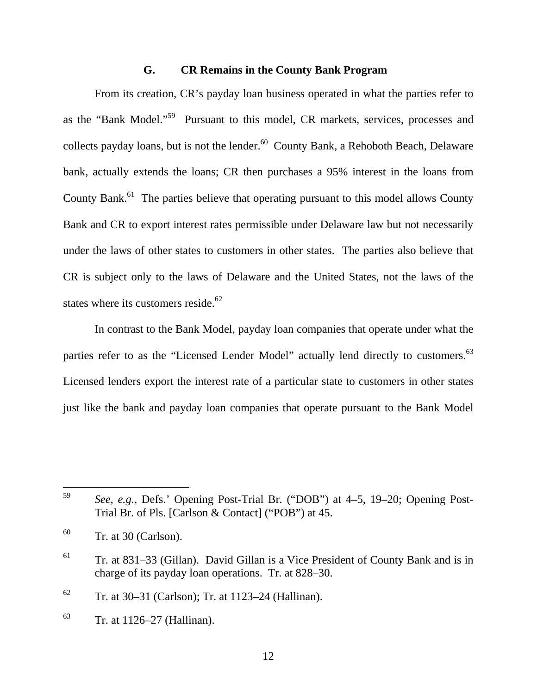### **G. CR Remains in the County Bank Program**

From its creation, CR's payday loan business operated in what the parties refer to as the "Bank Model."59 Pursuant to this model, CR markets, services, processes and collects payday loans, but is not the lender.<sup>60</sup> County Bank, a Rehoboth Beach, Delaware bank, actually extends the loans; CR then purchases a 95% interest in the loans from County Bank.<sup>61</sup> The parties believe that operating pursuant to this model allows County Bank and CR to export interest rates permissible under Delaware law but not necessarily under the laws of other states to customers in other states. The parties also believe that CR is subject only to the laws of Delaware and the United States, not the laws of the states where its customers reside.<sup>62</sup>

In contrast to the Bank Model, payday loan companies that operate under what the parties refer to as the "Licensed Lender Model" actually lend directly to customers.<sup>63</sup> Licensed lenders export the interest rate of a particular state to customers in other states just like the bank and payday loan companies that operate pursuant to the Bank Model

<sup>59</sup> 59 *See, e.g.,* Defs.' Opening Post-Trial Br. ("DOB") at 4–5, 19–20; Opening Post-Trial Br. of Pls. [Carlson & Contact] ("POB") at 45.

 $60$  Tr. at 30 (Carlson).

 $61$  Tr. at 831–33 (Gillan). David Gillan is a Vice President of County Bank and is in charge of its payday loan operations. Tr. at 828–30.

 $62$  Tr. at 30–31 (Carlson); Tr. at 1123–24 (Hallinan).

 $63$  Tr. at 1126–27 (Hallinan).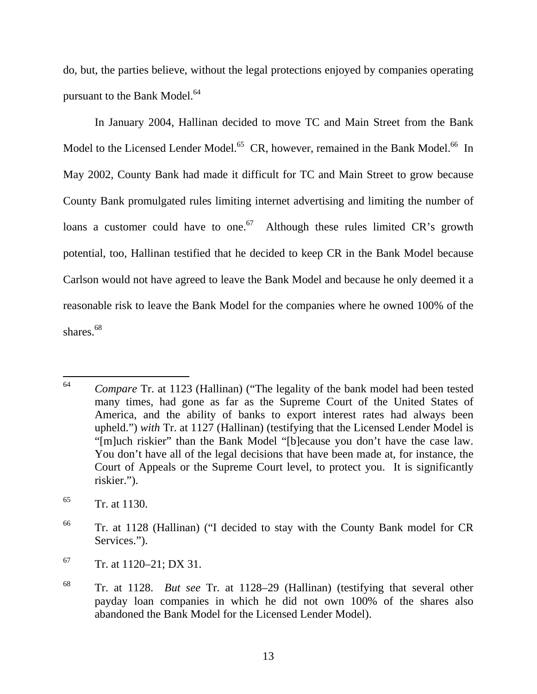do, but, the parties believe, without the legal protections enjoyed by companies operating pursuant to the Bank Model.<sup>64</sup>

In January 2004, Hallinan decided to move TC and Main Street from the Bank Model to the Licensed Lender Model.<sup>65</sup> CR, however, remained in the Bank Model.<sup>66</sup> In May 2002, County Bank had made it difficult for TC and Main Street to grow because County Bank promulgated rules limiting internet advertising and limiting the number of loans a customer could have to one.<sup>67</sup> Although these rules limited CR's growth potential, too, Hallinan testified that he decided to keep CR in the Bank Model because Carlson would not have agreed to leave the Bank Model and because he only deemed it a reasonable risk to leave the Bank Model for the companies where he owned 100% of the shares.<sup>68</sup>

<sup>64</sup> Compare Tr. at 1123 (Hallinan) ("The legality of the bank model had been tested many times, had gone as far as the Supreme Court of the United States of America, and the ability of banks to export interest rates had always been upheld.") *with* Tr. at 1127 (Hallinan) (testifying that the Licensed Lender Model is "[m]uch riskier" than the Bank Model "[b]ecause you don't have the case law. You don't have all of the legal decisions that have been made at, for instance, the Court of Appeals or the Supreme Court level, to protect you. It is significantly riskier.").

 $65$  Tr. at 1130.

<sup>66</sup> Tr. at 1128 (Hallinan) ("I decided to stay with the County Bank model for CR Services.").

 $67$  Tr. at 1120–21; DX 31.

<sup>68</sup> Tr. at 1128. *But see* Tr. at 1128–29 (Hallinan) (testifying that several other payday loan companies in which he did not own 100% of the shares also abandoned the Bank Model for the Licensed Lender Model).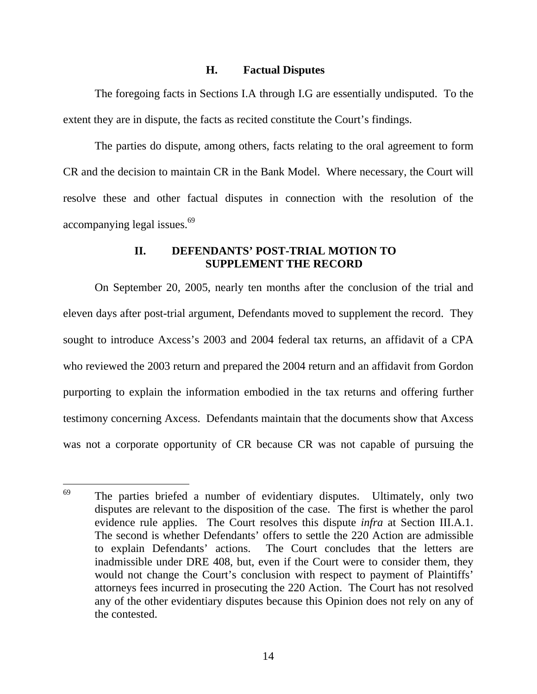#### **H. Factual Disputes**

The foregoing facts in Sections I.A through I.G are essentially undisputed. To the extent they are in dispute, the facts as recited constitute the Court's findings.

The parties do dispute, among others, facts relating to the oral agreement to form CR and the decision to maintain CR in the Bank Model. Where necessary, the Court will resolve these and other factual disputes in connection with the resolution of the accompanying legal issues.<sup>69</sup>

#### **II. DEFENDANTS' POST-TRIAL MOTION TO SUPPLEMENT THE RECORD**

On September 20, 2005, nearly ten months after the conclusion of the trial and eleven days after post-trial argument, Defendants moved to supplement the record. They sought to introduce Axcess's 2003 and 2004 federal tax returns, an affidavit of a CPA who reviewed the 2003 return and prepared the 2004 return and an affidavit from Gordon purporting to explain the information embodied in the tax returns and offering further testimony concerning Axcess. Defendants maintain that the documents show that Axcess was not a corporate opportunity of CR because CR was not capable of pursuing the

<sup>69</sup> The parties briefed a number of evidentiary disputes. Ultimately, only two disputes are relevant to the disposition of the case. The first is whether the parol evidence rule applies. The Court resolves this dispute *infra* at Section III.A.1. The second is whether Defendants' offers to settle the 220 Action are admissible to explain Defendants' actions. The Court concludes that the letters are inadmissible under DRE 408, but, even if the Court were to consider them, they would not change the Court's conclusion with respect to payment of Plaintiffs' attorneys fees incurred in prosecuting the 220 Action. The Court has not resolved any of the other evidentiary disputes because this Opinion does not rely on any of the contested.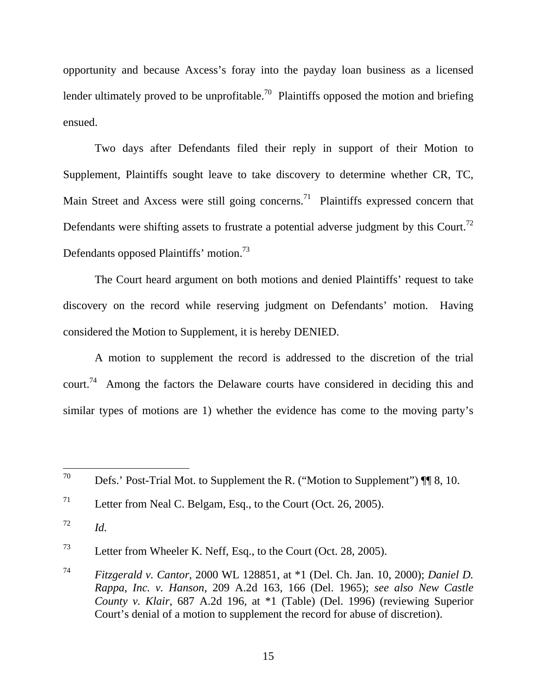opportunity and because Axcess's foray into the payday loan business as a licensed lender ultimately proved to be unprofitable.<sup>70</sup> Plaintiffs opposed the motion and briefing ensued.

Two days after Defendants filed their reply in support of their Motion to Supplement, Plaintiffs sought leave to take discovery to determine whether CR, TC, Main Street and Axcess were still going concerns.<sup>71</sup> Plaintiffs expressed concern that Defendants were shifting assets to frustrate a potential adverse judgment by this Court.<sup>72</sup> Defendants opposed Plaintiffs' motion.73

The Court heard argument on both motions and denied Plaintiffs' request to take discovery on the record while reserving judgment on Defendants' motion. Having considered the Motion to Supplement, it is hereby DENIED.

A motion to supplement the record is addressed to the discretion of the trial court.74 Among the factors the Delaware courts have considered in deciding this and similar types of motions are 1) whether the evidence has come to the moving party's

<sup>70</sup> Defs.' Post-Trial Mot. to Supplement the R. ("Motion to Supplement")  $\P$  8, 10.

<sup>&</sup>lt;sup>71</sup> Letter from Neal C. Belgam, Esq., to the Court (Oct. 26, 2005).

 $\frac{72}{10}$  *Id.* 

<sup>73</sup> Letter from Wheeler K. Neff, Esq., to the Court (Oct. 28, 2005).

<sup>74</sup> *Fitzgerald v. Cantor*, 2000 WL 128851, at \*1 (Del. Ch. Jan. 10, 2000); *Daniel D. Rappa, Inc. v. Hanson*, 209 A.2d 163, 166 (Del. 1965); *see also New Castle County v. Klair*, 687 A.2d 196, at \*1 (Table) (Del. 1996) (reviewing Superior Court's denial of a motion to supplement the record for abuse of discretion).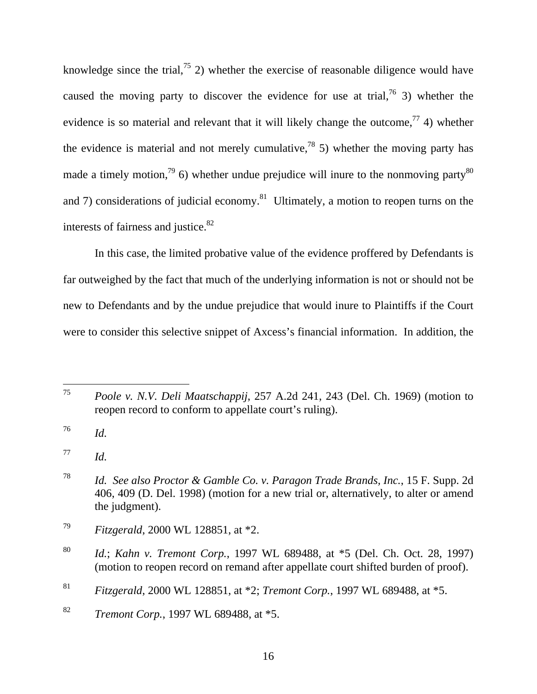knowledge since the trial,<sup>75</sup> 2) whether the exercise of reasonable diligence would have caused the moving party to discover the evidence for use at trial,  $^{76}$  3) whether the evidence is so material and relevant that it will likely change the outcome,  $\frac{7}{7}$  4) whether the evidence is material and not merely cumulative,<sup>78</sup> 5) whether the moving party has made a timely motion,<sup>79</sup> 6) whether undue prejudice will inure to the nonmoving party<sup>80</sup> and 7) considerations of judicial economy.<sup>81</sup> Ultimately, a motion to reopen turns on the interests of fairness and justice.<sup>82</sup>

In this case, the limited probative value of the evidence proffered by Defendants is far outweighed by the fact that much of the underlying information is not or should not be new to Defendants and by the undue prejudice that would inure to Plaintiffs if the Court were to consider this selective snippet of Axcess's financial information. In addition, the

<sup>75</sup> 75 *Poole v. N.V. Deli Maatschappij*, 257 A.2d 241, 243 (Del. Ch. 1969) (motion to reopen record to conform to appellate court's ruling).

<sup>76</sup> *Id.* 

<sup>77</sup> *Id.* 

<sup>78</sup> *Id. See also Proctor & Gamble Co. v. Paragon Trade Brands, Inc.*, 15 F. Supp. 2d 406, 409 (D. Del. 1998) (motion for a new trial or, alternatively, to alter or amend the judgment).

<sup>79</sup> *Fitzgerald*, 2000 WL 128851, at \*2.

<sup>80</sup> *Id.*; *Kahn v. Tremont Corp.*, 1997 WL 689488, at \*5 (Del. Ch. Oct. 28, 1997) (motion to reopen record on remand after appellate court shifted burden of proof).

<sup>81</sup> *Fitzgerald*, 2000 WL 128851, at \*2; *Tremont Corp.*, 1997 WL 689488, at \*5.

<sup>82</sup> *Tremont Corp.*, 1997 WL 689488, at \*5.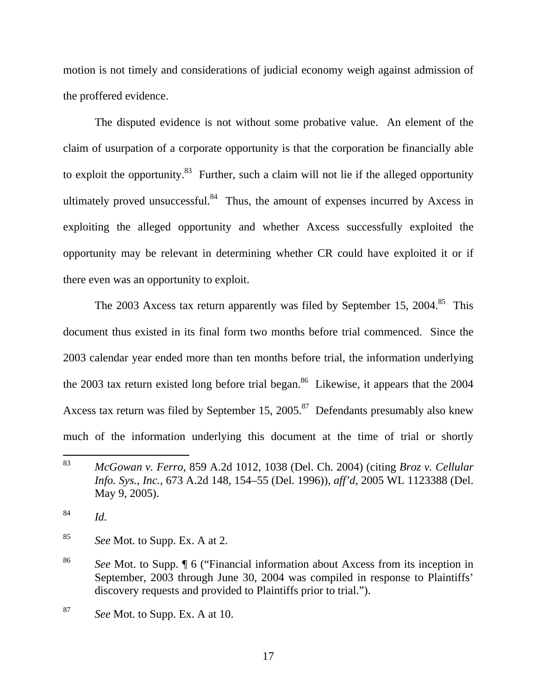motion is not timely and considerations of judicial economy weigh against admission of the proffered evidence.

The disputed evidence is not without some probative value. An element of the claim of usurpation of a corporate opportunity is that the corporation be financially able to exploit the opportunity. $83$  Further, such a claim will not lie if the alleged opportunity ultimately proved unsuccessful.<sup>84</sup> Thus, the amount of expenses incurred by Axcess in exploiting the alleged opportunity and whether Axcess successfully exploited the opportunity may be relevant in determining whether CR could have exploited it or if there even was an opportunity to exploit.

The 2003 Axcess tax return apparently was filed by September 15, 2004.<sup>85</sup> This document thus existed in its final form two months before trial commenced. Since the 2003 calendar year ended more than ten months before trial, the information underlying the 2003 tax return existed long before trial began.<sup>86</sup> Likewise, it appears that the 2004 Axcess tax return was filed by September 15, 2005.<sup>87</sup> Defendants presumably also knew much of the information underlying this document at the time of trial or shortly

 $\frac{84}{10}$  *Id.* 

85 *See* Mot. to Supp. Ex. A at 2.

<sup>83</sup> 83 *McGowan v. Ferro*, 859 A.2d 1012, 1038 (Del. Ch. 2004) (citing *Broz v. Cellular Info. Sys., Inc.*, 673 A.2d 148, 154–55 (Del. 1996)), *aff'd*, 2005 WL 1123388 (Del. May 9, 2005).

<sup>86</sup> *See* Mot. to Supp. ¶ 6 ("Financial information about Axcess from its inception in September, 2003 through June 30, 2004 was compiled in response to Plaintiffs' discovery requests and provided to Plaintiffs prior to trial.").

<sup>87</sup> *See* Mot. to Supp. Ex. A at 10.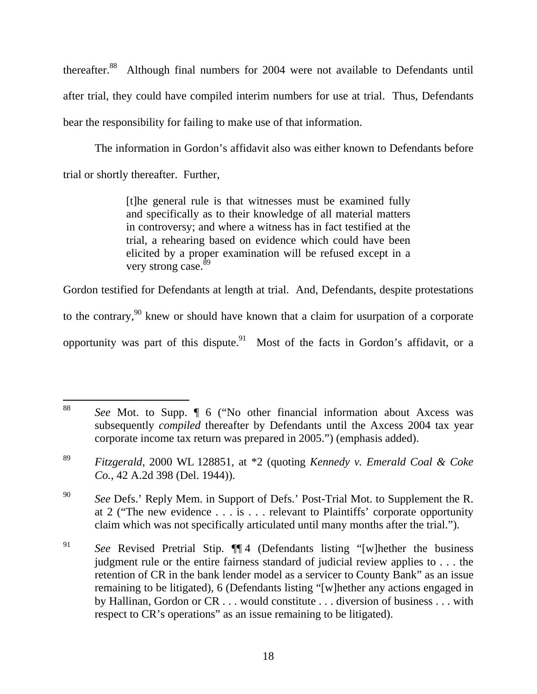thereafter.88 Although final numbers for 2004 were not available to Defendants until after trial, they could have compiled interim numbers for use at trial. Thus, Defendants bear the responsibility for failing to make use of that information.

The information in Gordon's affidavit also was either known to Defendants before trial or shortly thereafter. Further,

> [t]he general rule is that witnesses must be examined fully and specifically as to their knowledge of all material matters in controversy; and where a witness has in fact testified at the trial, a rehearing based on evidence which could have been elicited by a proper examination will be refused except in a very strong case. $89$

Gordon testified for Defendants at length at trial. And, Defendants, despite protestations

to the contrary,  $90$  knew or should have known that a claim for usurpation of a corporate

opportunity was part of this dispute.<sup>91</sup> Most of the facts in Gordon's affidavit, or a

<sup>88</sup> See Mot. to Supp. **[6** ("No other financial information about Axcess was subsequently *compiled* thereafter by Defendants until the Axcess 2004 tax year corporate income tax return was prepared in 2005.") (emphasis added).

<sup>89</sup> *Fitzgerald*, 2000 WL 128851, at \*2 (quoting *Kennedy v. Emerald Coal & Coke Co.*, 42 A.2d 398 (Del. 1944)).

<sup>&</sup>lt;sup>90</sup> *See* Defs.' Reply Mem. in Support of Defs.' Post-Trial Mot. to Supplement the R. at 2 ("The new evidence . . . is . . . relevant to Plaintiffs' corporate opportunity claim which was not specifically articulated until many months after the trial.").

<sup>91</sup> *See* Revised Pretrial Stip. ¶¶ 4 (Defendants listing "[w]hether the business judgment rule or the entire fairness standard of judicial review applies to . . . the retention of CR in the bank lender model as a servicer to County Bank" as an issue remaining to be litigated), 6 (Defendants listing "[w]hether any actions engaged in by Hallinan, Gordon or CR . . . would constitute . . . diversion of business . . . with respect to CR's operations" as an issue remaining to be litigated).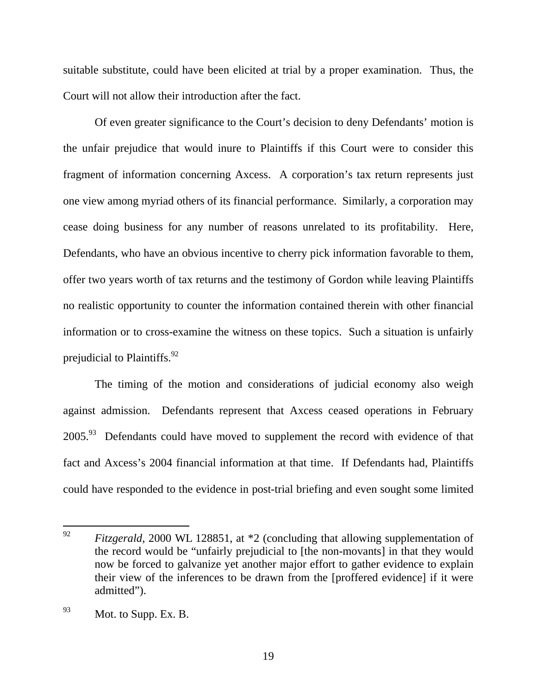suitable substitute, could have been elicited at trial by a proper examination. Thus, the Court will not allow their introduction after the fact.

Of even greater significance to the Court's decision to deny Defendants' motion is the unfair prejudice that would inure to Plaintiffs if this Court were to consider this fragment of information concerning Axcess. A corporation's tax return represents just one view among myriad others of its financial performance. Similarly, a corporation may cease doing business for any number of reasons unrelated to its profitability. Here, Defendants, who have an obvious incentive to cherry pick information favorable to them, offer two years worth of tax returns and the testimony of Gordon while leaving Plaintiffs no realistic opportunity to counter the information contained therein with other financial information or to cross-examine the witness on these topics. Such a situation is unfairly prejudicial to Plaintiffs.  $92$ 

The timing of the motion and considerations of judicial economy also weigh against admission. Defendants represent that Axcess ceased operations in February  $2005<sup>93</sup>$  Defendants could have moved to supplement the record with evidence of that fact and Axcess's 2004 financial information at that time. If Defendants had, Plaintiffs could have responded to the evidence in post-trial briefing and even sought some limited

<sup>92</sup> *Fitzgerald*, 2000 WL 128851, at \*2 (concluding that allowing supplementation of the record would be "unfairly prejudicial to [the non-movants] in that they would now be forced to galvanize yet another major effort to gather evidence to explain their view of the inferences to be drawn from the [proffered evidence] if it were admitted").

 $^{93}$  Mot. to Supp. Ex. B.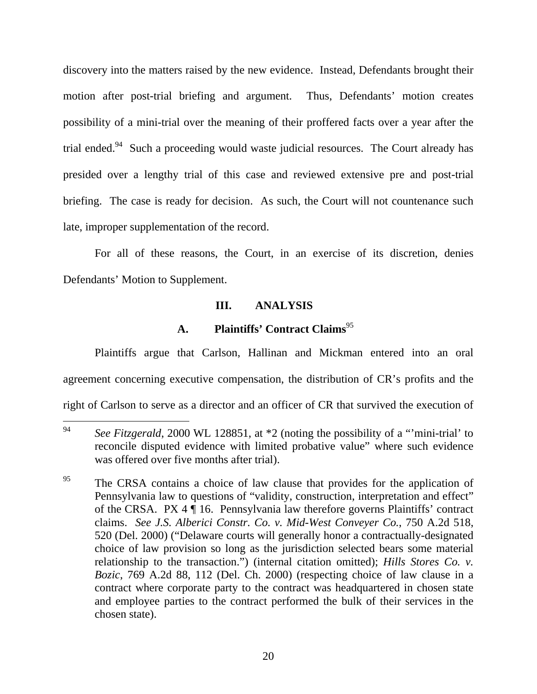discovery into the matters raised by the new evidence. Instead, Defendants brought their motion after post-trial briefing and argument. Thus, Defendants' motion creates possibility of a mini-trial over the meaning of their proffered facts over a year after the trial ended.<sup>94</sup> Such a proceeding would waste judicial resources. The Court already has presided over a lengthy trial of this case and reviewed extensive pre and post-trial briefing. The case is ready for decision. As such, the Court will not countenance such late, improper supplementation of the record.

For all of these reasons, the Court, in an exercise of its discretion, denies Defendants' Motion to Supplement.

## **III. ANALYSIS**

## **A. Plaintiffs' Contract Claims**<sup>95</sup>

Plaintiffs argue that Carlson, Hallinan and Mickman entered into an oral agreement concerning executive compensation, the distribution of CR's profits and the right of Carlson to serve as a director and an officer of CR that survived the execution of

<sup>94</sup> See Fitzgerald, 2000 WL 128851, at \*2 (noting the possibility of a "mini-trial' to reconcile disputed evidence with limited probative value" where such evidence was offered over five months after trial).

<sup>&</sup>lt;sup>95</sup> The CRSA contains a choice of law clause that provides for the application of Pennsylvania law to questions of "validity, construction, interpretation and effect" of the CRSA. PX 4 ¶ 16. Pennsylvania law therefore governs Plaintiffs' contract claims. *See J.S. Alberici Constr. Co. v. Mid-West Conveyer Co.*, 750 A.2d 518, 520 (Del. 2000) ("Delaware courts will generally honor a contractually-designated choice of law provision so long as the jurisdiction selected bears some material relationship to the transaction.") (internal citation omitted); *Hills Stores Co. v. Bozic*, 769 A.2d 88, 112 (Del. Ch. 2000) (respecting choice of law clause in a contract where corporate party to the contract was headquartered in chosen state and employee parties to the contract performed the bulk of their services in the chosen state).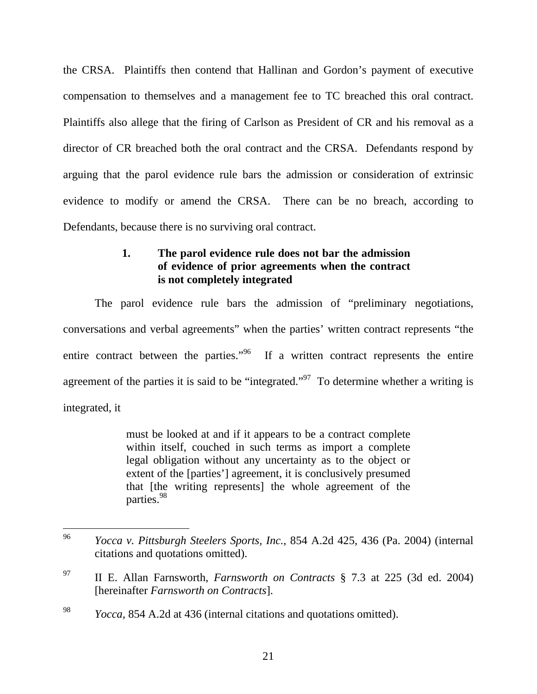the CRSA. Plaintiffs then contend that Hallinan and Gordon's payment of executive compensation to themselves and a management fee to TC breached this oral contract. Plaintiffs also allege that the firing of Carlson as President of CR and his removal as a director of CR breached both the oral contract and the CRSA. Defendants respond by arguing that the parol evidence rule bars the admission or consideration of extrinsic evidence to modify or amend the CRSA. There can be no breach, according to Defendants, because there is no surviving oral contract.

## **1. The parol evidence rule does not bar the admission of evidence of prior agreements when the contract is not completely integrated**

The parol evidence rule bars the admission of "preliminary negotiations, conversations and verbal agreements" when the parties' written contract represents "the entire contract between the parties."<sup>96</sup> If a written contract represents the entire agreement of the parties it is said to be "integrated."<sup>97</sup> To determine whether a writing is integrated, it

> must be looked at and if it appears to be a contract complete within itself, couched in such terms as import a complete legal obligation without any uncertainty as to the object or extent of the [parties'] agreement, it is conclusively presumed that [the writing represents] the whole agreement of the parties.<sup>98</sup>

<sup>96</sup> 96 *Yocca v. Pittsburgh Steelers Sports, Inc.*, 854 A.2d 425, 436 (Pa. 2004) (internal citations and quotations omitted).

<sup>97</sup> II E. Allan Farnsworth, *Farnsworth on Contracts* § 7.3 at 225 (3d ed. 2004) [hereinafter *Farnsworth on Contracts*].

<sup>98</sup> *Yocca*, 854 A.2d at 436 (internal citations and quotations omitted).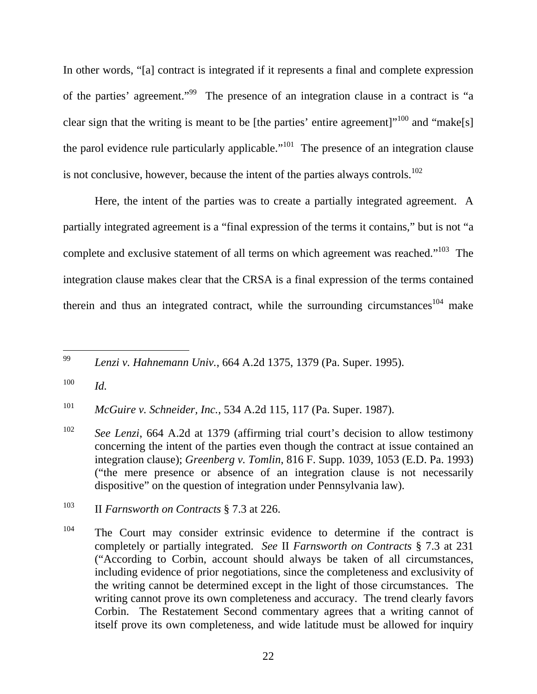In other words, "[a] contract is integrated if it represents a final and complete expression of the parties' agreement."<sup>99</sup> The presence of an integration clause in a contract is "a clear sign that the writing is meant to be [the parties' entire agreement] $1^{100}$  and "make[s] the parol evidence rule particularly applicable."<sup>101</sup> The presence of an integration clause is not conclusive, however, because the intent of the parties always controls.<sup>102</sup>

Here, the intent of the parties was to create a partially integrated agreement. A partially integrated agreement is a "final expression of the terms it contains," but is not "a complete and exclusive statement of all terms on which agreement was reached."<sup>103</sup> The integration clause makes clear that the CRSA is a final expression of the terms contained therein and thus an integrated contract, while the surrounding circumstances<sup>104</sup> make

 $\overline{a}$ 99 *Lenzi v. Hahnemann Univ.*, 664 A.2d 1375, 1379 (Pa. Super. 1995).

101 *McGuire v. Schneider, Inc.*, 534 A.2d 115, 117 (Pa. Super. 1987).

102 *See Lenzi*, 664 A.2d at 1379 (affirming trial court's decision to allow testimony concerning the intent of the parties even though the contract at issue contained an integration clause); *Greenberg v. Tomlin*, 816 F. Supp. 1039, 1053 (E.D. Pa. 1993) ("the mere presence or absence of an integration clause is not necessarily dispositive" on the question of integration under Pennsylvania law).

 $100$  *Id.* 

<sup>103</sup> II *Farnsworth on Contracts* § 7.3 at 226.

 $104$  The Court may consider extrinsic evidence to determine if the contract is completely or partially integrated. *See* II *Farnsworth on Contracts* § 7.3 at 231 ("According to Corbin, account should always be taken of all circumstances, including evidence of prior negotiations, since the completeness and exclusivity of the writing cannot be determined except in the light of those circumstances. The writing cannot prove its own completeness and accuracy. The trend clearly favors Corbin. The Restatement Second commentary agrees that a writing cannot of itself prove its own completeness, and wide latitude must be allowed for inquiry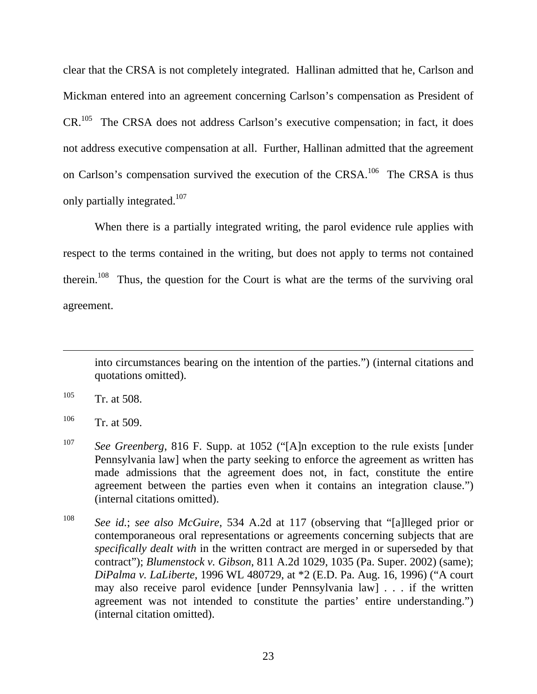clear that the CRSA is not completely integrated. Hallinan admitted that he, Carlson and Mickman entered into an agreement concerning Carlson's compensation as President of  $CR<sup>105</sup>$  The CRSA does not address Carlson's executive compensation; in fact, it does not address executive compensation at all. Further, Hallinan admitted that the agreement on Carlson's compensation survived the execution of the CRSA.<sup>106</sup> The CRSA is thus only partially integrated.<sup>107</sup>

When there is a partially integrated writing, the parol evidence rule applies with respect to the terms contained in the writing, but does not apply to terms not contained therein.<sup>108</sup> Thus, the question for the Court is what are the terms of the surviving oral agreement.

into circumstances bearing on the intention of the parties.") (internal citations and quotations omitted).

 $105$  Tr. at 508.

 $106$  Tr. at 509.

<sup>107</sup> *See Greenberg*, 816 F. Supp. at 1052 ("[A]n exception to the rule exists [under Pennsylvania law] when the party seeking to enforce the agreement as written has made admissions that the agreement does not, in fact, constitute the entire agreement between the parties even when it contains an integration clause.") (internal citations omitted).

<sup>108</sup> *See id.*; *see also McGuire*, 534 A.2d at 117 (observing that "[a]lleged prior or contemporaneous oral representations or agreements concerning subjects that are *specifically dealt with* in the written contract are merged in or superseded by that contract"); *Blumenstock v. Gibson*, 811 A.2d 1029, 1035 (Pa. Super. 2002) (same); *DiPalma v. LaLiberte*, 1996 WL 480729, at \*2 (E.D. Pa. Aug. 16, 1996) ("A court may also receive parol evidence [under Pennsylvania law] . . . if the written agreement was not intended to constitute the parties' entire understanding.") (internal citation omitted).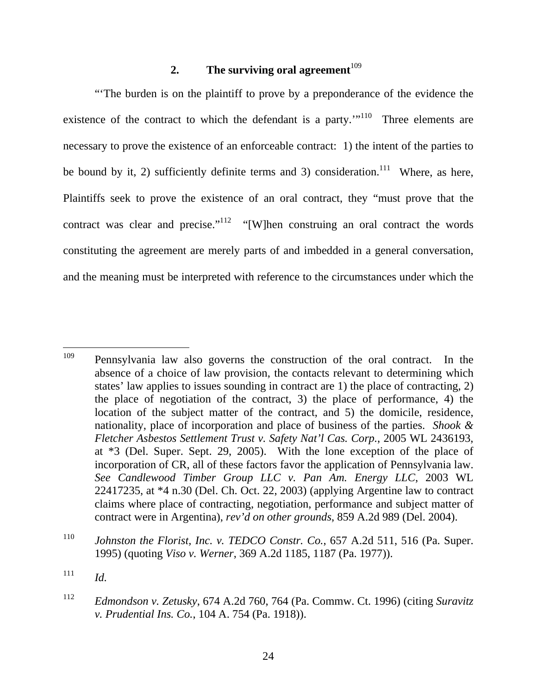## **2. The surviving oral agreement**<sup> $109$ </sup>

"'The burden is on the plaintiff to prove by a preponderance of the evidence the existence of the contract to which the defendant is a party."<sup>110</sup> Three elements are necessary to prove the existence of an enforceable contract: 1) the intent of the parties to be bound by it, 2) sufficiently definite terms and 3) consideration.<sup>111</sup> Where, as here, Plaintiffs seek to prove the existence of an oral contract, they "must prove that the contract was clear and precise."<sup>112</sup> "[W]hen construing an oral contract the words constituting the agreement are merely parts of and imbedded in a general conversation, and the meaning must be interpreted with reference to the circumstances under which the

<sup>109</sup> Pennsylvania law also governs the construction of the oral contract. In the absence of a choice of law provision, the contacts relevant to determining which states' law applies to issues sounding in contract are 1) the place of contracting, 2) the place of negotiation of the contract, 3) the place of performance, 4) the location of the subject matter of the contract, and 5) the domicile, residence, nationality, place of incorporation and place of business of the parties. *Shook & Fletcher Asbestos Settlement Trust v. Safety Nat'l Cas. Corp.*, 2005 WL 2436193, at \*3 (Del. Super. Sept. 29, 2005). With the lone exception of the place of incorporation of CR, all of these factors favor the application of Pennsylvania law. *See Candlewood Timber Group LLC v. Pan Am. Energy LLC*, 2003 WL 22417235, at \*4 n.30 (Del. Ch. Oct. 22, 2003) (applying Argentine law to contract claims where place of contracting, negotiation, performance and subject matter of contract were in Argentina), *rev'd on other grounds*, 859 A.2d 989 (Del. 2004).

<sup>110</sup> *Johnston the Florist, Inc. v. TEDCO Constr. Co.*, 657 A.2d 511, 516 (Pa. Super. 1995) (quoting *Viso v. Werner*, 369 A.2d 1185, 1187 (Pa. 1977)).

<sup>111</sup> *Id.* 

<sup>112</sup> *Edmondson v. Zetusky*, 674 A.2d 760, 764 (Pa. Commw. Ct. 1996) (citing *Suravitz v. Prudential Ins. Co.*, 104 A. 754 (Pa. 1918)).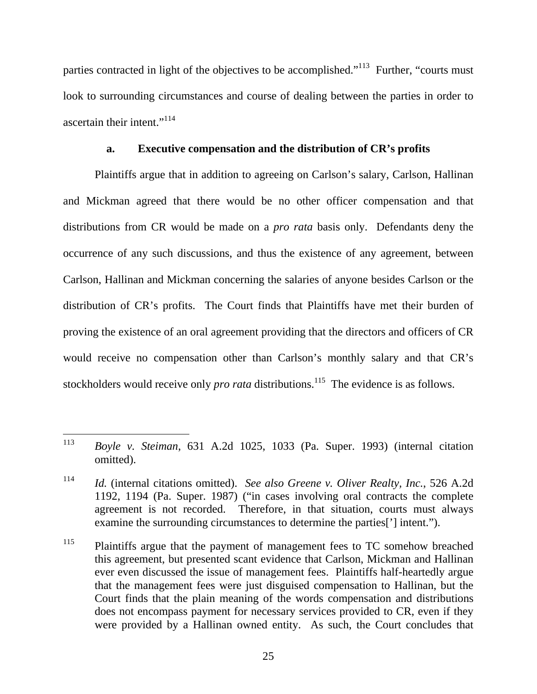parties contracted in light of the objectives to be accomplished."<sup>113</sup> Further, "courts must look to surrounding circumstances and course of dealing between the parties in order to ascertain their intent."<sup>114</sup>

#### **a. Executive compensation and the distribution of CR's profits**

Plaintiffs argue that in addition to agreeing on Carlson's salary, Carlson, Hallinan and Mickman agreed that there would be no other officer compensation and that distributions from CR would be made on a *pro rata* basis only. Defendants deny the occurrence of any such discussions, and thus the existence of any agreement, between Carlson, Hallinan and Mickman concerning the salaries of anyone besides Carlson or the distribution of CR's profits. The Court finds that Plaintiffs have met their burden of proving the existence of an oral agreement providing that the directors and officers of CR would receive no compensation other than Carlson's monthly salary and that CR's stockholders would receive only *pro rata* distributions.<sup>115</sup> The evidence is as follows.

<sup>113</sup> 113 *Boyle v. Steiman*, 631 A.2d 1025, 1033 (Pa. Super. 1993) (internal citation omitted).

<sup>114</sup> *Id.* (internal citations omitted). *See also Greene v. Oliver Realty, Inc.*, 526 A.2d 1192, 1194 (Pa. Super. 1987) ("in cases involving oral contracts the complete agreement is not recorded. Therefore, in that situation, courts must always examine the surrounding circumstances to determine the parties['] intent.").

<sup>&</sup>lt;sup>115</sup> Plaintiffs argue that the payment of management fees to TC somehow breached this agreement, but presented scant evidence that Carlson, Mickman and Hallinan ever even discussed the issue of management fees. Plaintiffs half-heartedly argue that the management fees were just disguised compensation to Hallinan, but the Court finds that the plain meaning of the words compensation and distributions does not encompass payment for necessary services provided to CR, even if they were provided by a Hallinan owned entity. As such, the Court concludes that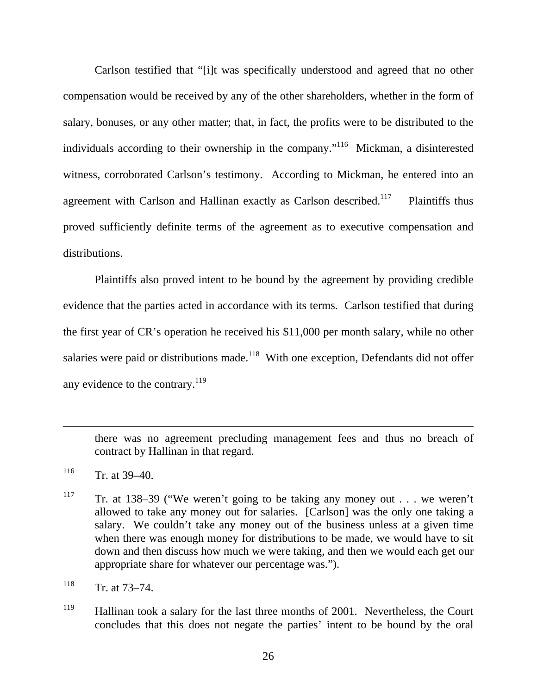Carlson testified that "[i]t was specifically understood and agreed that no other compensation would be received by any of the other shareholders, whether in the form of salary, bonuses, or any other matter; that, in fact, the profits were to be distributed to the individuals according to their ownership in the company."<sup>116</sup> Mickman, a disinterested witness, corroborated Carlson's testimony. According to Mickman, he entered into an agreement with Carlson and Hallinan exactly as Carlson described.<sup>117</sup> Plaintiffs thus proved sufficiently definite terms of the agreement as to executive compensation and distributions.

Plaintiffs also proved intent to be bound by the agreement by providing credible evidence that the parties acted in accordance with its terms. Carlson testified that during the first year of CR's operation he received his \$11,000 per month salary, while no other salaries were paid or distributions made.<sup>118</sup> With one exception, Defendants did not offer any evidence to the contrary.  $119$ 

there was no agreement precluding management fees and thus no breach of contract by Hallinan in that regard.

 $116$  Tr. at 39–40.

 $\overline{a}$ 

- <sup>117</sup> Tr. at 138–39 ("We weren't going to be taking any money out . . . we weren't allowed to take any money out for salaries. [Carlson] was the only one taking a salary. We couldn't take any money out of the business unless at a given time when there was enough money for distributions to be made, we would have to sit down and then discuss how much we were taking, and then we would each get our appropriate share for whatever our percentage was.").
- $118$  Tr. at 73–74.
- <sup>119</sup> Hallinan took a salary for the last three months of 2001. Nevertheless, the Court concludes that this does not negate the parties' intent to be bound by the oral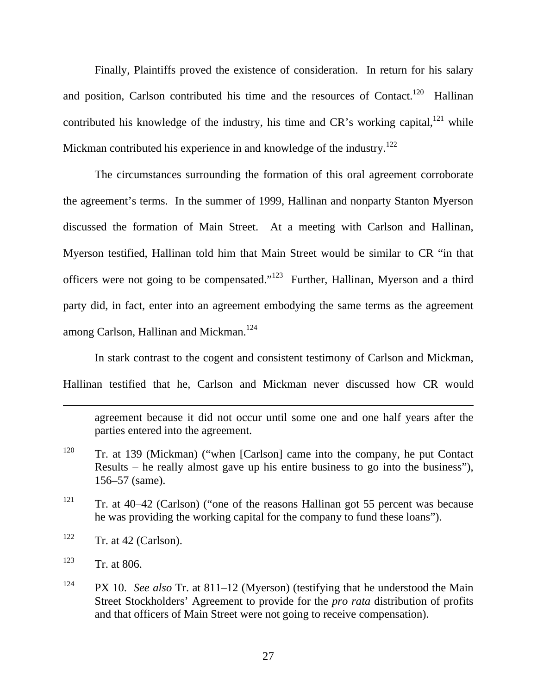Finally, Plaintiffs proved the existence of consideration. In return for his salary and position, Carlson contributed his time and the resources of Contact.<sup>120</sup> Hallinan contributed his knowledge of the industry, his time and  $CR$ 's working capital,<sup>121</sup> while Mickman contributed his experience in and knowledge of the industry.<sup>122</sup>

The circumstances surrounding the formation of this oral agreement corroborate the agreement's terms. In the summer of 1999, Hallinan and nonparty Stanton Myerson discussed the formation of Main Street. At a meeting with Carlson and Hallinan, Myerson testified, Hallinan told him that Main Street would be similar to CR "in that officers were not going to be compensated."123 Further, Hallinan, Myerson and a third party did, in fact, enter into an agreement embodying the same terms as the agreement among Carlson, Hallinan and Mickman.<sup>124</sup>

In stark contrast to the cogent and consistent testimony of Carlson and Mickman, Hallinan testified that he, Carlson and Mickman never discussed how CR would

agreement because it did not occur until some one and one half years after the parties entered into the agreement.

- <sup>120</sup> Tr. at 139 (Mickman) ("when [Carlson] came into the company, he put Contact Results – he really almost gave up his entire business to go into the business"), 156–57 (same).
- <sup>121</sup> Tr. at 40–42 (Carlson) ("one of the reasons Hallinan got 55 percent was because he was providing the working capital for the company to fund these loans").
- $122$  Tr. at 42 (Carlson).
- $123$  Tr. at 806.

 $\overline{a}$ 

<sup>124</sup> PX 10. *See also* Tr. at 811–12 (Myerson) (testifying that he understood the Main Street Stockholders' Agreement to provide for the *pro rata* distribution of profits and that officers of Main Street were not going to receive compensation).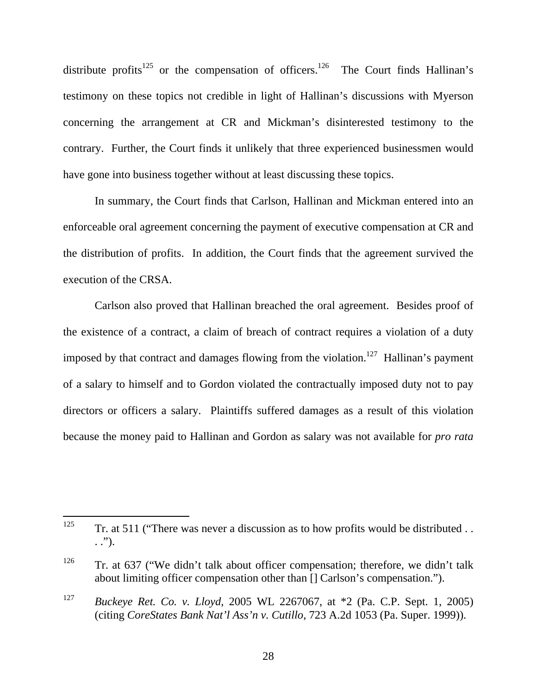distribute profits<sup>125</sup> or the compensation of officers.<sup>126</sup> The Court finds Hallinan's testimony on these topics not credible in light of Hallinan's discussions with Myerson concerning the arrangement at CR and Mickman's disinterested testimony to the contrary. Further, the Court finds it unlikely that three experienced businessmen would have gone into business together without at least discussing these topics.

In summary, the Court finds that Carlson, Hallinan and Mickman entered into an enforceable oral agreement concerning the payment of executive compensation at CR and the distribution of profits. In addition, the Court finds that the agreement survived the execution of the CRSA.

Carlson also proved that Hallinan breached the oral agreement. Besides proof of the existence of a contract, a claim of breach of contract requires a violation of a duty imposed by that contract and damages flowing from the violation.<sup>127</sup> Hallinan's payment of a salary to himself and to Gordon violated the contractually imposed duty not to pay directors or officers a salary. Plaintiffs suffered damages as a result of this violation because the money paid to Hallinan and Gordon as salary was not available for *pro rata*

<sup>125</sup> Tr. at 511 ("There was never a discussion as to how profits would be distributed  $\ldots$ . .").

<sup>&</sup>lt;sup>126</sup> Tr. at 637 ("We didn't talk about officer compensation; therefore, we didn't talk about limiting officer compensation other than [] Carlson's compensation.").

<sup>127</sup> *Buckeye Ret. Co. v. Lloyd*, 2005 WL 2267067, at \*2 (Pa. C.P. Sept. 1, 2005) (citing *CoreStates Bank Nat'l Ass'n v. Cutillo*, 723 A.2d 1053 (Pa. Super. 1999)).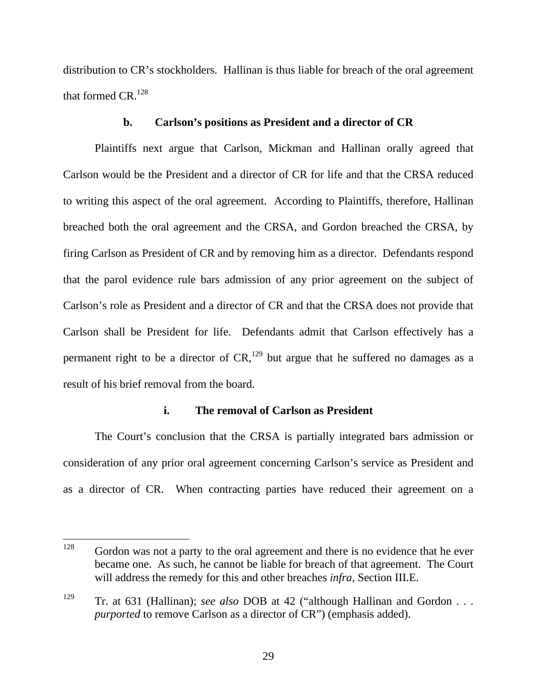distribution to CR's stockholders. Hallinan is thus liable for breach of the oral agreement that formed  $CR.^{128}$ 

### **b. Carlson's positions as President and a director of CR**

Plaintiffs next argue that Carlson, Mickman and Hallinan orally agreed that Carlson would be the President and a director of CR for life and that the CRSA reduced to writing this aspect of the oral agreement. According to Plaintiffs, therefore, Hallinan breached both the oral agreement and the CRSA, and Gordon breached the CRSA, by firing Carlson as President of CR and by removing him as a director. Defendants respond that the parol evidence rule bars admission of any prior agreement on the subject of Carlson's role as President and a director of CR and that the CRSA does not provide that Carlson shall be President for life. Defendants admit that Carlson effectively has a permanent right to be a director of  $CR<sub>129</sub>$  but argue that he suffered no damages as a result of his brief removal from the board.

### **i. The removal of Carlson as President**

The Court's conclusion that the CRSA is partially integrated bars admission or consideration of any prior oral agreement concerning Carlson's service as President and as a director of CR. When contracting parties have reduced their agreement on a

<sup>128</sup> Gordon was not a party to the oral agreement and there is no evidence that he ever became one. As such, he cannot be liable for breach of that agreement. The Court will address the remedy for this and other breaches *infra*, Section III.E.

<sup>129</sup> Tr. at 631 (Hallinan); *see also* DOB at 42 ("although Hallinan and Gordon . . . *purported* to remove Carlson as a director of CR") (emphasis added).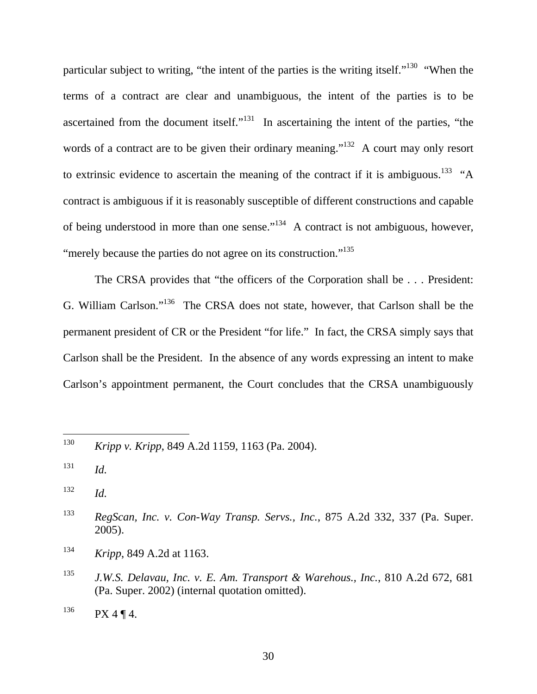particular subject to writing, "the intent of the parties is the writing itself."<sup>130</sup> "When the terms of a contract are clear and unambiguous, the intent of the parties is to be ascertained from the document itself."<sup>131</sup> In ascertaining the intent of the parties, "the words of a contract are to be given their ordinary meaning."<sup>132</sup> A court may only resort to extrinsic evidence to ascertain the meaning of the contract if it is ambiguous.<sup>133</sup> "A contract is ambiguous if it is reasonably susceptible of different constructions and capable of being understood in more than one sense."<sup>134</sup> A contract is not ambiguous, however, "merely because the parties do not agree on its construction."<sup>135</sup>

The CRSA provides that "the officers of the Corporation shall be . . . President: G. William Carlson."136 The CRSA does not state, however, that Carlson shall be the permanent president of CR or the President "for life." In fact, the CRSA simply says that Carlson shall be the President. In the absence of any words expressing an intent to make Carlson's appointment permanent, the Court concludes that the CRSA unambiguously

 $132$  *Id.* 

<sup>130</sup> 130 *Kripp v. Kripp*, 849 A.2d 1159, 1163 (Pa. 2004).

 $131$  *Id.* 

<sup>133</sup> *RegScan, Inc. v. Con-Way Transp. Servs., Inc.*, 875 A.2d 332, 337 (Pa. Super. 2005).

<sup>134</sup> *Kripp*, 849 A.2d at 1163.

<sup>135</sup> *J.W.S. Delavau, Inc. v. E. Am. Transport & Warehous., Inc.*, 810 A.2d 672, 681 (Pa. Super. 2002) (internal quotation omitted).

 $136$  PX 4 ¶ 4.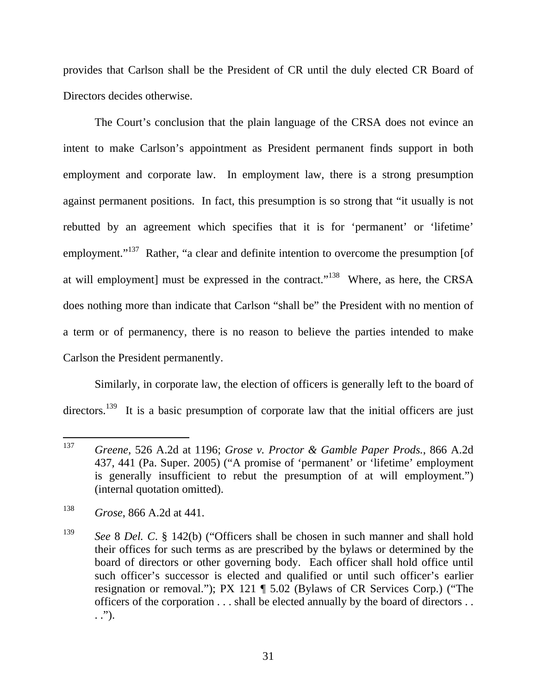provides that Carlson shall be the President of CR until the duly elected CR Board of Directors decides otherwise.

The Court's conclusion that the plain language of the CRSA does not evince an intent to make Carlson's appointment as President permanent finds support in both employment and corporate law. In employment law, there is a strong presumption against permanent positions. In fact, this presumption is so strong that "it usually is not rebutted by an agreement which specifies that it is for 'permanent' or 'lifetime' employment."<sup>137</sup> Rather, "a clear and definite intention to overcome the presumption [of at will employment] must be expressed in the contract."138 Where, as here, the CRSA does nothing more than indicate that Carlson "shall be" the President with no mention of a term or of permanency, there is no reason to believe the parties intended to make Carlson the President permanently.

Similarly, in corporate law, the election of officers is generally left to the board of directors.<sup>139</sup> It is a basic presumption of corporate law that the initial officers are just

<sup>137</sup> 137 *Greene*, 526 A.2d at 1196; *Grose v. Proctor & Gamble Paper Prods.*, 866 A.2d 437, 441 (Pa. Super. 2005) ("A promise of 'permanent' or 'lifetime' employment is generally insufficient to rebut the presumption of at will employment.") (internal quotation omitted).

<sup>138</sup> *Grose*, 866 A.2d at 441.

<sup>139</sup> *See* 8 *Del. C*. § 142(b) ("Officers shall be chosen in such manner and shall hold their offices for such terms as are prescribed by the bylaws or determined by the board of directors or other governing body. Each officer shall hold office until such officer's successor is elected and qualified or until such officer's earlier resignation or removal."); PX 121 ¶ 5.02 (Bylaws of CR Services Corp.) ("The officers of the corporation . . . shall be elected annually by the board of directors . .  $\ldots$ ").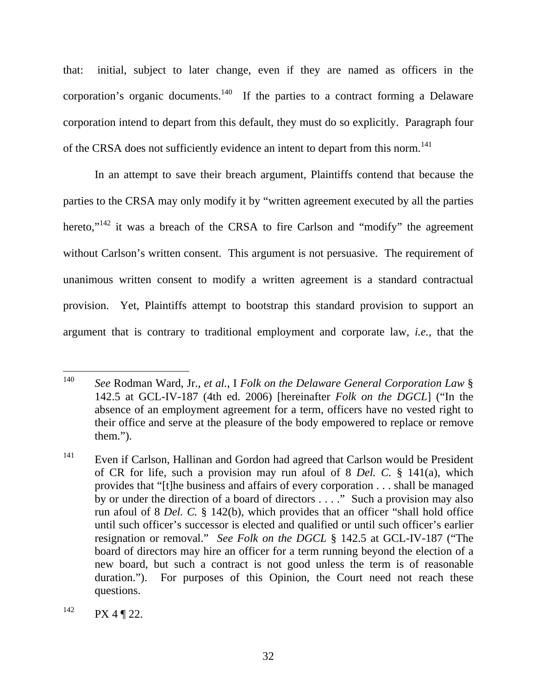that: initial, subject to later change, even if they are named as officers in the corporation's organic documents.<sup>140</sup> If the parties to a contract forming a Delaware corporation intend to depart from this default, they must do so explicitly. Paragraph four of the CRSA does not sufficiently evidence an intent to depart from this norm.<sup>141</sup>

In an attempt to save their breach argument, Plaintiffs contend that because the parties to the CRSA may only modify it by "written agreement executed by all the parties hereto,"<sup>142</sup> it was a breach of the CRSA to fire Carlson and "modify" the agreement without Carlson's written consent. This argument is not persuasive. The requirement of unanimous written consent to modify a written agreement is a standard contractual provision. Yet, Plaintiffs attempt to bootstrap this standard provision to support an argument that is contrary to traditional employment and corporate law, *i.e.*, that the

<sup>140</sup> 140 *See* Rodman Ward, Jr., *et al.*, I *Folk on the Delaware General Corporation Law* § 142.5 at GCL-IV-187 (4th ed. 2006) [hereinafter *Folk on the DGCL*] ("In the absence of an employment agreement for a term, officers have no vested right to their office and serve at the pleasure of the body empowered to replace or remove them.").

<sup>&</sup>lt;sup>141</sup> Even if Carlson, Hallinan and Gordon had agreed that Carlson would be President of CR for life, such a provision may run afoul of 8 *Del. C.* § 141(a), which provides that "[t]he business and affairs of every corporation . . . shall be managed by or under the direction of a board of directors . . . ." Such a provision may also run afoul of 8 *Del. C.* § 142(b), which provides that an officer "shall hold office until such officer's successor is elected and qualified or until such officer's earlier resignation or removal." *See Folk on the DGCL* § 142.5 at GCL-IV-187 ("The board of directors may hire an officer for a term running beyond the election of a new board, but such a contract is not good unless the term is of reasonable duration."). For purposes of this Opinion, the Court need not reach these questions.

 $142$  PX 4 ¶ 22.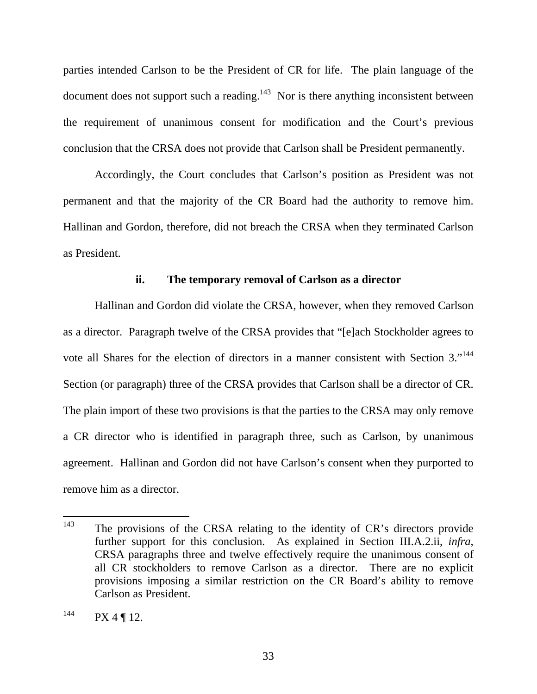parties intended Carlson to be the President of CR for life. The plain language of the document does not support such a reading.<sup>143</sup> Nor is there anything inconsistent between the requirement of unanimous consent for modification and the Court's previous conclusion that the CRSA does not provide that Carlson shall be President permanently.

Accordingly, the Court concludes that Carlson's position as President was not permanent and that the majority of the CR Board had the authority to remove him. Hallinan and Gordon, therefore, did not breach the CRSA when they terminated Carlson as President.

#### **ii. The temporary removal of Carlson as a director**

Hallinan and Gordon did violate the CRSA, however, when they removed Carlson as a director. Paragraph twelve of the CRSA provides that "[e]ach Stockholder agrees to vote all Shares for the election of directors in a manner consistent with Section 3."<sup>144</sup> Section (or paragraph) three of the CRSA provides that Carlson shall be a director of CR. The plain import of these two provisions is that the parties to the CRSA may only remove a CR director who is identified in paragraph three, such as Carlson, by unanimous agreement. Hallinan and Gordon did not have Carlson's consent when they purported to remove him as a director.

<sup>143</sup> The provisions of the CRSA relating to the identity of CR's directors provide further support for this conclusion. As explained in Section III.A.2.ii, *infra*, CRSA paragraphs three and twelve effectively require the unanimous consent of all CR stockholders to remove Carlson as a director. There are no explicit provisions imposing a similar restriction on the CR Board's ability to remove Carlson as President.

 $144$  PX 4 ¶ 12.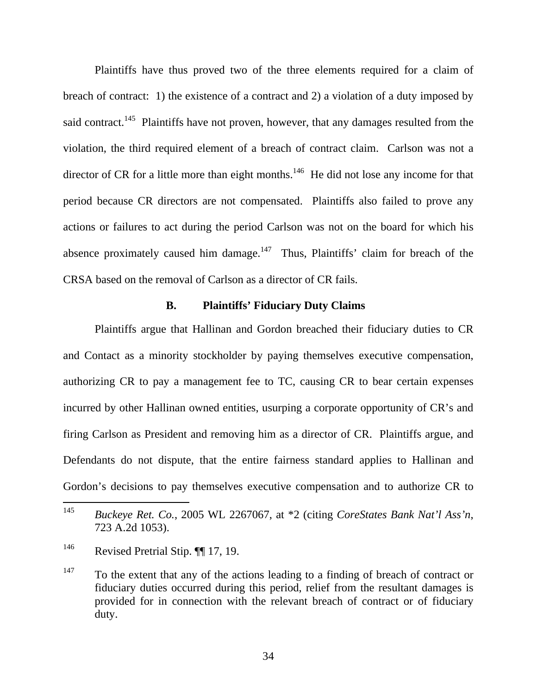Plaintiffs have thus proved two of the three elements required for a claim of breach of contract: 1) the existence of a contract and 2) a violation of a duty imposed by said contract.<sup>145</sup> Plaintiffs have not proven, however, that any damages resulted from the violation, the third required element of a breach of contract claim. Carlson was not a director of CR for a little more than eight months.<sup>146</sup> He did not lose any income for that period because CR directors are not compensated. Plaintiffs also failed to prove any actions or failures to act during the period Carlson was not on the board for which his absence proximately caused him damage.<sup>147</sup> Thus, Plaintiffs' claim for breach of the CRSA based on the removal of Carlson as a director of CR fails.

#### **B. Plaintiffs' Fiduciary Duty Claims**

Plaintiffs argue that Hallinan and Gordon breached their fiduciary duties to CR and Contact as a minority stockholder by paying themselves executive compensation, authorizing CR to pay a management fee to TC, causing CR to bear certain expenses incurred by other Hallinan owned entities, usurping a corporate opportunity of CR's and firing Carlson as President and removing him as a director of CR. Plaintiffs argue, and Defendants do not dispute, that the entire fairness standard applies to Hallinan and Gordon's decisions to pay themselves executive compensation and to authorize CR to

<sup>145</sup> 145 *Buckeye Ret. Co.*, 2005 WL 2267067, at \*2 (citing *CoreStates Bank Nat'l Ass'n*, 723 A.2d 1053).

<sup>146</sup> Revised Pretrial Stip. ¶¶ 17, 19.

 $147$  To the extent that any of the actions leading to a finding of breach of contract or fiduciary duties occurred during this period, relief from the resultant damages is provided for in connection with the relevant breach of contract or of fiduciary duty.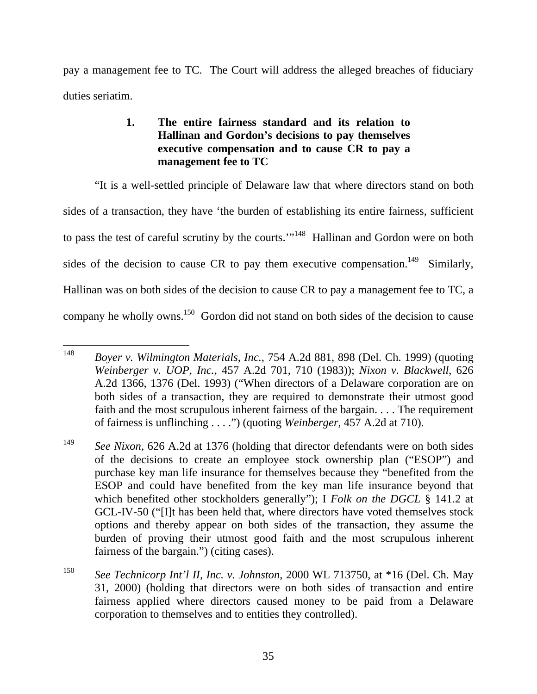pay a management fee to TC. The Court will address the alleged breaches of fiduciary duties seriatim.

## **1. The entire fairness standard and its relation to Hallinan and Gordon's decisions to pay themselves executive compensation and to cause CR to pay a management fee to TC**

"It is a well-settled principle of Delaware law that where directors stand on both sides of a transaction, they have 'the burden of establishing its entire fairness, sufficient to pass the test of careful scrutiny by the courts."<sup>148</sup> Hallinan and Gordon were on both sides of the decision to cause CR to pay them executive compensation.<sup>149</sup> Similarly, Hallinan was on both sides of the decision to cause CR to pay a management fee to TC, a company he wholly owns.<sup>150</sup> Gordon did not stand on both sides of the decision to cause

<sup>148</sup> 148 *Boyer v. Wilmington Materials, Inc.*, 754 A.2d 881, 898 (Del. Ch. 1999) (quoting *Weinberger v. UOP, Inc.*, 457 A.2d 701, 710 (1983)); *Nixon v. Blackwell*, 626 A.2d 1366, 1376 (Del. 1993) ("When directors of a Delaware corporation are on both sides of a transaction, they are required to demonstrate their utmost good faith and the most scrupulous inherent fairness of the bargain. . . . The requirement of fairness is unflinching . . . .") (quoting *Weinberger*, 457 A.2d at 710).

<sup>&</sup>lt;sup>149</sup> *See Nixon*, 626 A.2d at 1376 (holding that director defendants were on both sides of the decisions to create an employee stock ownership plan ("ESOP") and purchase key man life insurance for themselves because they "benefited from the ESOP and could have benefited from the key man life insurance beyond that which benefited other stockholders generally"); I *Folk on the DGCL* § 141.2 at GCL-IV-50 ("[I]t has been held that, where directors have voted themselves stock options and thereby appear on both sides of the transaction, they assume the burden of proving their utmost good faith and the most scrupulous inherent fairness of the bargain.") (citing cases).

<sup>150</sup> *See Technicorp Int'l II, Inc. v. Johnston*, 2000 WL 713750, at \*16 (Del. Ch. May 31, 2000) (holding that directors were on both sides of transaction and entire fairness applied where directors caused money to be paid from a Delaware corporation to themselves and to entities they controlled).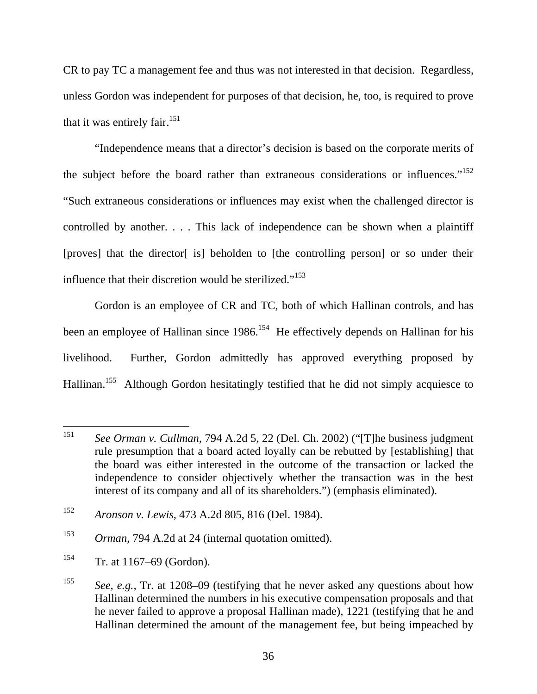CR to pay TC a management fee and thus was not interested in that decision. Regardless, unless Gordon was independent for purposes of that decision, he, too, is required to prove that it was entirely fair.<sup>151</sup>

"Independence means that a director's decision is based on the corporate merits of the subject before the board rather than extraneous considerations or influences."<sup>152</sup> "Such extraneous considerations or influences may exist when the challenged director is controlled by another. . . . This lack of independence can be shown when a plaintiff [proves] that the director[ is] beholden to [the controlling person] or so under their influence that their discretion would be sterilized."<sup>153</sup>

Gordon is an employee of CR and TC, both of which Hallinan controls, and has been an employee of Hallinan since 1986.<sup>154</sup> He effectively depends on Hallinan for his livelihood. Further, Gordon admittedly has approved everything proposed by Hallinan.<sup>155</sup> Although Gordon hesitatingly testified that he did not simply acquiesce to

<sup>151</sup> 151 *See Orman v. Cullman*, 794 A.2d 5, 22 (Del. Ch. 2002) ("[T]he business judgment rule presumption that a board acted loyally can be rebutted by [establishing] that the board was either interested in the outcome of the transaction or lacked the independence to consider objectively whether the transaction was in the best interest of its company and all of its shareholders.") (emphasis eliminated).

<sup>152</sup> *Aronson v. Lewis*, 473 A.2d 805, 816 (Del. 1984).

<sup>153</sup> *Orman*, 794 A.2d at 24 (internal quotation omitted).

 $154$  Tr. at 1167–69 (Gordon).

<sup>155</sup> *See, e.g.,* Tr. at 1208–09 (testifying that he never asked any questions about how Hallinan determined the numbers in his executive compensation proposals and that he never failed to approve a proposal Hallinan made), 1221 (testifying that he and Hallinan determined the amount of the management fee, but being impeached by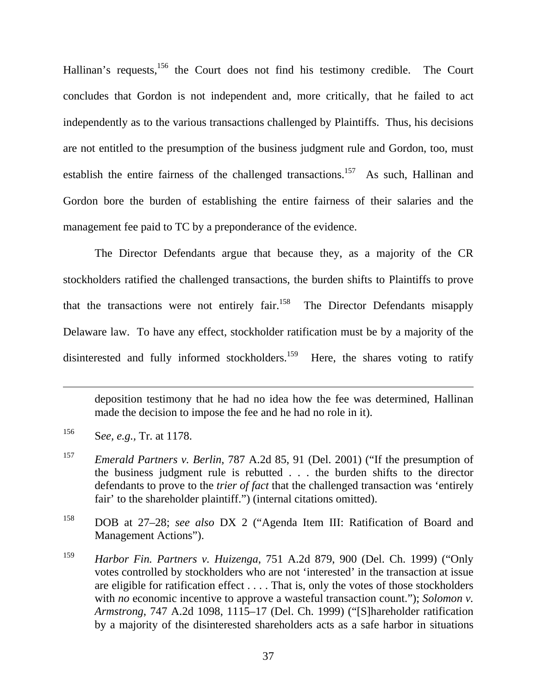Hallinan's requests,<sup>156</sup> the Court does not find his testimony credible. The Court concludes that Gordon is not independent and, more critically, that he failed to act independently as to the various transactions challenged by Plaintiffs. Thus, his decisions are not entitled to the presumption of the business judgment rule and Gordon, too, must establish the entire fairness of the challenged transactions.<sup>157</sup> As such, Hallinan and Gordon bore the burden of establishing the entire fairness of their salaries and the management fee paid to TC by a preponderance of the evidence.

The Director Defendants argue that because they, as a majority of the CR stockholders ratified the challenged transactions, the burden shifts to Plaintiffs to prove that the transactions were not entirely fair.<sup>158</sup> The Director Defendants misapply Delaware law. To have any effect, stockholder ratification must be by a majority of the disinterested and fully informed stockholders.<sup>159</sup> Here, the shares voting to ratify

deposition testimony that he had no idea how the fee was determined, Hallinan made the decision to impose the fee and he had no role in it).

<sup>156</sup> S*ee, e.g.,* Tr. at 1178.

<sup>157</sup> *Emerald Partners v. Berlin*, 787 A.2d 85, 91 (Del. 2001) ("If the presumption of the business judgment rule is rebutted . . . the burden shifts to the director defendants to prove to the *trier of fact* that the challenged transaction was 'entirely fair' to the shareholder plaintiff.") (internal citations omitted).

<sup>158</sup> DOB at 27–28; *see also* DX 2 ("Agenda Item III: Ratification of Board and Management Actions").

<sup>159</sup> *Harbor Fin. Partners v. Huizenga*, 751 A.2d 879, 900 (Del. Ch. 1999) ("Only votes controlled by stockholders who are not 'interested' in the transaction at issue are eligible for ratification effect . . . . That is, only the votes of those stockholders with *no* economic incentive to approve a wasteful transaction count."); *Solomon v*. *Armstrong*, 747 A.2d 1098, 1115–17 (Del. Ch. 1999) ("[S]hareholder ratification by a majority of the disinterested shareholders acts as a safe harbor in situations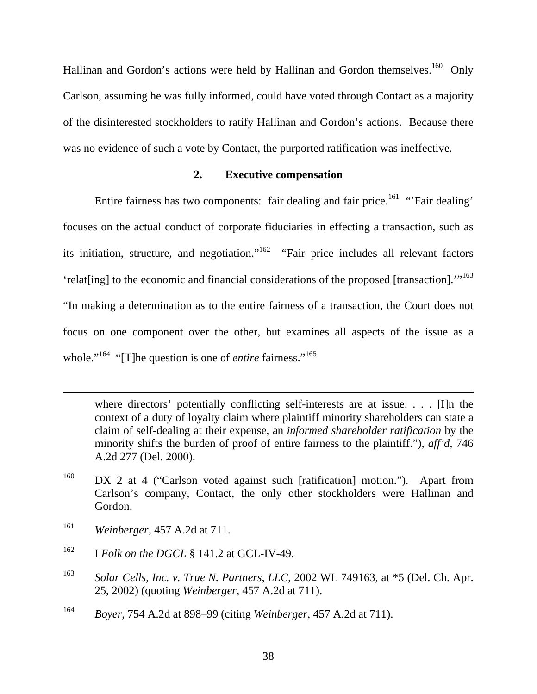Hallinan and Gordon's actions were held by Hallinan and Gordon themselves.<sup>160</sup> Only Carlson, assuming he was fully informed, could have voted through Contact as a majority of the disinterested stockholders to ratify Hallinan and Gordon's actions. Because there was no evidence of such a vote by Contact, the purported ratification was ineffective.

# **2. Executive compensation**

Entire fairness has two components: fair dealing and fair price.<sup>161</sup> "'Fair dealing' focuses on the actual conduct of corporate fiduciaries in effecting a transaction, such as its initiation, structure, and negotiation."<sup>162</sup> "Fair price includes all relevant factors 'relat[ing] to the economic and financial considerations of the proposed [transaction]."<sup>163</sup> "In making a determination as to the entire fairness of a transaction, the Court does not focus on one component over the other, but examines all aspects of the issue as a whole."<sup>164</sup> "[T]he question is one of *entire* fairness."<sup>165</sup>

161 *Weinberger*, 457 A.2d at 711.

 $\overline{a}$ 

- <sup>162</sup> I *Folk on the DGCL* § 141.2 at GCL-IV-49.
- 163 *Solar Cells, Inc. v. True N. Partners, LLC*, 2002 WL 749163, at \*5 (Del. Ch. Apr. 25, 2002) (quoting *Weinberger*, 457 A.2d at 711).
- 164 *Boyer*, 754 A.2d at 898–99 (citing *Weinberger*, 457 A.2d at 711).

where directors' potentially conflicting self-interests are at issue. . . . [I]n the context of a duty of loyalty claim where plaintiff minority shareholders can state a claim of self-dealing at their expense, an *informed shareholder ratification* by the minority shifts the burden of proof of entire fairness to the plaintiff."), *aff'd*, 746 A.2d 277 (Del. 2000).

<sup>&</sup>lt;sup>160</sup> DX 2 at 4 ("Carlson voted against such [ratification] motion."). Apart from Carlson's company, Contact, the only other stockholders were Hallinan and Gordon.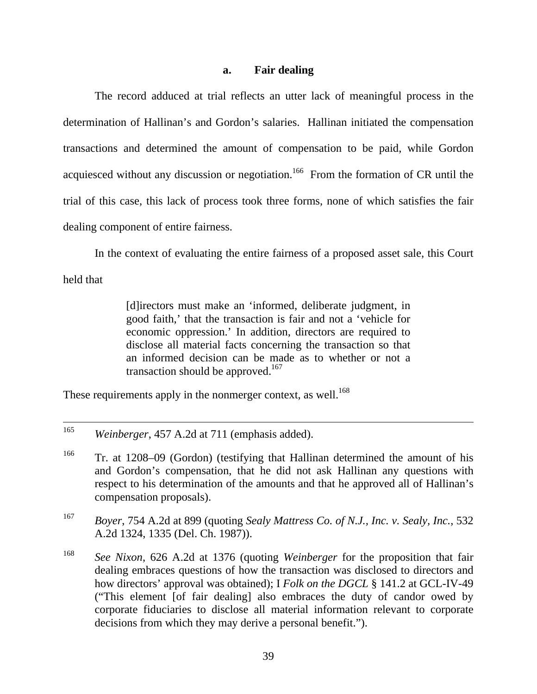### **a. Fair dealing**

The record adduced at trial reflects an utter lack of meaningful process in the determination of Hallinan's and Gordon's salaries. Hallinan initiated the compensation transactions and determined the amount of compensation to be paid, while Gordon acquiesced without any discussion or negotiation.<sup>166</sup> From the formation of CR until the trial of this case, this lack of process took three forms, none of which satisfies the fair dealing component of entire fairness.

In the context of evaluating the entire fairness of a proposed asset sale, this Court

held that

[d]irectors must make an 'informed, deliberate judgment, in good faith,' that the transaction is fair and not a 'vehicle for economic oppression.' In addition, directors are required to disclose all material facts concerning the transaction so that an informed decision can be made as to whether or not a transaction should be approved.<sup>167</sup>

These requirements apply in the nonmerger context, as well.<sup>168</sup>

- 167 *Boyer*, 754 A.2d at 899 (quoting *Sealy Mattress Co. of N.J., Inc. v. Sealy, Inc.*, 532 A.2d 1324, 1335 (Del. Ch. 1987)).
- 168 *See Nixon*, 626 A.2d at 1376 (quoting *Weinberger* for the proposition that fair dealing embraces questions of how the transaction was disclosed to directors and how directors' approval was obtained); I *Folk on the DGCL* § 141.2 at GCL-IV-49 ("This element [of fair dealing] also embraces the duty of candor owed by corporate fiduciaries to disclose all material information relevant to corporate decisions from which they may derive a personal benefit.").

 <sup>165</sup> *Weinberger*, 457 A.2d at 711 (emphasis added).

<sup>&</sup>lt;sup>166</sup> Tr. at 1208–09 (Gordon) (testifying that Hallinan determined the amount of his and Gordon's compensation, that he did not ask Hallinan any questions with respect to his determination of the amounts and that he approved all of Hallinan's compensation proposals).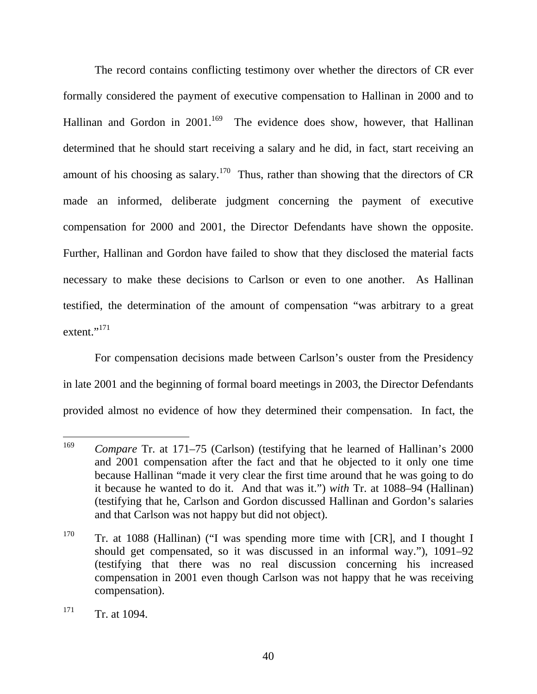The record contains conflicting testimony over whether the directors of CR ever formally considered the payment of executive compensation to Hallinan in 2000 and to Hallinan and Gordon in  $2001$ <sup>169</sup> The evidence does show, however, that Hallinan determined that he should start receiving a salary and he did, in fact, start receiving an amount of his choosing as salary.<sup>170</sup> Thus, rather than showing that the directors of CR made an informed, deliberate judgment concerning the payment of executive compensation for 2000 and 2001, the Director Defendants have shown the opposite. Further, Hallinan and Gordon have failed to show that they disclosed the material facts necessary to make these decisions to Carlson or even to one another. As Hallinan testified, the determination of the amount of compensation "was arbitrary to a great extent."<sup>171</sup>

For compensation decisions made between Carlson's ouster from the Presidency in late 2001 and the beginning of formal board meetings in 2003, the Director Defendants provided almost no evidence of how they determined their compensation. In fact, the

<sup>169</sup> *Compare* Tr. at 171–75 (Carlson) (testifying that he learned of Hallinan's 2000 and 2001 compensation after the fact and that he objected to it only one time because Hallinan "made it very clear the first time around that he was going to do it because he wanted to do it. And that was it.") *with* Tr. at 1088–94 (Hallinan) (testifying that he, Carlson and Gordon discussed Hallinan and Gordon's salaries and that Carlson was not happy but did not object).

<sup>&</sup>lt;sup>170</sup> Tr. at 1088 (Hallinan) ("I was spending more time with [CR], and I thought I should get compensated, so it was discussed in an informal way."), 1091–92 (testifying that there was no real discussion concerning his increased compensation in 2001 even though Carlson was not happy that he was receiving compensation).

 $171$  Tr. at 1094.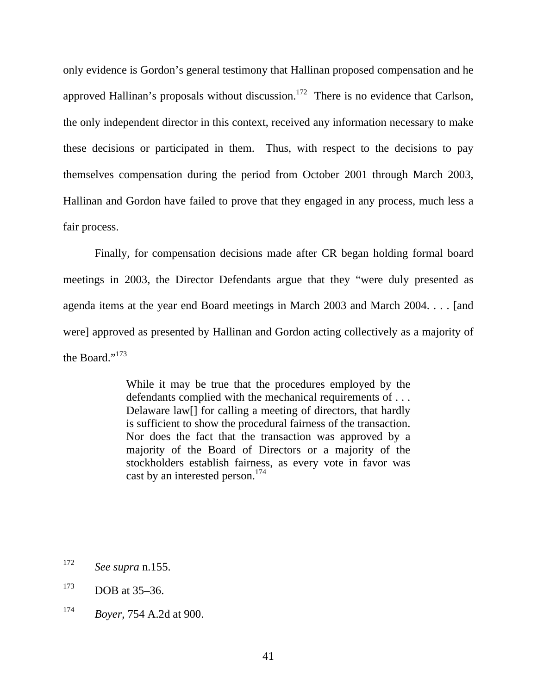only evidence is Gordon's general testimony that Hallinan proposed compensation and he approved Hallinan's proposals without discussion.<sup>172</sup> There is no evidence that Carlson, the only independent director in this context, received any information necessary to make these decisions or participated in them. Thus, with respect to the decisions to pay themselves compensation during the period from October 2001 through March 2003, Hallinan and Gordon have failed to prove that they engaged in any process, much less a fair process.

Finally, for compensation decisions made after CR began holding formal board meetings in 2003, the Director Defendants argue that they "were duly presented as agenda items at the year end Board meetings in March 2003 and March 2004. . . . [and were] approved as presented by Hallinan and Gordon acting collectively as a majority of the Board."<sup>173</sup>

> While it may be true that the procedures employed by the defendants complied with the mechanical requirements of . . . Delaware law[] for calling a meeting of directors, that hardly is sufficient to show the procedural fairness of the transaction. Nor does the fact that the transaction was approved by a majority of the Board of Directors or a majority of the stockholders establish fairness, as every vote in favor was cast by an interested person.<sup>174</sup>

<sup>172</sup> *See supra* n.155.

 $173$  DOB at  $35-36$ .

<sup>174</sup> *Boyer*, 754 A.2d at 900.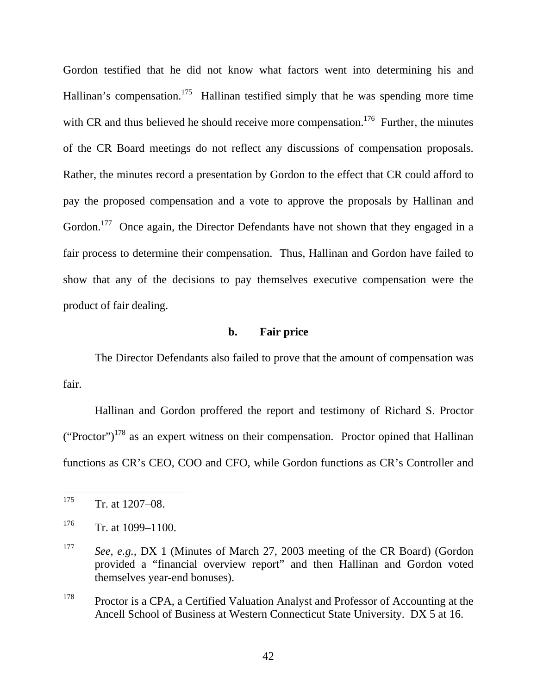Gordon testified that he did not know what factors went into determining his and Hallinan's compensation.<sup>175</sup> Hallinan testified simply that he was spending more time with CR and thus believed he should receive more compensation.<sup>176</sup> Further, the minutes of the CR Board meetings do not reflect any discussions of compensation proposals. Rather, the minutes record a presentation by Gordon to the effect that CR could afford to pay the proposed compensation and a vote to approve the proposals by Hallinan and Gordon.<sup>177</sup> Once again, the Director Defendants have not shown that they engaged in a fair process to determine their compensation. Thus, Hallinan and Gordon have failed to show that any of the decisions to pay themselves executive compensation were the product of fair dealing.

### **b. Fair price**

The Director Defendants also failed to prove that the amount of compensation was fair.

Hallinan and Gordon proffered the report and testimony of Richard S. Proctor  $("Proctor")<sup>178</sup>$  as an expert witness on their compensation. Proctor opined that Hallinan functions as CR's CEO, COO and CFO, while Gordon functions as CR's Controller and

<sup>175</sup> Tr. at 1207–08.

 $176$  Tr. at 1099–1100.

<sup>177</sup> *See, e.g.,* DX 1 (Minutes of March 27, 2003 meeting of the CR Board) (Gordon provided a "financial overview report" and then Hallinan and Gordon voted themselves year-end bonuses).

<sup>&</sup>lt;sup>178</sup> Proctor is a CPA, a Certified Valuation Analyst and Professor of Accounting at the Ancell School of Business at Western Connecticut State University. DX 5 at 16.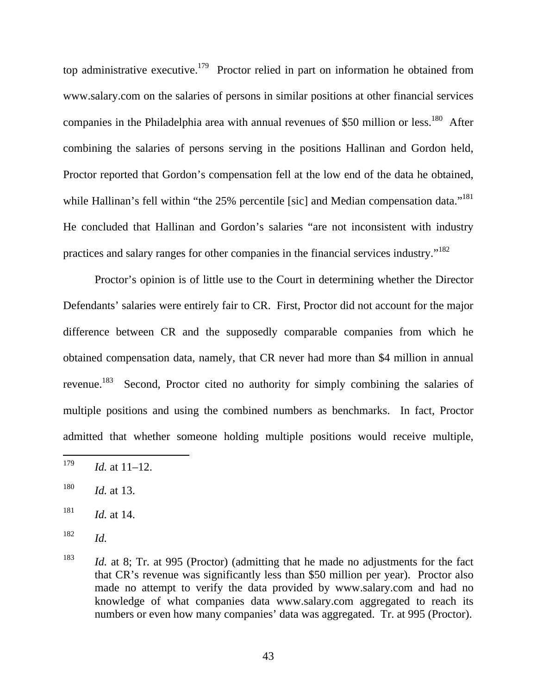top administrative executive.<sup>179</sup> Proctor relied in part on information he obtained from www.salary.com on the salaries of persons in similar positions at other financial services companies in the Philadelphia area with annual revenues of \$50 million or less.<sup>180</sup> After combining the salaries of persons serving in the positions Hallinan and Gordon held, Proctor reported that Gordon's compensation fell at the low end of the data he obtained, while Hallinan's fell within "the 25% percentile [sic] and Median compensation data."<sup>181</sup> He concluded that Hallinan and Gordon's salaries "are not inconsistent with industry practices and salary ranges for other companies in the financial services industry."182

Proctor's opinion is of little use to the Court in determining whether the Director Defendants' salaries were entirely fair to CR. First, Proctor did not account for the major difference between CR and the supposedly comparable companies from which he obtained compensation data, namely, that CR never had more than \$4 million in annual revenue.183 Second, Proctor cited no authority for simply combining the salaries of multiple positions and using the combined numbers as benchmarks. In fact, Proctor admitted that whether someone holding multiple positions would receive multiple,

181 *Id.* at 14.

<sup>179</sup> *Id.* at 11–12.

<sup>180</sup> *Id.* at 13.

<sup>182</sup> *Id.*

<sup>183</sup> *Id.* at 8; Tr. at 995 (Proctor) (admitting that he made no adjustments for the fact that CR's revenue was significantly less than \$50 million per year). Proctor also made no attempt to verify the data provided by www.salary.com and had no knowledge of what companies data www.salary.com aggregated to reach its numbers or even how many companies' data was aggregated. Tr. at 995 (Proctor).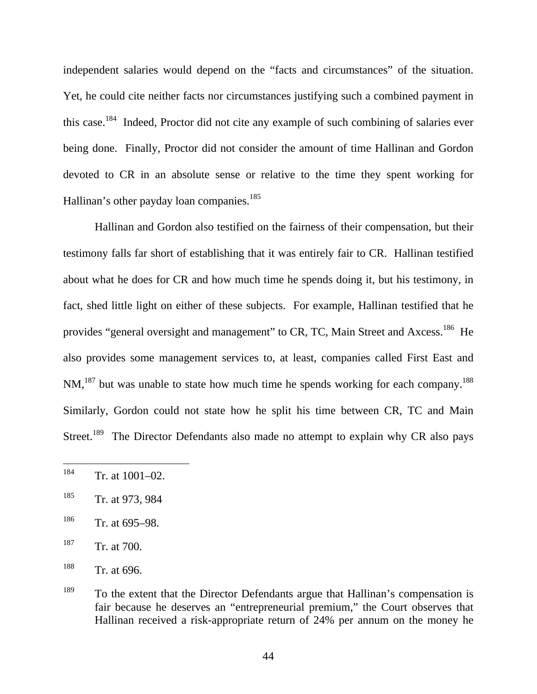independent salaries would depend on the "facts and circumstances" of the situation. Yet, he could cite neither facts nor circumstances justifying such a combined payment in this case.184 Indeed, Proctor did not cite any example of such combining of salaries ever being done. Finally, Proctor did not consider the amount of time Hallinan and Gordon devoted to CR in an absolute sense or relative to the time they spent working for Hallinan's other payday loan companies.<sup>185</sup>

Hallinan and Gordon also testified on the fairness of their compensation, but their testimony falls far short of establishing that it was entirely fair to CR. Hallinan testified about what he does for CR and how much time he spends doing it, but his testimony, in fact, shed little light on either of these subjects. For example, Hallinan testified that he provides "general oversight and management" to CR, TC, Main Street and Axcess.<sup>186</sup> He also provides some management services to, at least, companies called First East and NM,<sup>187</sup> but was unable to state how much time he spends working for each company.<sup>188</sup> Similarly, Gordon could not state how he split his time between CR, TC and Main Street.<sup>189</sup> The Director Defendants also made no attempt to explain why CR also pays

- $186$  Tr. at 695–98.
- 187 Tr. at 700.

<sup>184</sup> Tr. at 1001–02.

<sup>185</sup> Tr. at 973, 984

<sup>188</sup> Tr. at 696.

<sup>&</sup>lt;sup>189</sup> To the extent that the Director Defendants argue that Hallinan's compensation is fair because he deserves an "entrepreneurial premium," the Court observes that Hallinan received a risk-appropriate return of 24% per annum on the money he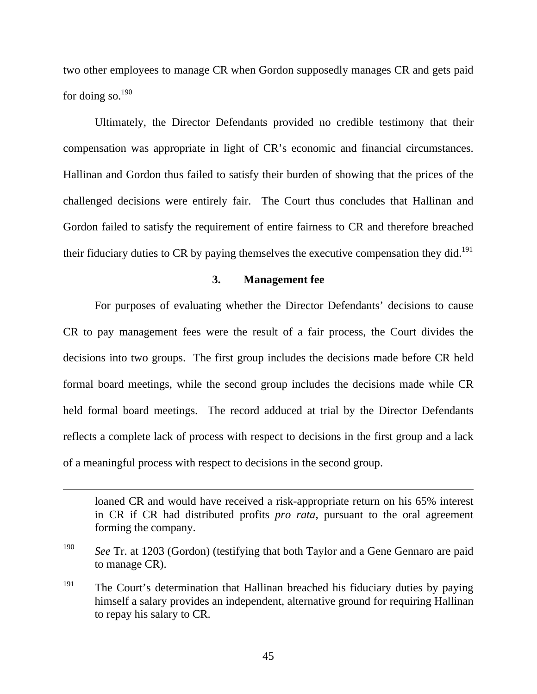two other employees to manage CR when Gordon supposedly manages CR and gets paid for doing so.<sup>190</sup>

Ultimately, the Director Defendants provided no credible testimony that their compensation was appropriate in light of CR's economic and financial circumstances. Hallinan and Gordon thus failed to satisfy their burden of showing that the prices of the challenged decisions were entirely fair. The Court thus concludes that Hallinan and Gordon failed to satisfy the requirement of entire fairness to CR and therefore breached their fiduciary duties to CR by paying themselves the executive compensation they did.<sup>191</sup>

# **3. Management fee**

For purposes of evaluating whether the Director Defendants' decisions to cause CR to pay management fees were the result of a fair process, the Court divides the decisions into two groups. The first group includes the decisions made before CR held formal board meetings, while the second group includes the decisions made while CR held formal board meetings. The record adduced at trial by the Director Defendants reflects a complete lack of process with respect to decisions in the first group and a lack of a meaningful process with respect to decisions in the second group.

loaned CR and would have received a risk-appropriate return on his 65% interest in CR if CR had distributed profits *pro rata*, pursuant to the oral agreement forming the company.

<sup>190</sup> *See* Tr. at 1203 (Gordon) (testifying that both Taylor and a Gene Gennaro are paid to manage CR).

<sup>&</sup>lt;sup>191</sup> The Court's determination that Hallinan breached his fiduciary duties by paying himself a salary provides an independent, alternative ground for requiring Hallinan to repay his salary to CR.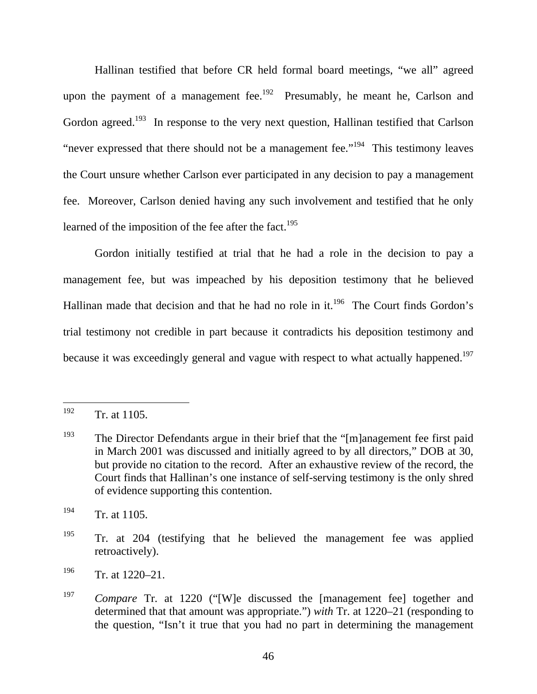Hallinan testified that before CR held formal board meetings, "we all" agreed upon the payment of a management fee.<sup>192</sup> Presumably, he meant he, Carlson and Gordon agreed.<sup>193</sup> In response to the very next question, Hallinan testified that Carlson "never expressed that there should not be a management fee."<sup>194</sup> This testimony leaves the Court unsure whether Carlson ever participated in any decision to pay a management fee. Moreover, Carlson denied having any such involvement and testified that he only learned of the imposition of the fee after the fact.<sup>195</sup>

Gordon initially testified at trial that he had a role in the decision to pay a management fee, but was impeached by his deposition testimony that he believed Hallinan made that decision and that he had no role in it.<sup>196</sup> The Court finds Gordon's trial testimony not credible in part because it contradicts his deposition testimony and because it was exceedingly general and vague with respect to what actually happened.<sup>197</sup>

<sup>192</sup> Tr. at 1105.

<sup>&</sup>lt;sup>193</sup> The Director Defendants argue in their brief that the " $[m]$ anagement fee first paid in March 2001 was discussed and initially agreed to by all directors," DOB at 30, but provide no citation to the record. After an exhaustive review of the record, the Court finds that Hallinan's one instance of self-serving testimony is the only shred of evidence supporting this contention.

 $194$  Tr. at 1105.

<sup>&</sup>lt;sup>195</sup> Tr. at 204 (testifying that he believed the management fee was applied retroactively).

 $196$  Tr. at 1220–21.

<sup>197</sup> *Compare* Tr. at 1220 ("[W]e discussed the [management fee] together and determined that that amount was appropriate.") *with* Tr. at 1220–21 (responding to the question, "Isn't it true that you had no part in determining the management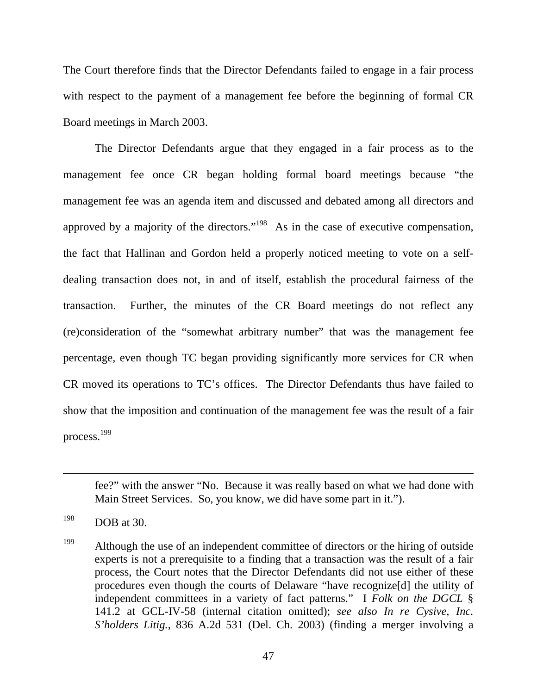The Court therefore finds that the Director Defendants failed to engage in a fair process with respect to the payment of a management fee before the beginning of formal CR Board meetings in March 2003.

The Director Defendants argue that they engaged in a fair process as to the management fee once CR began holding formal board meetings because "the management fee was an agenda item and discussed and debated among all directors and approved by a majority of the directors."198 As in the case of executive compensation, the fact that Hallinan and Gordon held a properly noticed meeting to vote on a selfdealing transaction does not, in and of itself, establish the procedural fairness of the transaction. Further, the minutes of the CR Board meetings do not reflect any (re)consideration of the "somewhat arbitrary number" that was the management fee percentage, even though TC began providing significantly more services for CR when CR moved its operations to TC's offices. The Director Defendants thus have failed to show that the imposition and continuation of the management fee was the result of a fair process.<sup>199</sup>

fee?" with the answer "No. Because it was really based on what we had done with Main Street Services. So, you know, we did have some part in it.").

 $198$  DOB at 30.

<sup>&</sup>lt;sup>199</sup> Although the use of an independent committee of directors or the hiring of outside experts is not a prerequisite to a finding that a transaction was the result of a fair process, the Court notes that the Director Defendants did not use either of these procedures even though the courts of Delaware "have recognize[d] the utility of independent committees in a variety of fact patterns." I *Folk on the DGCL* § 141.2 at GCL-IV-58 (internal citation omitted); *see also In re Cysive, Inc. S'holders Litig.*, 836 A.2d 531 (Del. Ch. 2003) (finding a merger involving a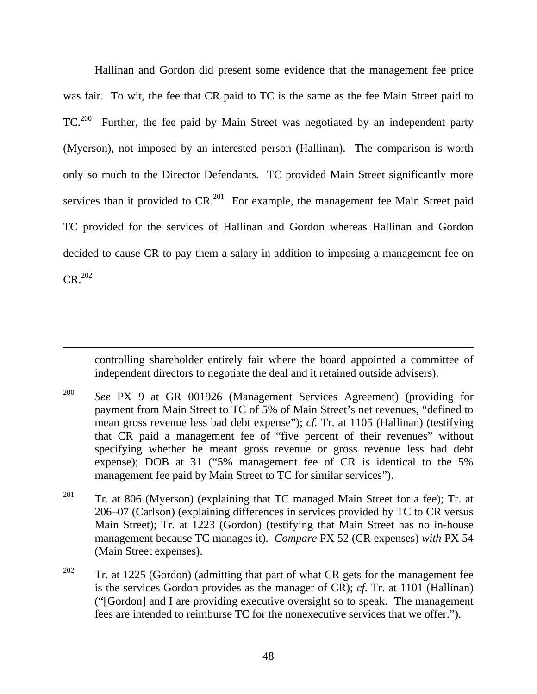Hallinan and Gordon did present some evidence that the management fee price was fair. To wit, the fee that CR paid to TC is the same as the fee Main Street paid to TC.200 Further, the fee paid by Main Street was negotiated by an independent party (Myerson), not imposed by an interested person (Hallinan). The comparison is worth only so much to the Director Defendants. TC provided Main Street significantly more services than it provided to  $CR<sup>201</sup>$  For example, the management fee Main Street paid TC provided for the services of Hallinan and Gordon whereas Hallinan and Gordon decided to cause CR to pay them a salary in addition to imposing a management fee on  $CR<sup>.202</sup>$ 

controlling shareholder entirely fair where the board appointed a committee of independent directors to negotiate the deal and it retained outside advisers).

200 *See* PX 9 at GR 001926 (Management Services Agreement) (providing for payment from Main Street to TC of 5% of Main Street's net revenues, "defined to mean gross revenue less bad debt expense"); *cf.* Tr. at 1105 (Hallinan) (testifying that CR paid a management fee of "five percent of their revenues" without specifying whether he meant gross revenue or gross revenue less bad debt expense); DOB at 31 ("5% management fee of CR is identical to the 5% management fee paid by Main Street to TC for similar services").

- <sup>201</sup> Tr. at 806 (Myerson) (explaining that TC managed Main Street for a fee); Tr. at 206–07 (Carlson) (explaining differences in services provided by TC to CR versus Main Street); Tr. at 1223 (Gordon) (testifying that Main Street has no in-house management because TC manages it). *Compare* PX 52 (CR expenses) *with* PX 54 (Main Street expenses).
- <sup>202</sup> Tr. at 1225 (Gordon) (admitting that part of what CR gets for the management fee is the services Gordon provides as the manager of CR); *cf.* Tr. at 1101 (Hallinan) ("[Gordon] and I are providing executive oversight so to speak. The management fees are intended to reimburse TC for the nonexecutive services that we offer.").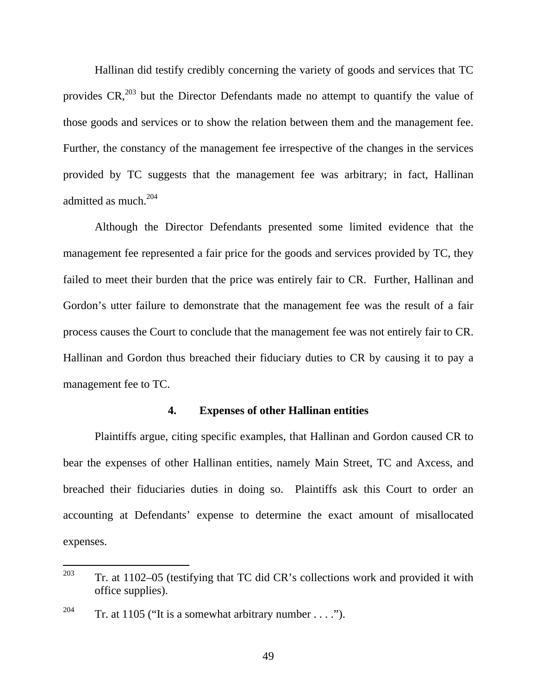Hallinan did testify credibly concerning the variety of goods and services that TC provides  $CR<sub>1</sub><sup>203</sup>$  but the Director Defendants made no attempt to quantify the value of those goods and services or to show the relation between them and the management fee. Further, the constancy of the management fee irrespective of the changes in the services provided by TC suggests that the management fee was arbitrary; in fact, Hallinan admitted as much.<sup>204</sup>

Although the Director Defendants presented some limited evidence that the management fee represented a fair price for the goods and services provided by TC, they failed to meet their burden that the price was entirely fair to CR. Further, Hallinan and Gordon's utter failure to demonstrate that the management fee was the result of a fair process causes the Court to conclude that the management fee was not entirely fair to CR. Hallinan and Gordon thus breached their fiduciary duties to CR by causing it to pay a management fee to TC.

### **4. Expenses of other Hallinan entities**

Plaintiffs argue, citing specific examples, that Hallinan and Gordon caused CR to bear the expenses of other Hallinan entities, namely Main Street, TC and Axcess, and breached their fiduciaries duties in doing so. Plaintiffs ask this Court to order an accounting at Defendants' expense to determine the exact amount of misallocated expenses.

<sup>203</sup> 203 Tr. at 1102–05 (testifying that TC did CR's collections work and provided it with office supplies).

<sup>&</sup>lt;sup>204</sup> Tr. at 1105 ("It is a somewhat arbitrary number . . . .").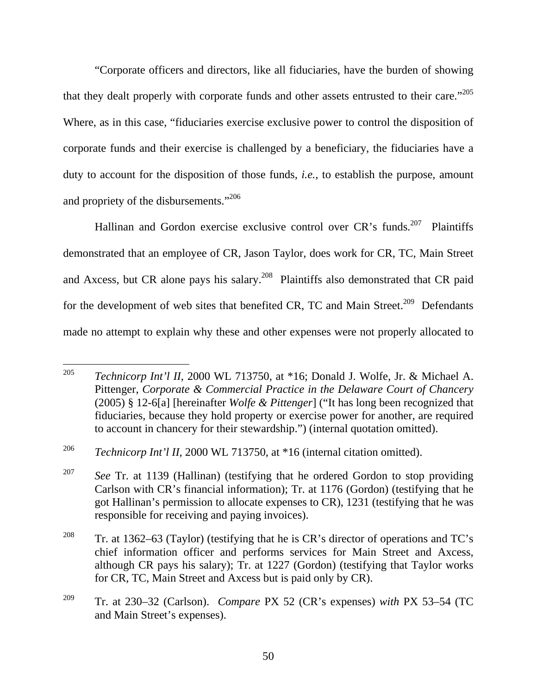"Corporate officers and directors, like all fiduciaries, have the burden of showing that they dealt properly with corporate funds and other assets entrusted to their care."<sup>205</sup> Where, as in this case, "fiduciaries exercise exclusive power to control the disposition of corporate funds and their exercise is challenged by a beneficiary, the fiduciaries have a duty to account for the disposition of those funds, *i.e.*, to establish the purpose, amount and propriety of the disbursements."206

Hallinan and Gordon exercise exclusive control over CR's funds.<sup>207</sup> Plaintiffs demonstrated that an employee of CR, Jason Taylor, does work for CR, TC, Main Street and Axcess, but CR alone pays his salary.<sup>208</sup> Plaintiffs also demonstrated that CR paid for the development of web sites that benefited CR, TC and Main Street.<sup>209</sup> Defendants made no attempt to explain why these and other expenses were not properly allocated to

<sup>205</sup> 205 *Technicorp Int'l II*, 2000 WL 713750, at \*16; Donald J. Wolfe, Jr. & Michael A. Pittenger, *Corporate & Commercial Practice in the Delaware Court of Chancery* (2005) § 12-6[a] [hereinafter *Wolfe & Pittenger*] ("It has long been recognized that fiduciaries, because they hold property or exercise power for another, are required to account in chancery for their stewardship.") (internal quotation omitted).

<sup>206</sup> *Technicorp Int'l II*, 2000 WL 713750, at \*16 (internal citation omitted).

<sup>&</sup>lt;sup>207</sup> *See* Tr. at 1139 (Hallinan) (testifying that he ordered Gordon to stop providing Carlson with CR's financial information); Tr. at 1176 (Gordon) (testifying that he got Hallinan's permission to allocate expenses to CR), 1231 (testifying that he was responsible for receiving and paying invoices).

<sup>&</sup>lt;sup>208</sup> Tr. at 1362–63 (Taylor) (testifying that he is CR's director of operations and TC's chief information officer and performs services for Main Street and Axcess, although CR pays his salary); Tr. at 1227 (Gordon) (testifying that Taylor works for CR, TC, Main Street and Axcess but is paid only by CR).

<sup>209</sup> Tr. at 230–32 (Carlson). *Compare* PX 52 (CR's expenses) *with* PX 53–54 (TC and Main Street's expenses).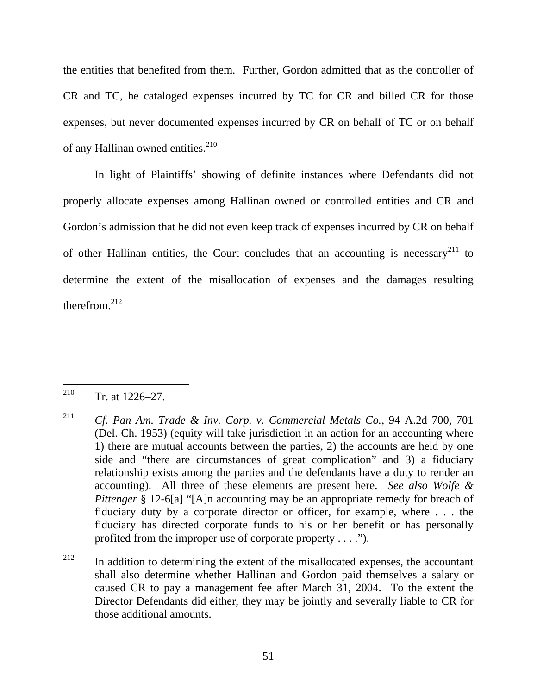the entities that benefited from them. Further, Gordon admitted that as the controller of CR and TC, he cataloged expenses incurred by TC for CR and billed CR for those expenses, but never documented expenses incurred by CR on behalf of TC or on behalf of any Hallinan owned entities.<sup>210</sup>

In light of Plaintiffs' showing of definite instances where Defendants did not properly allocate expenses among Hallinan owned or controlled entities and CR and Gordon's admission that he did not even keep track of expenses incurred by CR on behalf of other Hallinan entities, the Court concludes that an accounting is necessary<sup>211</sup> to determine the extent of the misallocation of expenses and the damages resulting therefrom  $^{212}$ 

<sup>210</sup>  $Tr.$  at  $1226 - 27$ .

<sup>211</sup> *Cf. Pan Am. Trade & Inv. Corp. v. Commercial Metals Co.*, 94 A.2d 700, 701 (Del. Ch. 1953) (equity will take jurisdiction in an action for an accounting where 1) there are mutual accounts between the parties, 2) the accounts are held by one side and "there are circumstances of great complication" and 3) a fiduciary relationship exists among the parties and the defendants have a duty to render an accounting). All three of these elements are present here. *See also Wolfe & Pittenger* § 12-6[a] "[A]n accounting may be an appropriate remedy for breach of fiduciary duty by a corporate director or officer, for example, where . . . the fiduciary has directed corporate funds to his or her benefit or has personally profited from the improper use of corporate property . . . .").

 $212$  In addition to determining the extent of the misallocated expenses, the accountant shall also determine whether Hallinan and Gordon paid themselves a salary or caused CR to pay a management fee after March 31, 2004. To the extent the Director Defendants did either, they may be jointly and severally liable to CR for those additional amounts.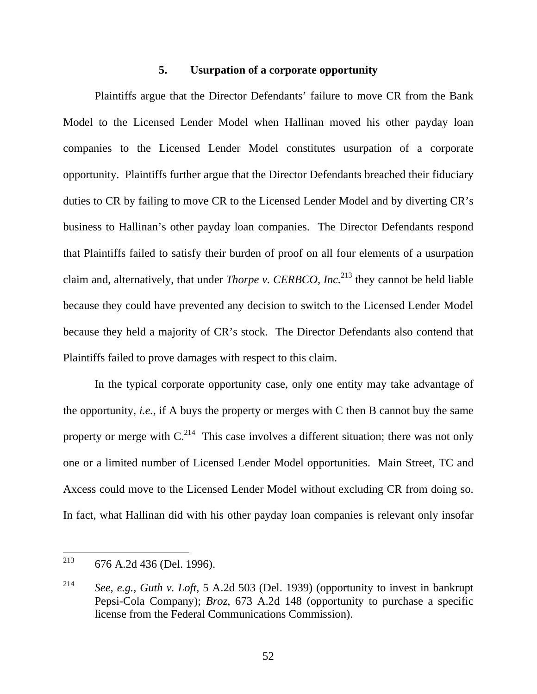# **5. Usurpation of a corporate opportunity**

Plaintiffs argue that the Director Defendants' failure to move CR from the Bank Model to the Licensed Lender Model when Hallinan moved his other payday loan companies to the Licensed Lender Model constitutes usurpation of a corporate opportunity. Plaintiffs further argue that the Director Defendants breached their fiduciary duties to CR by failing to move CR to the Licensed Lender Model and by diverting CR's business to Hallinan's other payday loan companies. The Director Defendants respond that Plaintiffs failed to satisfy their burden of proof on all four elements of a usurpation claim and, alternatively, that under *Thorpe v. CERBCO, Inc.*213 they cannot be held liable because they could have prevented any decision to switch to the Licensed Lender Model because they held a majority of CR's stock. The Director Defendants also contend that Plaintiffs failed to prove damages with respect to this claim.

In the typical corporate opportunity case, only one entity may take advantage of the opportunity, *i.e.*, if A buys the property or merges with C then B cannot buy the same property or merge with  $C^{214}$ . This case involves a different situation; there was not only one or a limited number of Licensed Lender Model opportunities. Main Street, TC and Axcess could move to the Licensed Lender Model without excluding CR from doing so. In fact, what Hallinan did with his other payday loan companies is relevant only insofar

<sup>213</sup> 676 A.2d 436 (Del. 1996).

<sup>214</sup> *See, e.g., Guth v. Loft*, 5 A.2d 503 (Del. 1939) (opportunity to invest in bankrupt Pepsi-Cola Company); *Broz*, 673 A.2d 148 (opportunity to purchase a specific license from the Federal Communications Commission).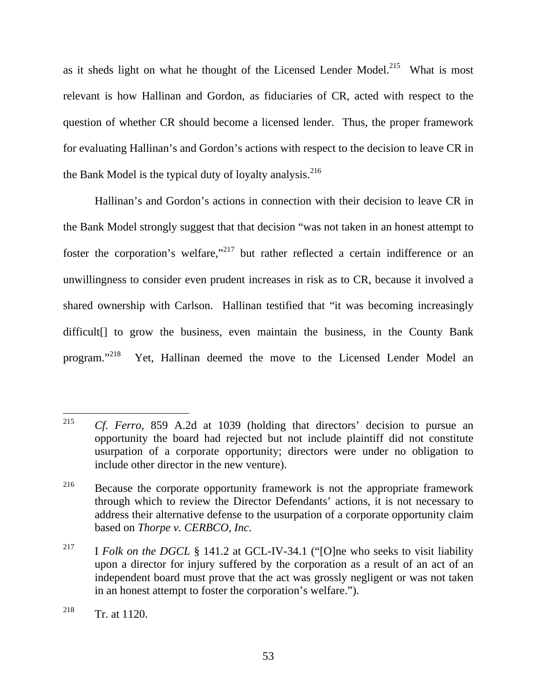as it sheds light on what he thought of the Licensed Lender Model.<sup>215</sup> What is most relevant is how Hallinan and Gordon, as fiduciaries of CR, acted with respect to the question of whether CR should become a licensed lender. Thus, the proper framework for evaluating Hallinan's and Gordon's actions with respect to the decision to leave CR in the Bank Model is the typical duty of loyalty analysis.<sup>216</sup>

Hallinan's and Gordon's actions in connection with their decision to leave CR in the Bank Model strongly suggest that that decision "was not taken in an honest attempt to foster the corporation's welfare,"<sup>217</sup> but rather reflected a certain indifference or an unwillingness to consider even prudent increases in risk as to CR, because it involved a shared ownership with Carlson. Hallinan testified that "it was becoming increasingly difficult[] to grow the business, even maintain the business, in the County Bank program."218 Yet, Hallinan deemed the move to the Licensed Lender Model an

<sup>215</sup> Cf. Ferro, 859 A.2d at 1039 (holding that directors' decision to pursue an opportunity the board had rejected but not include plaintiff did not constitute usurpation of a corporate opportunity; directors were under no obligation to include other director in the new venture).

<sup>&</sup>lt;sup>216</sup> Because the corporate opportunity framework is not the appropriate framework through which to review the Director Defendants' actions, it is not necessary to address their alternative defense to the usurpation of a corporate opportunity claim based on *Thorpe v. CERBCO, Inc*.

<sup>&</sup>lt;sup>217</sup> I *Folk on the DGCL* § 141.2 at GCL-IV-34.1 ("[O]ne who seeks to visit liability upon a director for injury suffered by the corporation as a result of an act of an independent board must prove that the act was grossly negligent or was not taken in an honest attempt to foster the corporation's welfare.").

<sup>&</sup>lt;sup>218</sup> Tr. at 1120.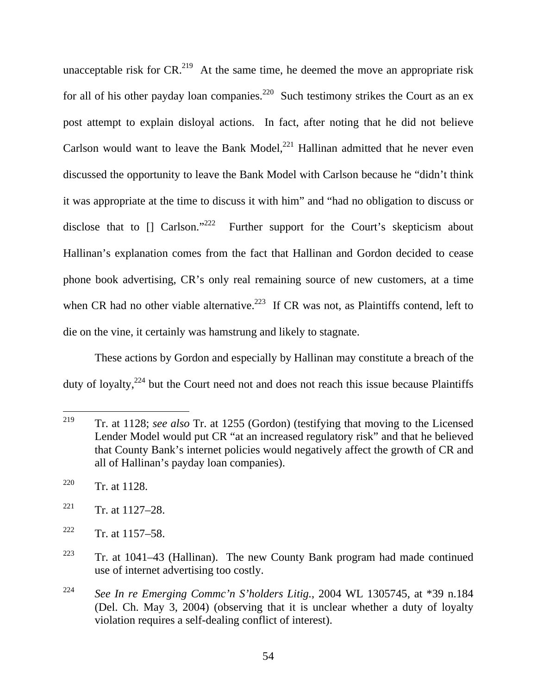unacceptable risk for  $CR<sup>219</sup>$  At the same time, he deemed the move an appropriate risk for all of his other payday loan companies.<sup>220</sup> Such testimony strikes the Court as an ex post attempt to explain disloyal actions. In fact, after noting that he did not believe Carlson would want to leave the Bank Model, $^{221}$  Hallinan admitted that he never even discussed the opportunity to leave the Bank Model with Carlson because he "didn't think it was appropriate at the time to discuss it with him" and "had no obligation to discuss or disclose that to  $\left[ \right]$  Carlson."<sup>222</sup> Further support for the Court's skepticism about Hallinan's explanation comes from the fact that Hallinan and Gordon decided to cease phone book advertising, CR's only real remaining source of new customers, at a time when CR had no other viable alternative.<sup>223</sup> If CR was not, as Plaintiffs contend, left to die on the vine, it certainly was hamstrung and likely to stagnate.

These actions by Gordon and especially by Hallinan may constitute a breach of the duty of loyalty,<sup>224</sup> but the Court need not and does not reach this issue because Plaintiffs

<sup>219</sup> 219 Tr. at 1128; *see also* Tr. at 1255 (Gordon) (testifying that moving to the Licensed Lender Model would put CR "at an increased regulatory risk" and that he believed that County Bank's internet policies would negatively affect the growth of CR and all of Hallinan's payday loan companies).

<sup>&</sup>lt;sup>220</sup> Tr. at 1128.

 $221$  Tr. at 1127–28.

 $222$  Tr. at 1157–58.

<sup>&</sup>lt;sup>223</sup> Tr. at 1041–43 (Hallinan). The new County Bank program had made continued use of internet advertising too costly.

<sup>224</sup> *See In re Emerging Commc'n S'holders Litig.*, 2004 WL 1305745, at \*39 n.184 (Del. Ch. May 3, 2004) (observing that it is unclear whether a duty of loyalty violation requires a self-dealing conflict of interest).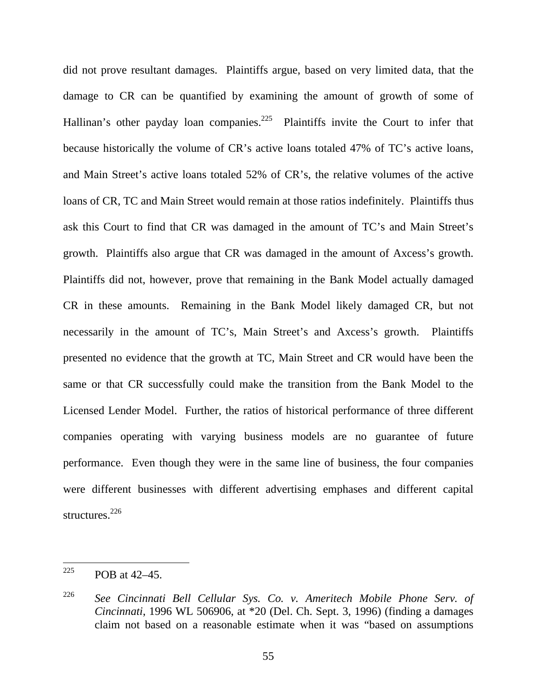did not prove resultant damages. Plaintiffs argue, based on very limited data, that the damage to CR can be quantified by examining the amount of growth of some of Hallinan's other payday loan companies.<sup>225</sup> Plaintiffs invite the Court to infer that because historically the volume of CR's active loans totaled 47% of TC's active loans, and Main Street's active loans totaled 52% of CR's, the relative volumes of the active loans of CR, TC and Main Street would remain at those ratios indefinitely. Plaintiffs thus ask this Court to find that CR was damaged in the amount of TC's and Main Street's growth. Plaintiffs also argue that CR was damaged in the amount of Axcess's growth. Plaintiffs did not, however, prove that remaining in the Bank Model actually damaged CR in these amounts. Remaining in the Bank Model likely damaged CR, but not necessarily in the amount of TC's, Main Street's and Axcess's growth. Plaintiffs presented no evidence that the growth at TC, Main Street and CR would have been the same or that CR successfully could make the transition from the Bank Model to the Licensed Lender Model. Further, the ratios of historical performance of three different companies operating with varying business models are no guarantee of future performance. Even though they were in the same line of business, the four companies were different businesses with different advertising emphases and different capital structures. $^{226}$ 

<sup>225</sup> POB at 42–45.

<sup>226</sup> *See Cincinnati Bell Cellular Sys. Co. v. Ameritech Mobile Phone Serv. of Cincinnati*, 1996 WL 506906, at \*20 (Del. Ch. Sept. 3, 1996) (finding a damages claim not based on a reasonable estimate when it was "based on assumptions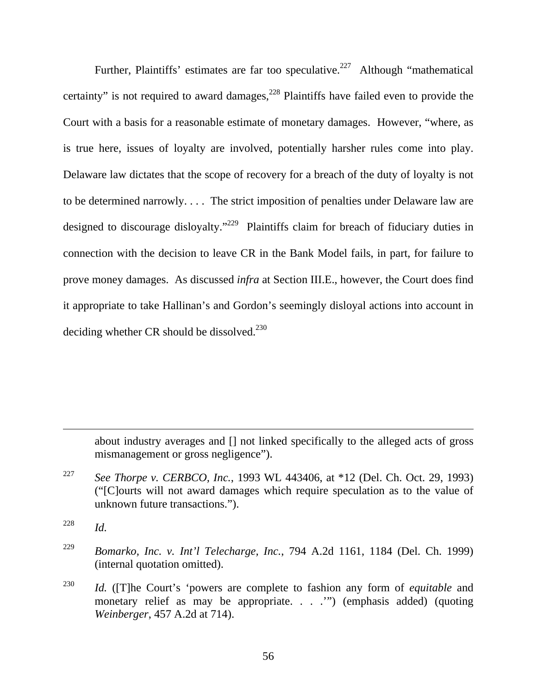Further, Plaintiffs' estimates are far too speculative.<sup>227</sup> Although "mathematical" certainty" is not required to award damages, $^{228}$  Plaintiffs have failed even to provide the Court with a basis for a reasonable estimate of monetary damages. However, "where, as is true here, issues of loyalty are involved, potentially harsher rules come into play. Delaware law dictates that the scope of recovery for a breach of the duty of loyalty is not to be determined narrowly. . . . The strict imposition of penalties under Delaware law are designed to discourage disloyalty."<sup>229</sup> Plaintiffs claim for breach of fiduciary duties in connection with the decision to leave CR in the Bank Model fails, in part, for failure to prove money damages. As discussed *infra* at Section III.E., however, the Court does find it appropriate to take Hallinan's and Gordon's seemingly disloyal actions into account in deciding whether CR should be dissolved. $^{230}$ 

about industry averages and [] not linked specifically to the alleged acts of gross mismanagement or gross negligence").

227 *See Thorpe v. CERBCO, Inc.*, 1993 WL 443406, at \*12 (Del. Ch. Oct. 29, 1993) ("[C]ourts will not award damages which require speculation as to the value of unknown future transactions.").

 $\overline{a}$ 

- 229 *Bomarko, Inc. v. Int'l Telecharge, Inc.*, 794 A.2d 1161, 1184 (Del. Ch. 1999) (internal quotation omitted).
- 230 *Id.* ([T]he Court's 'powers are complete to fashion any form of *equitable* and monetary relief as may be appropriate. . . .'") (emphasis added) (quoting *Weinberger*, 457 A.2d at 714).

<sup>228</sup> *Id.*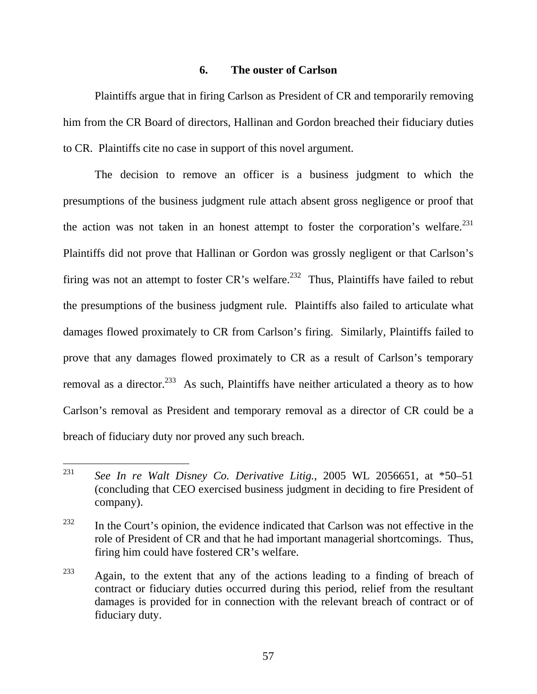#### **6. The ouster of Carlson**

Plaintiffs argue that in firing Carlson as President of CR and temporarily removing him from the CR Board of directors, Hallinan and Gordon breached their fiduciary duties to CR. Plaintiffs cite no case in support of this novel argument.

The decision to remove an officer is a business judgment to which the presumptions of the business judgment rule attach absent gross negligence or proof that the action was not taken in an honest attempt to foster the corporation's welfare. $^{231}$ Plaintiffs did not prove that Hallinan or Gordon was grossly negligent or that Carlson's firing was not an attempt to foster  $CR$ 's welfare.<sup>232</sup> Thus, Plaintiffs have failed to rebut the presumptions of the business judgment rule. Plaintiffs also failed to articulate what damages flowed proximately to CR from Carlson's firing. Similarly, Plaintiffs failed to prove that any damages flowed proximately to CR as a result of Carlson's temporary removal as a director.<sup>233</sup> As such, Plaintiffs have neither articulated a theory as to how Carlson's removal as President and temporary removal as a director of CR could be a breach of fiduciary duty nor proved any such breach.

<sup>231</sup> See In re Walt Disney Co. Derivative Litig., 2005 WL 2056651, at \*50–51 (concluding that CEO exercised business judgment in deciding to fire President of company).

 $232$  In the Court's opinion, the evidence indicated that Carlson was not effective in the role of President of CR and that he had important managerial shortcomings. Thus, firing him could have fostered CR's welfare.

 $233$  Again, to the extent that any of the actions leading to a finding of breach of contract or fiduciary duties occurred during this period, relief from the resultant damages is provided for in connection with the relevant breach of contract or of fiduciary duty.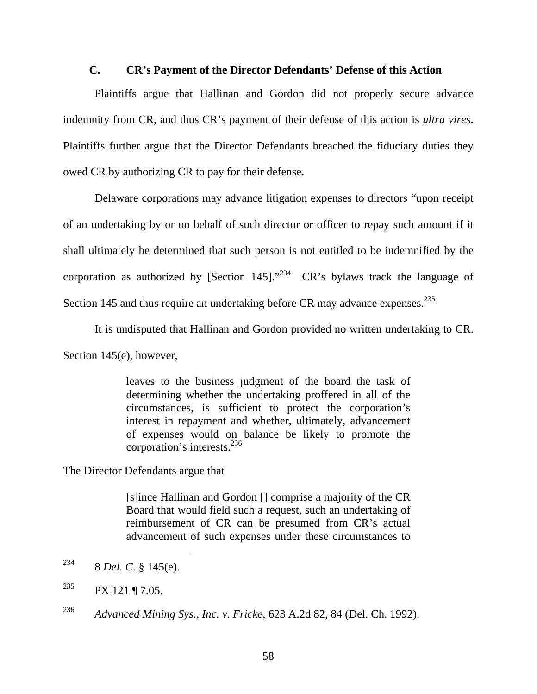### **C. CR's Payment of the Director Defendants' Defense of this Action**

Plaintiffs argue that Hallinan and Gordon did not properly secure advance indemnity from CR, and thus CR's payment of their defense of this action is *ultra vires*. Plaintiffs further argue that the Director Defendants breached the fiduciary duties they owed CR by authorizing CR to pay for their defense.

Delaware corporations may advance litigation expenses to directors "upon receipt of an undertaking by or on behalf of such director or officer to repay such amount if it shall ultimately be determined that such person is not entitled to be indemnified by the corporation as authorized by [Section 145]."<sup>234</sup>  $CR$ 's bylaws track the language of Section 145 and thus require an undertaking before CR may advance expenses.<sup>235</sup>

It is undisputed that Hallinan and Gordon provided no written undertaking to CR.

Section 145(e), however,

leaves to the business judgment of the board the task of determining whether the undertaking proffered in all of the circumstances, is sufficient to protect the corporation's interest in repayment and whether, ultimately, advancement of expenses would on balance be likely to promote the corporation's interests.<sup>236</sup>

The Director Defendants argue that

[s]ince Hallinan and Gordon [] comprise a majority of the CR Board that would field such a request, such an undertaking of reimbursement of CR can be presumed from CR's actual advancement of such expenses under these circumstances to

236 *Advanced Mining Sys., Inc. v. Fricke*, 623 A.2d 82, 84 (Del. Ch. 1992).

<sup>234</sup> 234 8 *Del. C.* § 145(e).

<sup>&</sup>lt;sup>235</sup> PX 121 ¶ 7.05.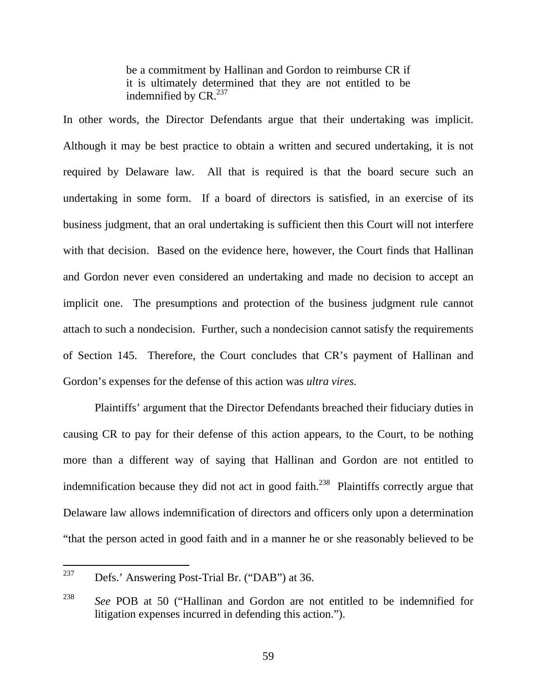be a commitment by Hallinan and Gordon to reimburse CR if it is ultimately determined that they are not entitled to be indemnified by  $CR.^{237}$ 

In other words, the Director Defendants argue that their undertaking was implicit. Although it may be best practice to obtain a written and secured undertaking, it is not required by Delaware law. All that is required is that the board secure such an undertaking in some form. If a board of directors is satisfied, in an exercise of its business judgment, that an oral undertaking is sufficient then this Court will not interfere with that decision. Based on the evidence here, however, the Court finds that Hallinan and Gordon never even considered an undertaking and made no decision to accept an implicit one. The presumptions and protection of the business judgment rule cannot attach to such a nondecision. Further, such a nondecision cannot satisfy the requirements of Section 145. Therefore, the Court concludes that CR's payment of Hallinan and Gordon's expenses for the defense of this action was *ultra vires*.

Plaintiffs' argument that the Director Defendants breached their fiduciary duties in causing CR to pay for their defense of this action appears, to the Court, to be nothing more than a different way of saying that Hallinan and Gordon are not entitled to indemnification because they did not act in good faith.<sup>238</sup> Plaintiffs correctly argue that Delaware law allows indemnification of directors and officers only upon a determination "that the person acted in good faith and in a manner he or she reasonably believed to be

<sup>237</sup> Defs.' Answering Post-Trial Br. ("DAB") at 36.

<sup>238</sup> *See* POB at 50 ("Hallinan and Gordon are not entitled to be indemnified for litigation expenses incurred in defending this action.").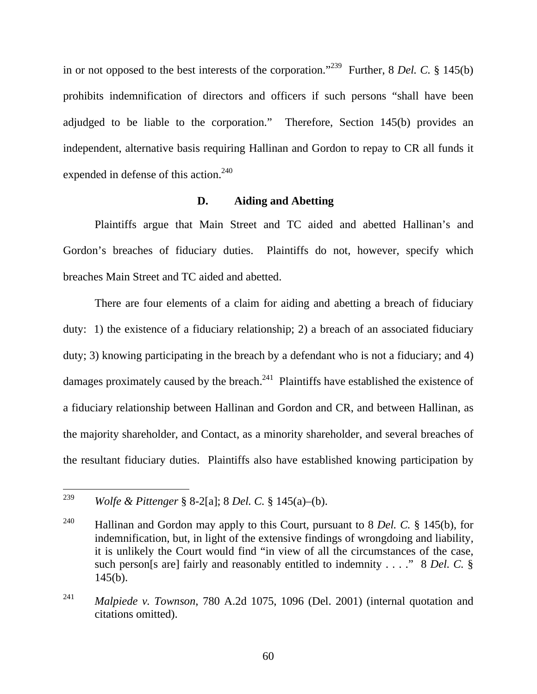in or not opposed to the best interests of the corporation."239 Further, 8 *Del. C.* § 145(b) prohibits indemnification of directors and officers if such persons "shall have been adjudged to be liable to the corporation." Therefore, Section 145(b) provides an independent, alternative basis requiring Hallinan and Gordon to repay to CR all funds it expended in defense of this action.<sup>240</sup>

# **D. Aiding and Abetting**

Plaintiffs argue that Main Street and TC aided and abetted Hallinan's and Gordon's breaches of fiduciary duties. Plaintiffs do not, however, specify which breaches Main Street and TC aided and abetted.

There are four elements of a claim for aiding and abetting a breach of fiduciary duty: 1) the existence of a fiduciary relationship; 2) a breach of an associated fiduciary duty; 3) knowing participating in the breach by a defendant who is not a fiduciary; and 4) damages proximately caused by the breach.<sup>241</sup> Plaintiffs have established the existence of a fiduciary relationship between Hallinan and Gordon and CR, and between Hallinan, as the majority shareholder, and Contact, as a minority shareholder, and several breaches of the resultant fiduciary duties. Plaintiffs also have established knowing participation by

<sup>239</sup> 239 *Wolfe & Pittenger* § 8-2[a]; 8 *Del. C.* § 145(a)–(b).

<sup>240</sup> Hallinan and Gordon may apply to this Court, pursuant to 8 *Del. C.* § 145(b), for indemnification, but, in light of the extensive findings of wrongdoing and liability, it is unlikely the Court would find "in view of all the circumstances of the case, such person[s are] fairly and reasonably entitled to indemnity . . . ." 8 *Del. C.* §  $145(b)$ .

<sup>241</sup> *Malpiede v. Townson*, 780 A.2d 1075, 1096 (Del. 2001) (internal quotation and citations omitted).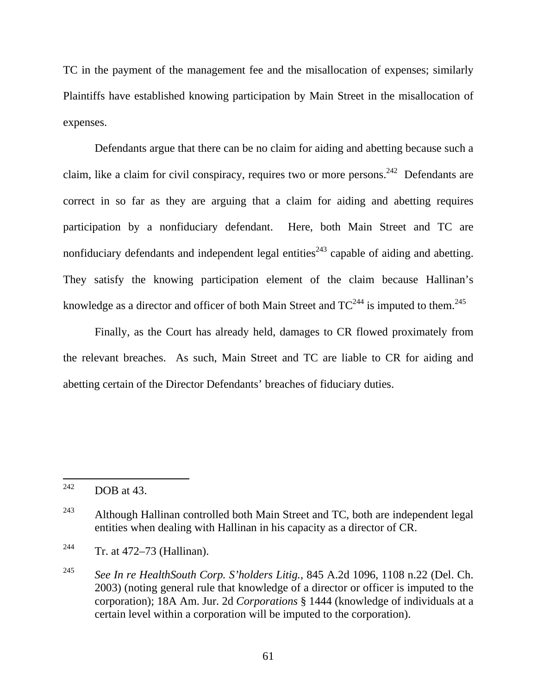TC in the payment of the management fee and the misallocation of expenses; similarly Plaintiffs have established knowing participation by Main Street in the misallocation of expenses.

Defendants argue that there can be no claim for aiding and abetting because such a claim, like a claim for civil conspiracy, requires two or more persons.<sup>242</sup> Defendants are correct in so far as they are arguing that a claim for aiding and abetting requires participation by a nonfiduciary defendant. Here, both Main Street and TC are nonfiduciary defendants and independent legal entities<sup> $243$ </sup> capable of aiding and abetting. They satisfy the knowing participation element of the claim because Hallinan's knowledge as a director and officer of both Main Street and  $TC^{244}$  is imputed to them.<sup>245</sup>

Finally, as the Court has already held, damages to CR flowed proximately from the relevant breaches. As such, Main Street and TC are liable to CR for aiding and abetting certain of the Director Defendants' breaches of fiduciary duties.

<sup>242</sup> DOB at 43.

 $243$  Although Hallinan controlled both Main Street and TC, both are independent legal entities when dealing with Hallinan in his capacity as a director of CR.

<sup>244</sup> Tr. at 472–73 (Hallinan).

<sup>245</sup> *See In re HealthSouth Corp. S'holders Litig.*, 845 A.2d 1096, 1108 n.22 (Del. Ch. 2003) (noting general rule that knowledge of a director or officer is imputed to the corporation); 18A Am. Jur. 2d *Corporations* § 1444 (knowledge of individuals at a certain level within a corporation will be imputed to the corporation).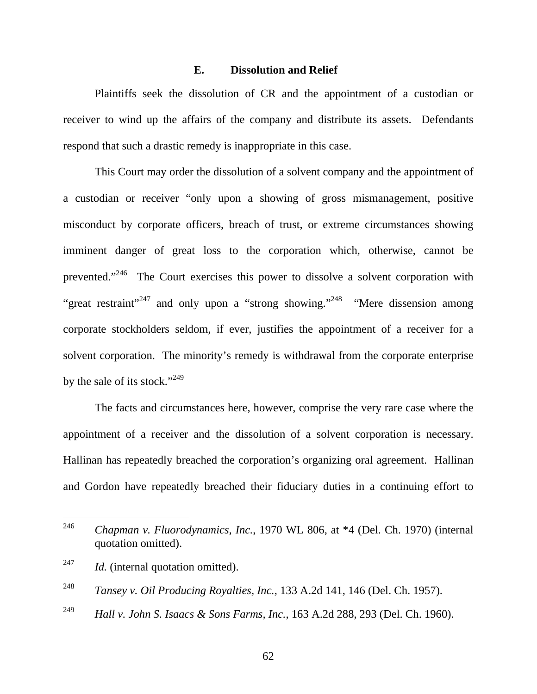### **E. Dissolution and Relief**

Plaintiffs seek the dissolution of CR and the appointment of a custodian or receiver to wind up the affairs of the company and distribute its assets. Defendants respond that such a drastic remedy is inappropriate in this case.

This Court may order the dissolution of a solvent company and the appointment of a custodian or receiver "only upon a showing of gross mismanagement, positive misconduct by corporate officers, breach of trust, or extreme circumstances showing imminent danger of great loss to the corporation which, otherwise, cannot be prevented."246 The Court exercises this power to dissolve a solvent corporation with "great restraint"<sup>247</sup> and only upon a "strong showing."<sup>248</sup> "Mere dissension among corporate stockholders seldom, if ever, justifies the appointment of a receiver for a solvent corporation. The minority's remedy is withdrawal from the corporate enterprise by the sale of its stock."<sup>249</sup>

The facts and circumstances here, however, comprise the very rare case where the appointment of a receiver and the dissolution of a solvent corporation is necessary. Hallinan has repeatedly breached the corporation's organizing oral agreement. Hallinan and Gordon have repeatedly breached their fiduciary duties in a continuing effort to

<sup>246</sup> 246 *Chapman v. Fluorodynamics, Inc.*, 1970 WL 806, at \*4 (Del. Ch. 1970) (internal quotation omitted).

<sup>&</sup>lt;sup>247</sup> *Id.* (internal quotation omitted).

<sup>248</sup> *Tansey v. Oil Producing Royalties, Inc.*, 133 A.2d 141, 146 (Del. Ch. 1957).

<sup>249</sup> *Hall v. John S. Isaacs & Sons Farms, Inc.*, 163 A.2d 288, 293 (Del. Ch. 1960).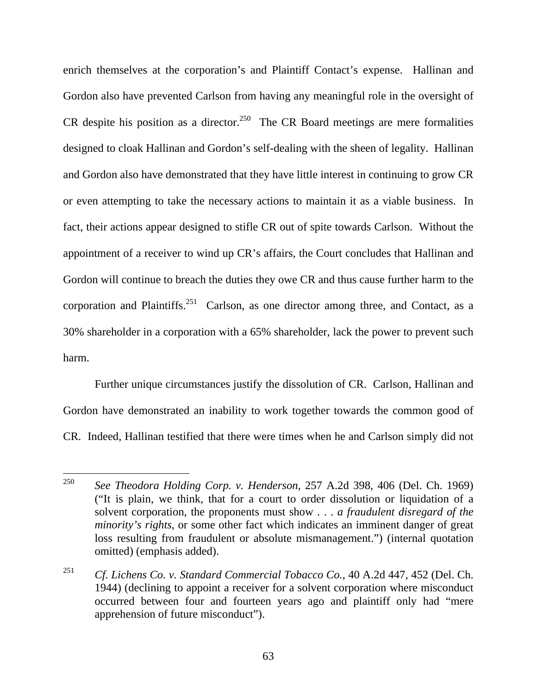enrich themselves at the corporation's and Plaintiff Contact's expense. Hallinan and Gordon also have prevented Carlson from having any meaningful role in the oversight of CR despite his position as a director.<sup>250</sup> The CR Board meetings are mere formalities designed to cloak Hallinan and Gordon's self-dealing with the sheen of legality. Hallinan and Gordon also have demonstrated that they have little interest in continuing to grow CR or even attempting to take the necessary actions to maintain it as a viable business. In fact, their actions appear designed to stifle CR out of spite towards Carlson. Without the appointment of a receiver to wind up CR's affairs, the Court concludes that Hallinan and Gordon will continue to breach the duties they owe CR and thus cause further harm to the corporation and Plaintiffs.<sup>251</sup> Carlson, as one director among three, and Contact, as a 30% shareholder in a corporation with a 65% shareholder, lack the power to prevent such harm.

Further unique circumstances justify the dissolution of CR. Carlson, Hallinan and Gordon have demonstrated an inability to work together towards the common good of CR. Indeed, Hallinan testified that there were times when he and Carlson simply did not

<sup>250</sup> 250 *See Theodora Holding Corp. v. Henderson*, 257 A.2d 398, 406 (Del. Ch. 1969) ("It is plain, we think, that for a court to order dissolution or liquidation of a solvent corporation, the proponents must show . . . *a fraudulent disregard of the minority's rights*, or some other fact which indicates an imminent danger of great loss resulting from fraudulent or absolute mismanagement.") (internal quotation omitted) (emphasis added).

<sup>251</sup> *Cf. Lichens Co. v. Standard Commercial Tobacco Co.*, 40 A.2d 447, 452 (Del. Ch. 1944) (declining to appoint a receiver for a solvent corporation where misconduct occurred between four and fourteen years ago and plaintiff only had "mere apprehension of future misconduct").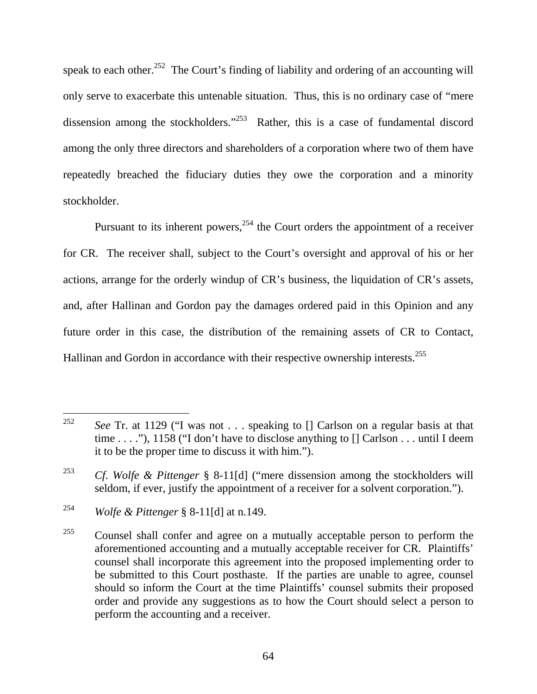speak to each other.<sup>252</sup> The Court's finding of liability and ordering of an accounting will only serve to exacerbate this untenable situation. Thus, this is no ordinary case of "mere dissension among the stockholders."<sup>253</sup> Rather, this is a case of fundamental discord among the only three directors and shareholders of a corporation where two of them have repeatedly breached the fiduciary duties they owe the corporation and a minority stockholder.

Pursuant to its inherent powers,<sup>254</sup> the Court orders the appointment of a receiver for CR. The receiver shall, subject to the Court's oversight and approval of his or her actions, arrange for the orderly windup of CR's business, the liquidation of CR's assets, and, after Hallinan and Gordon pay the damages ordered paid in this Opinion and any future order in this case, the distribution of the remaining assets of CR to Contact, Hallinan and Gordon in accordance with their respective ownership interests.<sup>255</sup>

<sup>252</sup> See Tr. at 1129 ("I was not . . . speaking to  $\iint$  Carlson on a regular basis at that time . . . ."), 1158 ("I don't have to disclose anything to [] Carlson . . . until I deem it to be the proper time to discuss it with him.").

<sup>253</sup> *Cf. Wolfe & Pittenger* § 8-11[d] ("mere dissension among the stockholders will seldom, if ever, justify the appointment of a receiver for a solvent corporation.").

<sup>254</sup> *Wolfe & Pittenger* § 8-11[d] at n.149.

 $255$  Counsel shall confer and agree on a mutually acceptable person to perform the aforementioned accounting and a mutually acceptable receiver for CR. Plaintiffs' counsel shall incorporate this agreement into the proposed implementing order to be submitted to this Court posthaste. If the parties are unable to agree, counsel should so inform the Court at the time Plaintiffs' counsel submits their proposed order and provide any suggestions as to how the Court should select a person to perform the accounting and a receiver.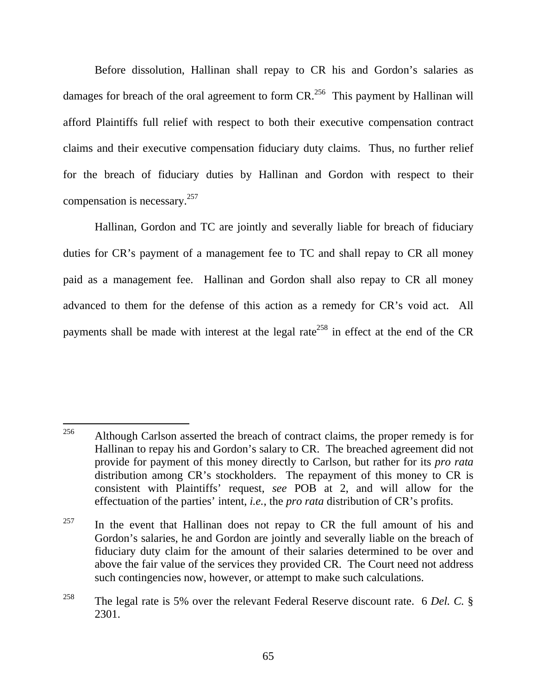Before dissolution, Hallinan shall repay to CR his and Gordon's salaries as damages for breach of the oral agreement to form  $CR<sup>256</sup>$ . This payment by Hallinan will afford Plaintiffs full relief with respect to both their executive compensation contract claims and their executive compensation fiduciary duty claims. Thus, no further relief for the breach of fiduciary duties by Hallinan and Gordon with respect to their compensation is necessary.257

Hallinan, Gordon and TC are jointly and severally liable for breach of fiduciary duties for CR's payment of a management fee to TC and shall repay to CR all money paid as a management fee. Hallinan and Gordon shall also repay to CR all money advanced to them for the defense of this action as a remedy for CR's void act. All payments shall be made with interest at the legal rate<sup>258</sup> in effect at the end of the CR

 $257$  In the event that Hallinan does not repay to CR the full amount of his and Gordon's salaries, he and Gordon are jointly and severally liable on the breach of fiduciary duty claim for the amount of their salaries determined to be over and above the fair value of the services they provided CR. The Court need not address such contingencies now, however, or attempt to make such calculations.

 $\overline{a}$ <sup>256</sup> Although Carlson asserted the breach of contract claims, the proper remedy is for Hallinan to repay his and Gordon's salary to CR. The breached agreement did not provide for payment of this money directly to Carlson, but rather for its *pro rata* distribution among CR's stockholders. The repayment of this money to CR is consistent with Plaintiffs' request, *see* POB at 2, and will allow for the effectuation of the parties' intent, *i.e.*, the *pro rata* distribution of CR's profits.

<sup>258</sup> The legal rate is 5% over the relevant Federal Reserve discount rate. 6 *Del. C.* § 2301.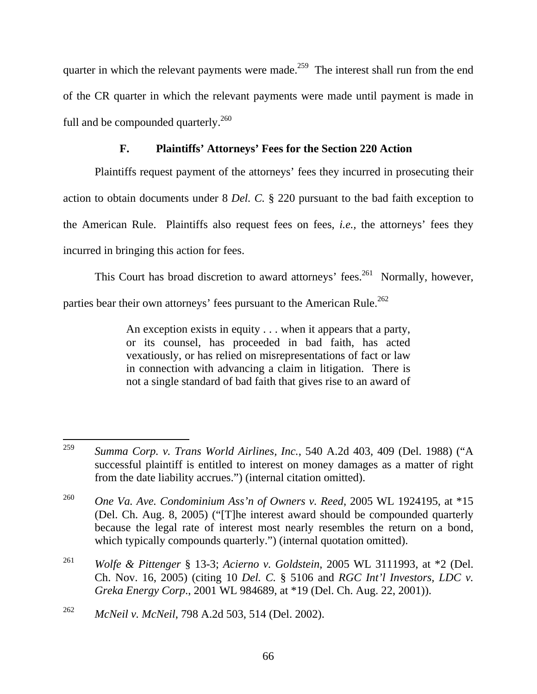quarter in which the relevant payments were made.<sup>259</sup> The interest shall run from the end of the CR quarter in which the relevant payments were made until payment is made in full and be compounded quarterly.<sup>260</sup>

# **F. Plaintiffs' Attorneys' Fees for the Section 220 Action**

Plaintiffs request payment of the attorneys' fees they incurred in prosecuting their action to obtain documents under 8 *Del. C.* § 220 pursuant to the bad faith exception to the American Rule. Plaintiffs also request fees on fees, *i.e.,* the attorneys' fees they incurred in bringing this action for fees.

This Court has broad discretion to award attorneys' fees.<sup>261</sup> Normally, however,

parties bear their own attorneys' fees pursuant to the American Rule.<sup>262</sup>

An exception exists in equity . . . when it appears that a party, or its counsel, has proceeded in bad faith, has acted vexatiously, or has relied on misrepresentations of fact or law in connection with advancing a claim in litigation. There is not a single standard of bad faith that gives rise to an award of

<sup>259</sup> 259 *Summa Corp. v. Trans World Airlines, Inc.*, 540 A.2d 403, 409 (Del. 1988) ("A successful plaintiff is entitled to interest on money damages as a matter of right from the date liability accrues.") (internal citation omitted).

<sup>260</sup> *One Va. Ave. Condominium Ass'n of Owners v. Reed*, 2005 WL 1924195, at \*15 (Del. Ch. Aug. 8, 2005) ("[T]he interest award should be compounded quarterly because the legal rate of interest most nearly resembles the return on a bond, which typically compounds quarterly.") (internal quotation omitted).

<sup>261</sup> *Wolfe & Pittenger* § 13-3; *Acierno v. Goldstein*, 2005 WL 3111993, at \*2 (Del. Ch. Nov. 16, 2005) (citing 10 *Del. C.* § 5106 and *RGC Int'l Investors, LDC v. Greka Energy Corp*., 2001 WL 984689, at \*19 (Del. Ch. Aug. 22, 2001)).

<sup>262</sup> *McNeil v. McNeil*, 798 A.2d 503, 514 (Del. 2002).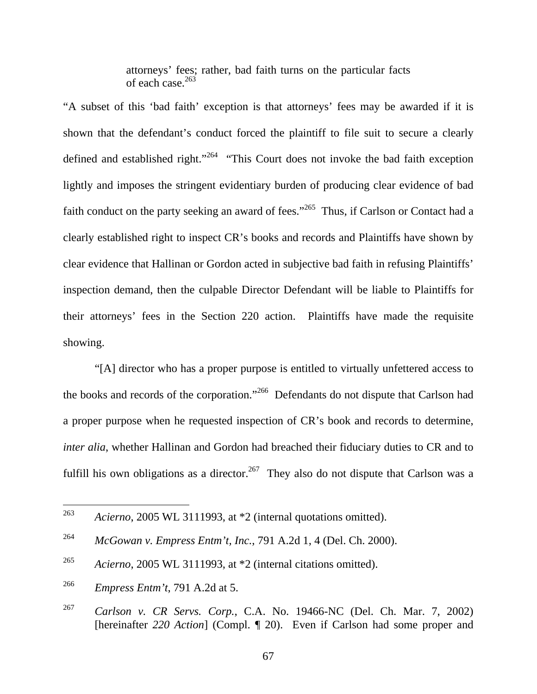attorneys' fees; rather, bad faith turns on the particular facts of each case.<sup>263</sup>

"A subset of this 'bad faith' exception is that attorneys' fees may be awarded if it is shown that the defendant's conduct forced the plaintiff to file suit to secure a clearly defined and established right."<sup>264</sup> "This Court does not invoke the bad faith exception lightly and imposes the stringent evidentiary burden of producing clear evidence of bad faith conduct on the party seeking an award of fees."<sup>265</sup> Thus, if Carlson or Contact had a clearly established right to inspect CR's books and records and Plaintiffs have shown by clear evidence that Hallinan or Gordon acted in subjective bad faith in refusing Plaintiffs' inspection demand, then the culpable Director Defendant will be liable to Plaintiffs for their attorneys' fees in the Section 220 action. Plaintiffs have made the requisite showing.

"[A] director who has a proper purpose is entitled to virtually unfettered access to the books and records of the corporation."266 Defendants do not dispute that Carlson had a proper purpose when he requested inspection of CR's book and records to determine, *inter alia*, whether Hallinan and Gordon had breached their fiduciary duties to CR and to fulfill his own obligations as a director.<sup>267</sup> They also do not dispute that Carlson was a

<sup>263</sup> 263 *Acierno*, 2005 WL 3111993, at \*2 (internal quotations omitted).

<sup>264</sup> *McGowan v. Empress Entm't, Inc.*, 791 A.2d 1, 4 (Del. Ch. 2000).

<sup>265</sup> *Acierno*, 2005 WL 3111993, at \*2 (internal citations omitted).

<sup>266</sup> *Empress Entm't*, 791 A.2d at 5.

<sup>267</sup> *Carlson v. CR Servs. Corp.*, C.A. No. 19466-NC (Del. Ch. Mar. 7, 2002) [hereinafter *220 Action*] (Compl. ¶ 20). Even if Carlson had some proper and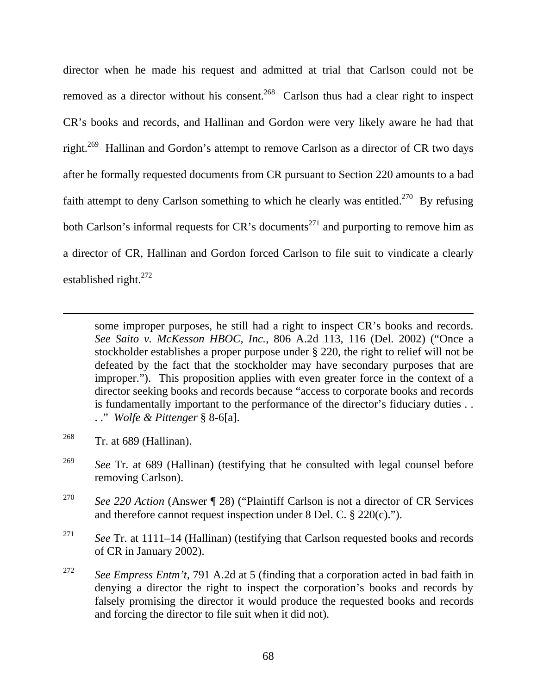director when he made his request and admitted at trial that Carlson could not be removed as a director without his consent.<sup>268</sup> Carlson thus had a clear right to inspect CR's books and records, and Hallinan and Gordon were very likely aware he had that right.<sup>269</sup> Hallinan and Gordon's attempt to remove Carlson as a director of CR two days after he formally requested documents from CR pursuant to Section 220 amounts to a bad faith attempt to deny Carlson something to which he clearly was entitled.<sup>270</sup> By refusing both Carlson's informal requests for  $CR$ 's documents<sup>271</sup> and purporting to remove him as a director of CR, Hallinan and Gordon forced Carlson to file suit to vindicate a clearly established right.<sup>272</sup>

some improper purposes, he still had a right to inspect CR's books and records. *See Saito v. McKesson HBOC, Inc.*, 806 A.2d 113, 116 (Del. 2002) ("Once a stockholder establishes a proper purpose under § 220, the right to relief will not be defeated by the fact that the stockholder may have secondary purposes that are improper."). This proposition applies with even greater force in the context of a director seeking books and records because "access to corporate books and records is fundamentally important to the performance of the director's fiduciary duties . . . ." *Wolfe & Pittenger* § 8-6[a].

 $^{268}$  Tr. at 689 (Hallinan).

 $\overline{a}$ 

- <sup>269</sup> *See* Tr. at 689 (Hallinan) (testifying that he consulted with legal counsel before removing Carlson).
- 270 *See 220 Action* (Answer ¶ 28) ("Plaintiff Carlson is not a director of CR Services and therefore cannot request inspection under 8 Del. C. § 220(c).").
- 271 *See* Tr. at 1111–14 (Hallinan) (testifying that Carlson requested books and records of CR in January 2002).
- 272 *See Empress Entm't*, 791 A.2d at 5 (finding that a corporation acted in bad faith in denying a director the right to inspect the corporation's books and records by falsely promising the director it would produce the requested books and records and forcing the director to file suit when it did not).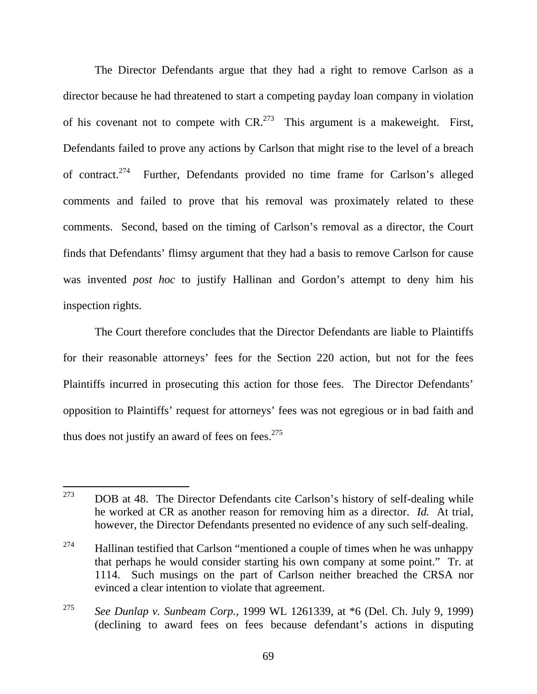The Director Defendants argue that they had a right to remove Carlson as a director because he had threatened to start a competing payday loan company in violation of his covenant not to compete with  $CR^{273}$  This argument is a makeweight. First, Defendants failed to prove any actions by Carlson that might rise to the level of a breach of contract.<sup>274</sup> Further, Defendants provided no time frame for Carlson's alleged comments and failed to prove that his removal was proximately related to these comments. Second, based on the timing of Carlson's removal as a director, the Court finds that Defendants' flimsy argument that they had a basis to remove Carlson for cause was invented *post hoc* to justify Hallinan and Gordon's attempt to deny him his inspection rights.

The Court therefore concludes that the Director Defendants are liable to Plaintiffs for their reasonable attorneys' fees for the Section 220 action, but not for the fees Plaintiffs incurred in prosecuting this action for those fees. The Director Defendants' opposition to Plaintiffs' request for attorneys' fees was not egregious or in bad faith and thus does not justify an award of fees on fees. $275$ 

<sup>273</sup> DOB at 48. The Director Defendants cite Carlson's history of self-dealing while he worked at CR as another reason for removing him as a director. *Id.* At trial, however, the Director Defendants presented no evidence of any such self-dealing.

 $274$  Hallinan testified that Carlson "mentioned a couple of times when he was unhappy that perhaps he would consider starting his own company at some point." Tr. at 1114. Such musings on the part of Carlson neither breached the CRSA nor evinced a clear intention to violate that agreement.

<sup>275</sup> *See Dunlap v. Sunbeam Corp.*, 1999 WL 1261339, at \*6 (Del. Ch. July 9, 1999) (declining to award fees on fees because defendant's actions in disputing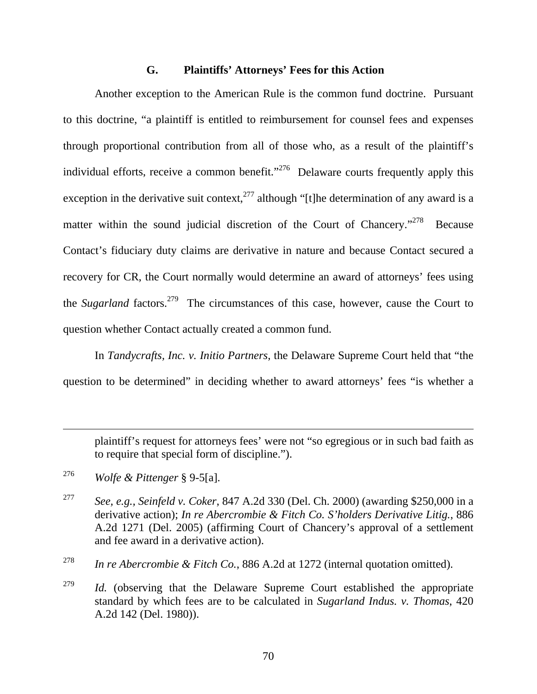### **G. Plaintiffs' Attorneys' Fees for this Action**

Another exception to the American Rule is the common fund doctrine. Pursuant to this doctrine, "a plaintiff is entitled to reimbursement for counsel fees and expenses through proportional contribution from all of those who, as a result of the plaintiff's individual efforts, receive a common benefit."<sup>276</sup> Delaware courts frequently apply this exception in the derivative suit context,  $277$  although "[t]he determination of any award is a matter within the sound judicial discretion of the Court of Chancery."<sup>278</sup> Because Contact's fiduciary duty claims are derivative in nature and because Contact secured a recovery for CR, the Court normally would determine an award of attorneys' fees using the *Sugarland* factors.<sup>279</sup> The circumstances of this case, however, cause the Court to question whether Contact actually created a common fund.

In *Tandycrafts, Inc. v. Initio Partners*, the Delaware Supreme Court held that "the question to be determined" in deciding whether to award attorneys' fees "is whether a

plaintiff's request for attorneys fees' were not "so egregious or in such bad faith as to require that special form of discipline.").

276 *Wolfe & Pittenger* § 9-5[a].

 $\overline{a}$ 

- 277 *See, e.g., Seinfeld v. Coker*, 847 A.2d 330 (Del. Ch. 2000) (awarding \$250,000 in a derivative action); *In re Abercrombie & Fitch Co. S'holders Derivative Litig.*, 886 A.2d 1271 (Del. 2005) (affirming Court of Chancery's approval of a settlement and fee award in a derivative action).
- 278 *In re Abercrombie & Fitch Co.*, 886 A.2d at 1272 (internal quotation omitted).

<sup>279</sup> *Id.* (observing that the Delaware Supreme Court established the appropriate standard by which fees are to be calculated in *Sugarland Indus. v. Thomas*, 420 A.2d 142 (Del. 1980)).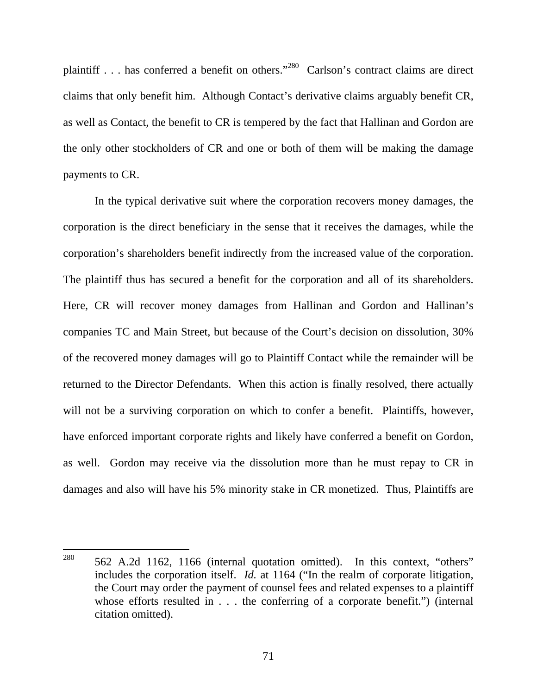plaintiff . . . has conferred a benefit on others."280 Carlson's contract claims are direct claims that only benefit him. Although Contact's derivative claims arguably benefit CR, as well as Contact, the benefit to CR is tempered by the fact that Hallinan and Gordon are the only other stockholders of CR and one or both of them will be making the damage payments to CR.

In the typical derivative suit where the corporation recovers money damages, the corporation is the direct beneficiary in the sense that it receives the damages, while the corporation's shareholders benefit indirectly from the increased value of the corporation. The plaintiff thus has secured a benefit for the corporation and all of its shareholders. Here, CR will recover money damages from Hallinan and Gordon and Hallinan's companies TC and Main Street, but because of the Court's decision on dissolution, 30% of the recovered money damages will go to Plaintiff Contact while the remainder will be returned to the Director Defendants. When this action is finally resolved, there actually will not be a surviving corporation on which to confer a benefit. Plaintiffs, however, have enforced important corporate rights and likely have conferred a benefit on Gordon, as well. Gordon may receive via the dissolution more than he must repay to CR in damages and also will have his 5% minority stake in CR monetized. Thus, Plaintiffs are

<sup>280</sup> 562 A.2d 1162, 1166 (internal quotation omitted). In this context, "others" includes the corporation itself. *Id.* at 1164 ("In the realm of corporate litigation, the Court may order the payment of counsel fees and related expenses to a plaintiff whose efforts resulted in . . . the conferring of a corporate benefit.") (internal citation omitted).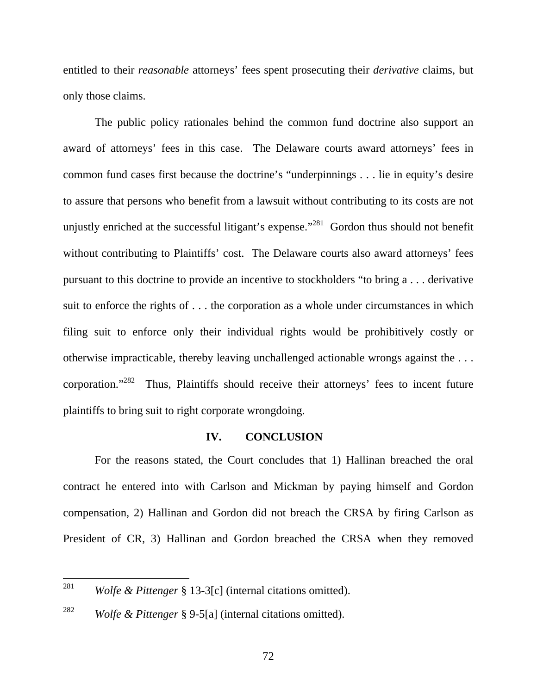entitled to their *reasonable* attorneys' fees spent prosecuting their *derivative* claims, but only those claims.

The public policy rationales behind the common fund doctrine also support an award of attorneys' fees in this case. The Delaware courts award attorneys' fees in common fund cases first because the doctrine's "underpinnings . . . lie in equity's desire to assure that persons who benefit from a lawsuit without contributing to its costs are not unjustly enriched at the successful litigant's expense.<sup>"281</sup> Gordon thus should not benefit without contributing to Plaintiffs' cost. The Delaware courts also award attorneys' fees pursuant to this doctrine to provide an incentive to stockholders "to bring a . . . derivative suit to enforce the rights of . . . the corporation as a whole under circumstances in which filing suit to enforce only their individual rights would be prohibitively costly or otherwise impracticable, thereby leaving unchallenged actionable wrongs against the . . . corporation."282 Thus, Plaintiffs should receive their attorneys' fees to incent future plaintiffs to bring suit to right corporate wrongdoing.

## **IV. CONCLUSION**

For the reasons stated, the Court concludes that 1) Hallinan breached the oral contract he entered into with Carlson and Mickman by paying himself and Gordon compensation, 2) Hallinan and Gordon did not breach the CRSA by firing Carlson as President of CR, 3) Hallinan and Gordon breached the CRSA when they removed

<sup>281</sup> *Wolfe & Pittenger* § 13-3[c] (internal citations omitted).

<sup>282</sup> *Wolfe & Pittenger* § 9-5[a] (internal citations omitted).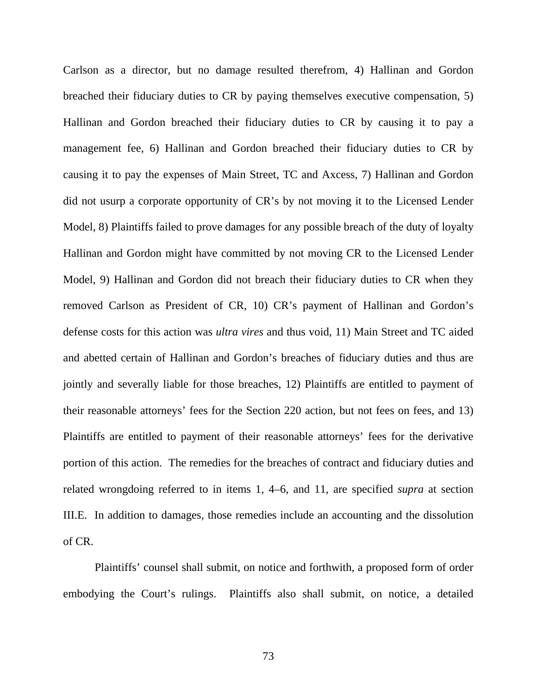Carlson as a director, but no damage resulted therefrom, 4) Hallinan and Gordon breached their fiduciary duties to CR by paying themselves executive compensation, 5) Hallinan and Gordon breached their fiduciary duties to CR by causing it to pay a management fee, 6) Hallinan and Gordon breached their fiduciary duties to CR by causing it to pay the expenses of Main Street, TC and Axcess, 7) Hallinan and Gordon did not usurp a corporate opportunity of CR's by not moving it to the Licensed Lender Model, 8) Plaintiffs failed to prove damages for any possible breach of the duty of loyalty Hallinan and Gordon might have committed by not moving CR to the Licensed Lender Model, 9) Hallinan and Gordon did not breach their fiduciary duties to CR when they removed Carlson as President of CR, 10) CR's payment of Hallinan and Gordon's defense costs for this action was *ultra vires* and thus void, 11) Main Street and TC aided and abetted certain of Hallinan and Gordon's breaches of fiduciary duties and thus are jointly and severally liable for those breaches, 12) Plaintiffs are entitled to payment of their reasonable attorneys' fees for the Section 220 action, but not fees on fees, and 13) Plaintiffs are entitled to payment of their reasonable attorneys' fees for the derivative portion of this action. The remedies for the breaches of contract and fiduciary duties and related wrongdoing referred to in items 1, 4–6, and 11, are specified *supra* at section III.E. In addition to damages, those remedies include an accounting and the dissolution of CR.

Plaintiffs' counsel shall submit, on notice and forthwith, a proposed form of order embodying the Court's rulings. Plaintiffs also shall submit, on notice, a detailed